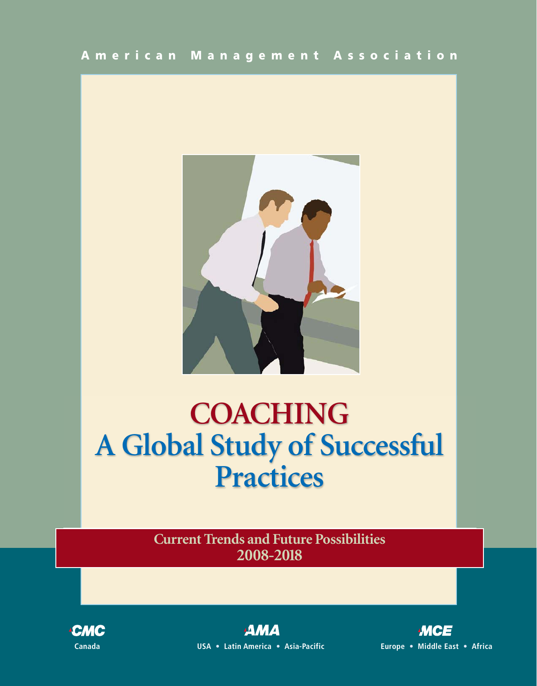

# **COACHING A Global Study of Successful Practices**

**Current Trends and Future Possibilities 2008-2018**



ДМД **Canada USA** • **Latin America** • **Asia-Pacific Europe** • **Middle East** • **Africa**

**MCE**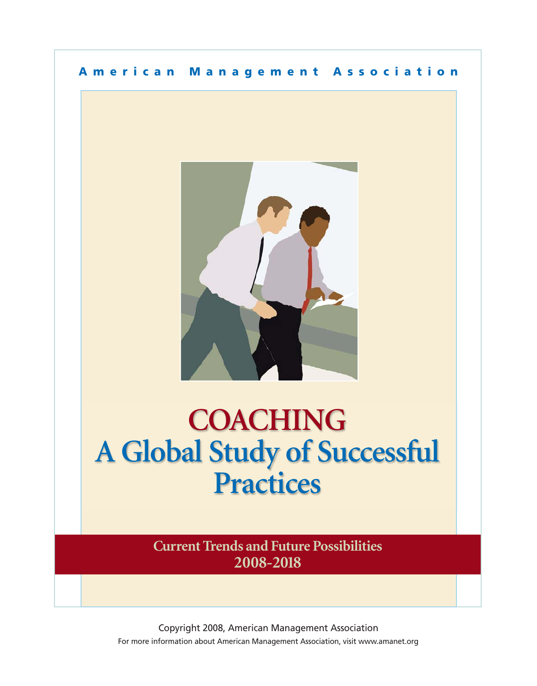## **American Management Association**



## **WALTHING A GIODAL STUDY OF SUCCESSFUL Practices COACHING A Global Study of Successful Practices**

**Current Trends and Future Possibilities 2008-2018**

Copyright 2008, American Management Association For more information about American Management Association, visit www.amanet.org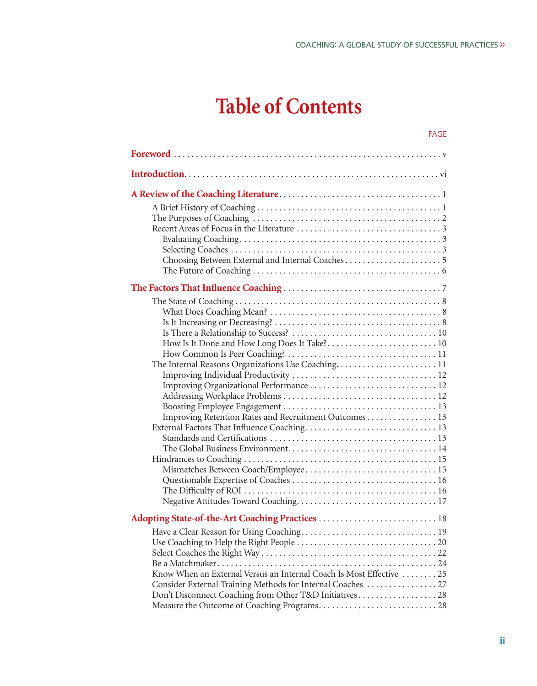PAGE

# **Table of Contents**

| Improving Retention Rates and Recruitment Outcomes 13                |  |
|----------------------------------------------------------------------|--|
|                                                                      |  |
|                                                                      |  |
|                                                                      |  |
|                                                                      |  |
| Mismatches Between Coach/Employee 15                                 |  |
|                                                                      |  |
|                                                                      |  |
|                                                                      |  |
|                                                                      |  |
|                                                                      |  |
|                                                                      |  |
|                                                                      |  |
|                                                                      |  |
| Know When an External Versus an Internal Coach Is Most Effective  25 |  |
| Consider External Training Methods for Internal Coaches  27          |  |
|                                                                      |  |
|                                                                      |  |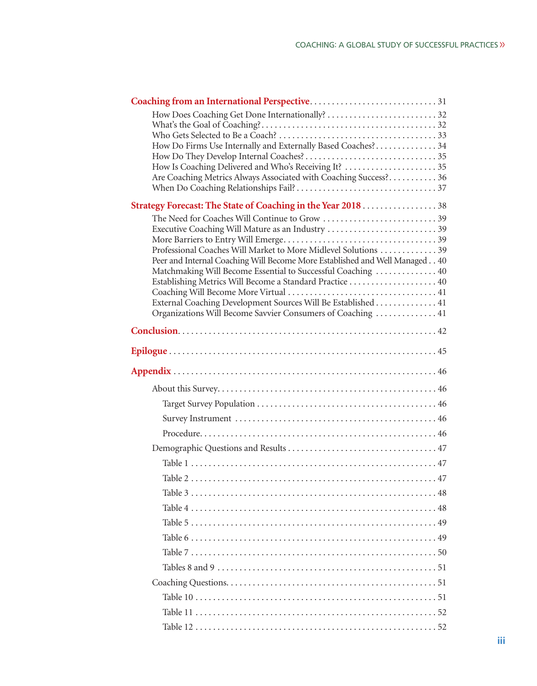| How Do Firms Use Internally and Externally Based Coaches? 34                |
|-----------------------------------------------------------------------------|
|                                                                             |
| How Is Coaching Delivered and Who's Receiving It? 35                        |
| Are Coaching Metrics Always Associated with Coaching Success? 36            |
| Strategy Forecast: The State of Coaching in the Year 2018 38                |
| The Need for Coaches Will Continue to Grow 39                               |
| Executive Coaching Will Mature as an Industry 39                            |
| Professional Coaches Will Market to More Midlevel Solutions 39              |
| Peer and Internal Coaching Will Become More Established and Well Managed 40 |
| Matchmaking Will Become Essential to Successful Coaching  40                |
|                                                                             |
| External Coaching Development Sources Will Be Established 41                |
| Organizations Will Become Savvier Consumers of Coaching  41                 |
|                                                                             |
|                                                                             |
|                                                                             |
|                                                                             |
|                                                                             |
|                                                                             |
|                                                                             |
|                                                                             |
|                                                                             |
|                                                                             |
|                                                                             |
|                                                                             |
|                                                                             |
|                                                                             |
|                                                                             |
|                                                                             |
|                                                                             |
|                                                                             |
|                                                                             |
|                                                                             |
|                                                                             |
|                                                                             |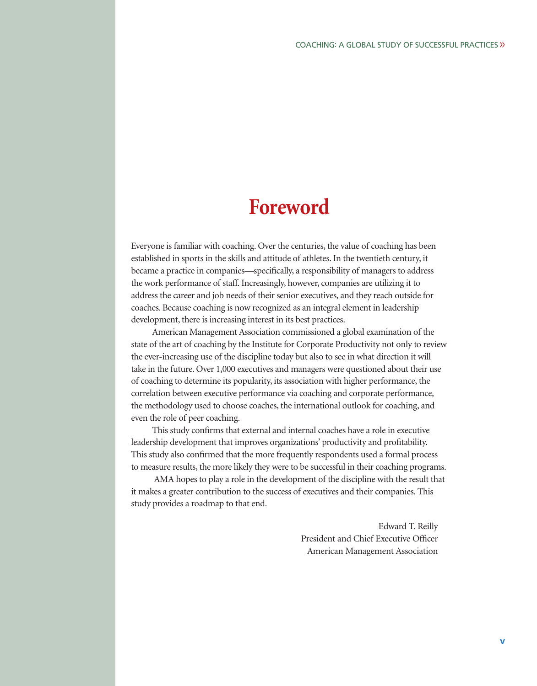## **Foreword**

Everyone is familiar with coaching. Over the centuries, the value of coaching has been established in sports in the skills and attitude of athletes. In the twentieth century, it became a practice in companies—specifically, a responsibility of managers to address the work performance of staff. Increasingly, however, companies are utilizing it to address the career and job needs of their senior executives, and they reach outside for coaches. Because coaching is now recognized as an integral element in leadership development, there is increasing interest in its best practices.

American Management Association commissioned a global examination of the state of the art of coaching by the Institute for Corporate Productivity not only to review the ever-increasing use of the discipline today but also to see in what direction it will take in the future. Over 1,000 executives and managers were questioned about their use of coaching to determine its popularity, its association with higher performance, the correlation between executive performance via coaching and corporate performance, the methodology used to choose coaches, the international outlook for coaching, and even the role of peer coaching.

This study confirms that external and internal coaches have a role in executive leadership development that improves organizations' productivity and profitability. This study also confirmed that the more frequently respondents used a formal process to measure results, the more likely they were to be successful in their coaching programs.

AMA hopes to play a role in the development of the discipline with the result that it makes a greater contribution to the success of executives and their companies. This study provides a roadmap to that end.

> Edward T. Reilly President and Chief Executive Officer American Management Association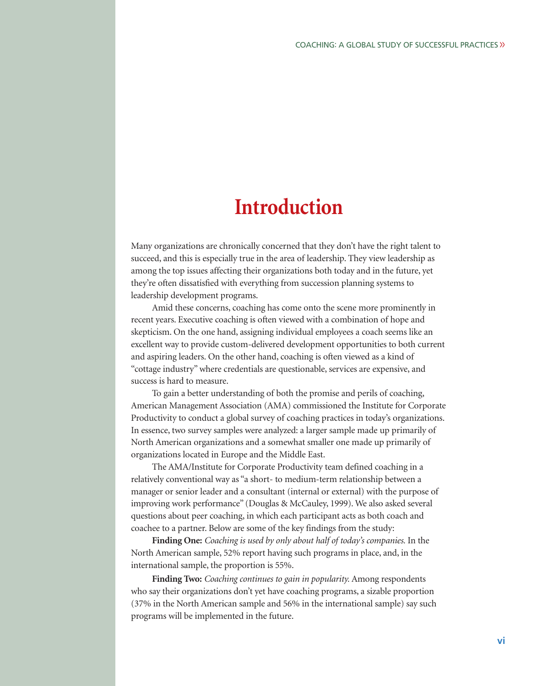## **Introduction**

Many organizations are chronically concerned that they don't have the right talent to succeed, and this is especially true in the area of leadership. They view leadership as among the top issues affecting their organizations both today and in the future, yet they're often dissatisfied with everything from succession planning systems to leadership development programs.

Amid these concerns, coaching has come onto the scene more prominently in recent years. Executive coaching is often viewed with a combination of hope and skepticism. On the one hand, assigning individual employees a coach seems like an excellent way to provide custom-delivered development opportunities to both current and aspiring leaders. On the other hand, coaching is often viewed as a kind of "cottage industry" where credentials are questionable, services are expensive, and success is hard to measure.

To gain a better understanding of both the promise and perils of coaching, American Management Association (AMA) commissioned the Institute for Corporate Productivity to conduct a global survey of coaching practices in today's organizations. In essence, two survey samples were analyzed: a larger sample made up primarily of North American organizations and a somewhat smaller one made up primarily of organizations located in Europe and the Middle East.

The AMA/Institute for Corporate Productivity team defined coaching in a relatively conventional way as "a short- to medium-term relationship between a manager or senior leader and a consultant (internal or external) with the purpose of improving work performance" (Douglas & McCauley, 1999). We also asked several questions about peer coaching, in which each participant acts as both coach and coachee to a partner. Below are some of the key findings from the study:

**Finding One:** *Coaching is used by only about half of today's companies.* In the North American sample, 52% report having such programs in place, and, in the international sample, the proportion is 55%.

**Finding Two:** *Coaching continues to gain in popularity.* Among respondents who say their organizations don't yet have coaching programs, a sizable proportion (37% in the North American sample and 56% in the international sample) say such programs will be implemented in the future.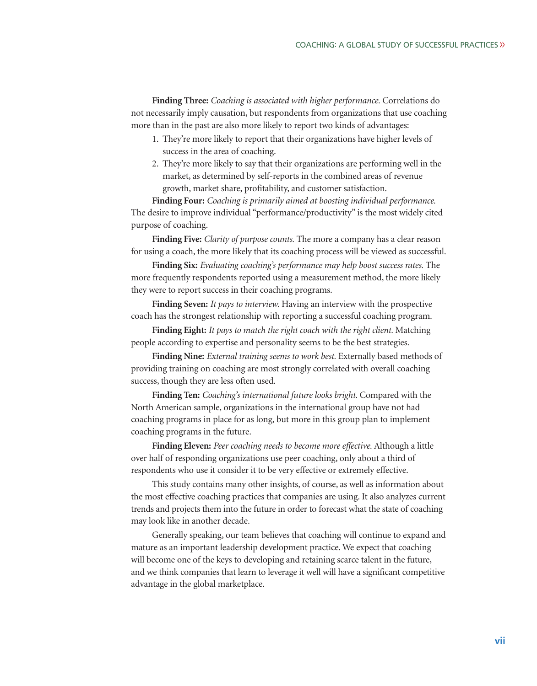**Finding Three:** *Coaching is associated with higher performance.* Correlations do not necessarily imply causation, but respondents from organizations that use coaching more than in the past are also more likely to report two kinds of advantages:

- 1. They're more likely to report that their organizations have higher levels of success in the area of coaching.
- 2. They're more likely to say that their organizations are performing well in the market, as determined by self-reports in the combined areas of revenue growth, market share, profitability, and customer satisfaction.

**Finding Four:** *Coaching is primarily aimed at boosting individual performance.* The desire to improve individual "performance/productivity" is the most widely cited purpose of coaching.

**Finding Five:** *Clarity of purpose counts.* The more a company has a clear reason for using a coach, the more likely that its coaching process will be viewed as successful.

**Finding Six:** *Evaluating coaching's performance may help boost success rates.* The more frequently respondents reported using a measurement method, the more likely they were to report success in their coaching programs.

**Finding Seven:** *It pays to interview.* Having an interview with the prospective coach has the strongest relationship with reporting a successful coaching program.

**Finding Eight:** *It pays to match the right coach with the right client.* Matching people according to expertise and personality seems to be the best strategies.

**Finding Nine:** *External training seems to work best.* Externally based methods of providing training on coaching are most strongly correlated with overall coaching success, though they are less often used.

**Finding Ten:** *Coaching's international future looks bright.* Compared with the North American sample, organizations in the international group have not had coaching programs in place for as long, but more in this group plan to implement coaching programs in the future.

**Finding Eleven:** *Peer coaching needs to become more effective.* Although a little over half of responding organizations use peer coaching, only about a third of respondents who use it consider it to be very effective or extremely effective.

This study contains many other insights, of course, as well as information about the most effective coaching practices that companies are using. It also analyzes current trends and projects them into the future in order to forecast what the state of coaching may look like in another decade.

Generally speaking, our team believes that coaching will continue to expand and mature as an important leadership development practice. We expect that coaching will become one of the keys to developing and retaining scarce talent in the future, and we think companies that learn to leverage it well will have a significant competitive advantage in the global marketplace.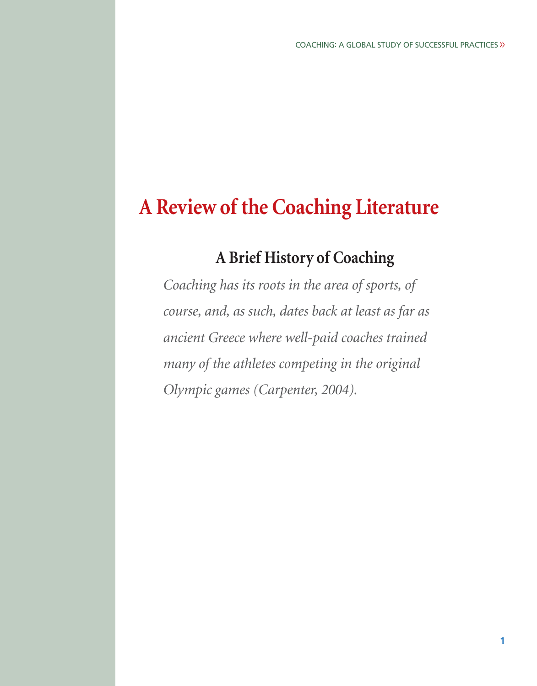## **A Review of the Coaching Literature**

## **A Brief History of Coaching**

*Coaching has its roots in the area of sports, of course, and, as such, dates back at least as far as ancient Greece where well-paid coaches trained many of the athletes competing in the original Olympic games (Carpenter, 2004).*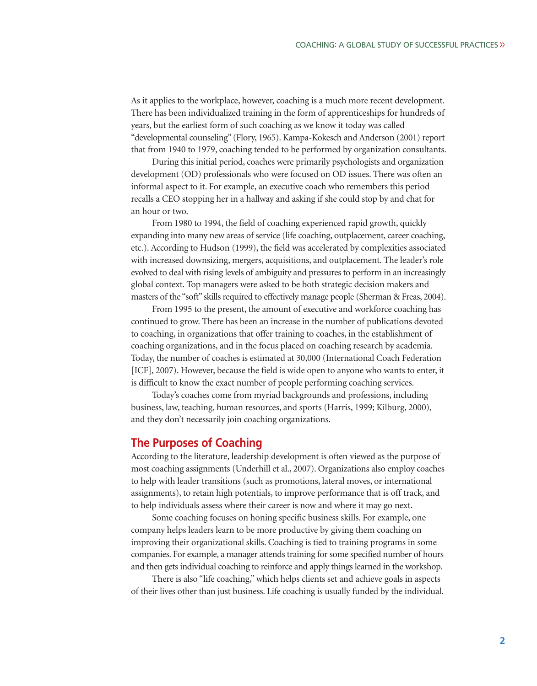As it applies to the workplace, however, coaching is a much more recent development. There has been individualized training in the form of apprenticeships for hundreds of years, but the earliest form of such coaching as we know it today was called "developmental counseling" (Flory, 1965). Kampa-Kokesch and Anderson (2001) report that from 1940 to 1979, coaching tended to be performed by organization consultants.

During this initial period, coaches were primarily psychologists and organization development (OD) professionals who were focused on OD issues. There was often an informal aspect to it. For example, an executive coach who remembers this period recalls a CEO stopping her in a hallway and asking if she could stop by and chat for an hour or two.

From 1980 to 1994, the field of coaching experienced rapid growth, quickly expanding into many new areas of service (life coaching, outplacement, career coaching, etc.). According to Hudson (1999), the field was accelerated by complexities associated with increased downsizing, mergers, acquisitions, and outplacement. The leader's role evolved to deal with rising levels of ambiguity and pressures to perform in an increasingly global context. Top managers were asked to be both strategic decision makers and masters of the "soft" skills required to effectively manage people (Sherman & Freas, 2004).

From 1995 to the present, the amount of executive and workforce coaching has continued to grow. There has been an increase in the number of publications devoted to coaching, in organizations that offer training to coaches, in the establishment of coaching organizations, and in the focus placed on coaching research by academia. Today, the number of coaches is estimated at 30,000 (International Coach Federation [ICF], 2007). However, because the field is wide open to anyone who wants to enter, it is difficult to know the exact number of people performing coaching services.

Today's coaches come from myriad backgrounds and professions, including business, law, teaching, human resources, and sports (Harris, 1999; Kilburg, 2000), and they don't necessarily join coaching organizations.

## **The Purposes of Coaching**

According to the literature, leadership development is often viewed as the purpose of most coaching assignments (Underhill et al., 2007). Organizations also employ coaches to help with leader transitions (such as promotions, lateral moves, or international assignments), to retain high potentials, to improve performance that is off track, and to help individuals assess where their career is now and where it may go next.

Some coaching focuses on honing specific business skills. For example, one company helps leaders learn to be more productive by giving them coaching on improving their organizational skills. Coaching is tied to training programs in some companies. For example, a manager attends training for some specified number of hours and then gets individual coaching to reinforce and apply things learned in the workshop.

There is also "life coaching," which helps clients set and achieve goals in aspects of their lives other than just business. Life coaching is usually funded by the individual.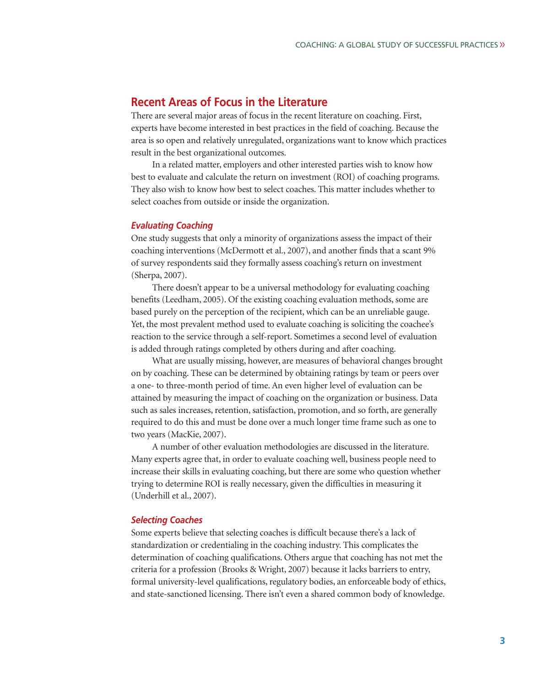## **Recent Areas of Focus in the Literature**

There are several major areas of focus in the recent literature on coaching. First, experts have become interested in best practices in the field of coaching. Because the area is so open and relatively unregulated, organizations want to know which practices result in the best organizational outcomes.

In a related matter, employers and other interested parties wish to know how best to evaluate and calculate the return on investment (ROI) of coaching programs. They also wish to know how best to select coaches. This matter includes whether to select coaches from outside or inside the organization.

#### *Evaluating Coaching*

One study suggests that only a minority of organizations assess the impact of their coaching interventions (McDermott et al., 2007), and another finds that a scant 9% of survey respondents said they formally assess coaching's return on investment (Sherpa, 2007).

There doesn't appear to be a universal methodology for evaluating coaching benefits (Leedham, 2005). Of the existing coaching evaluation methods, some are based purely on the perception of the recipient, which can be an unreliable gauge. Yet, the most prevalent method used to evaluate coaching is soliciting the coachee's reaction to the service through a self-report. Sometimes a second level of evaluation is added through ratings completed by others during and after coaching.

What are usually missing, however, are measures of behavioral changes brought on by coaching. These can be determined by obtaining ratings by team or peers over a one- to three-month period of time. An even higher level of evaluation can be attained by measuring the impact of coaching on the organization or business. Data such as sales increases, retention, satisfaction, promotion, and so forth, are generally required to do this and must be done over a much longer time frame such as one to two years (MacKie, 2007).

A number of other evaluation methodologies are discussed in the literature. Many experts agree that, in order to evaluate coaching well, business people need to increase their skills in evaluating coaching, but there are some who question whether trying to determine ROI is really necessary, given the difficulties in measuring it (Underhill et al., 2007).

#### *Selecting Coaches*

Some experts believe that selecting coaches is difficult because there's a lack of standardization or credentialing in the coaching industry. This complicates the determination of coaching qualifications. Others argue that coaching has not met the criteria for a profession (Brooks & Wright, 2007) because it lacks barriers to entry, formal university-level qualifications, regulatory bodies, an enforceable body of ethics, and state-sanctioned licensing. There isn't even a shared common body of knowledge.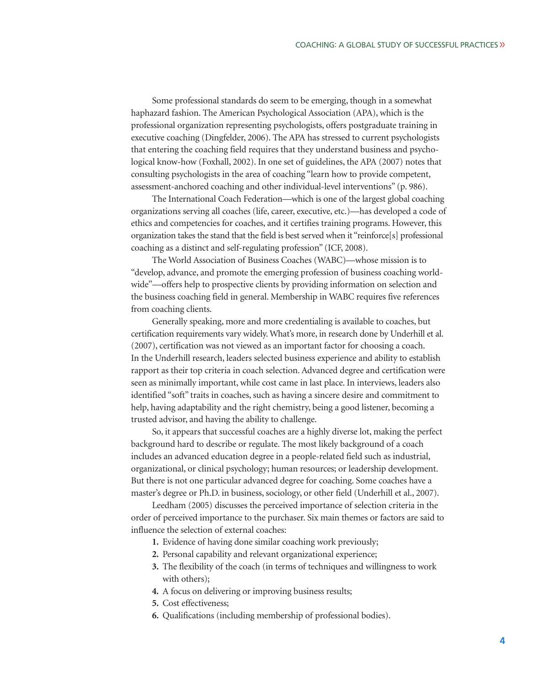Some professional standards do seem to be emerging, though in a somewhat haphazard fashion. The American Psychological Association (APA), which is the professional organization representing psychologists, offers postgraduate training in executive coaching (Dingfelder, 2006). The APA has stressed to current psychologists that entering the coaching field requires that they understand business and psycho logical know-how (Foxhall, 2002). In one set of guidelines, the APA (2007) notes that consulting psychologists in the area of coaching "learn how to provide competent, assessment-anchored coaching and other individual-level interventions" (p. 986).

The International Coach Federation—which is one of the largest global coaching organizations serving all coaches (life, career, executive, etc.)—has developed a code of ethics and competencies for coaches, and it certifies training programs. However, this organization takes the stand that the field is best served when it "reinforce[s] professional coaching as a distinct and self-regulating profession" (ICF, 2008).

The World Association of Business Coaches (WABC)—whose mission is to "develop, advance, and promote the emerging profession of business coaching worldwide"—offers help to prospective clients by providing information on selection and the business coaching field in general. Membership in WABC requires five references from coaching clients.

Generally speaking, more and more credentialing is available to coaches, but certification requirements vary widely. What's more, in research done by Underhill et al. (2007), certification was not viewed as an important factor for choosing a coach. In the Underhill research, leaders selected business experience and ability to establish rapport as their top criteria in coach selection. Advanced degree and certification were seen as minimally important, while cost came in last place. In interviews, leaders also identified "soft" traits in coaches, such as having a sincere desire and commitment to help, having adaptability and the right chemistry, being a good listener, becoming a trusted advisor, and having the ability to challenge.

So, it appears that successful coaches are a highly diverse lot, making the perfect background hard to describe or regulate. The most likely background of a coach includes an advanced education degree in a people-related field such as industrial, organizational, or clinical psychology; human resources; or leadership development. But there is not one particular advanced degree for coaching. Some coaches have a master's degree or Ph.D. in business, sociology, or other field (Underhill et al., 2007).

Leedham (2005) discusses the perceived importance of selection criteria in the order of perceived importance to the purchaser. Six main themes or factors are said to influence the selection of external coaches:

- **1.** Evidence of having done similar coaching work previously;
- **2.** Personal capability and relevant organizational experience;
- **3.** The flexibility of the coach (in terms of techniques and willingness to work with others);
- **4.** A focus on delivering or improving business results;
- **5.** Cost effectiveness;
- **6.** Qualifications (including membership of professional bodies).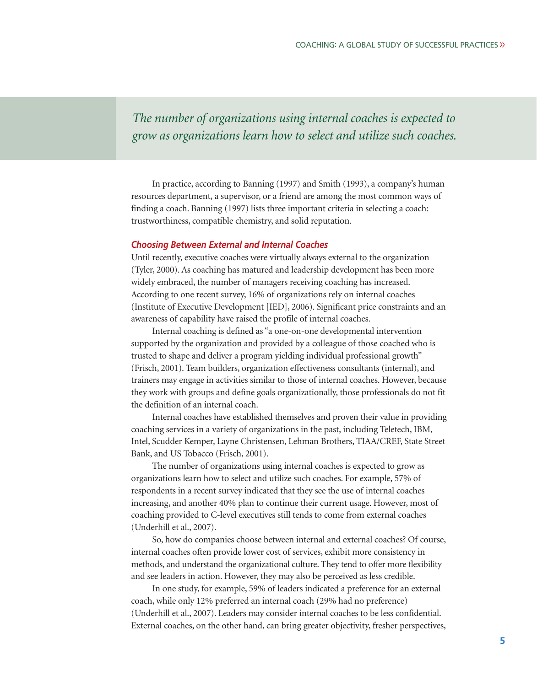*The number of organizations using internal coaches is expected to grow as organizations learn how to select and utilize such coaches.* 

In practice, according to Banning (1997) and Smith (1993), a company's human resources department, a supervisor, or a friend are among the most common ways of finding a coach. Banning (1997) lists three important criteria in selecting a coach: trustworthiness, compatible chemistry, and solid reputation.

#### *Choosing Between External and Internal Coaches*

Until recently, executive coaches were virtually always external to the organization (Tyler, 2000). As coaching has matured and leadership development has been more widely embraced, the number of managers receiving coaching has increased. According to one recent survey, 16% of organizations rely on internal coaches (Institute of Executive Development [IED], 2006). Significant price constraints and an awareness of capability have raised the profile of internal coaches.

Internal coaching is defined as "a one-on-one developmental intervention supported by the organization and provided by a colleague of those coached who is trusted to shape and deliver a program yielding individual professional growth" (Frisch, 2001). Team builders, organization effectiveness consultants (internal), and trainers may engage in activities similar to those of internal coaches. However, because they work with groups and define goals organizationally, those professionals do not fit the definition of an internal coach.

Internal coaches have established themselves and proven their value in providing coaching services in a variety of organizations in the past, including Teletech, IBM, Intel, Scudder Kemper, Layne Christensen, Lehman Brothers, TIAA/CREF, State Street Bank, and US Tobacco (Frisch, 2001).

The number of organizations using internal coaches is expected to grow as organizations learn how to select and utilize such coaches. For example, 57% of respondents in a recent survey indicated that they see the use of internal coaches increasing, and another 40% plan to continue their current usage. However, most of coaching provided to C-level executives still tends to come from external coaches (Underhill et al., 2007).

So, how do companies choose between internal and external coaches? Of course, internal coaches often provide lower cost of services, exhibit more consistency in methods, and understand the organizational culture. They tend to offer more flexibility and see leaders in action. However, they may also be perceived as less credible.

In one study, for example, 59% of leaders indicated a preference for an external coach, while only 12% preferred an internal coach (29% had no preference) (Underhill et al., 2007). Leaders may consider internal coaches to be less confidential. External coaches, on the other hand, can bring greater objectivity, fresher perspectives,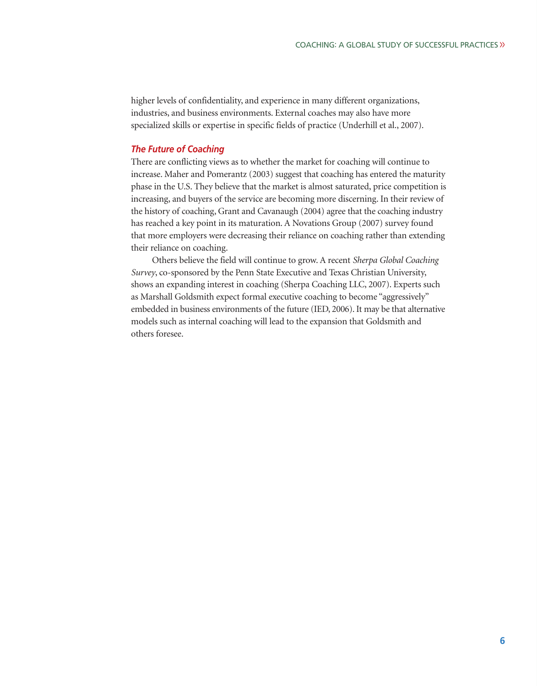higher levels of confidentiality, and experience in many different organizations, industries, and business environments. External coaches may also have more specialized skills or expertise in specific fields of practice (Underhill et al., 2007).

## *The Future of Coaching*

There are conflicting views as to whether the market for coaching will continue to increase. Maher and Pomerantz (2003) suggest that coaching has entered the maturity phase in the U.S. They believe that the market is almost saturated, price competition is increasing, and buyers of the service are becoming more discerning. In their review of the history of coaching, Grant and Cavanaugh (2004) agree that the coaching industry has reached a key point in its maturation. A Novations Group (2007) survey found that more employers were decreasing their reliance on coaching rather than extending their reliance on coaching.

Others believe the field will continue to grow. A recent *Sherpa Global Coaching Survey*, co-sponsored by the Penn State Executive and Texas Christian University, shows an expanding interest in coaching (Sherpa Coaching LLC, 2007). Experts such as Marshall Goldsmith expect formal executive coaching to become "aggressively" embedded in business environments of the future (IED, 2006). It may be that alternative models such as internal coaching will lead to the expansion that Goldsmith and others foresee.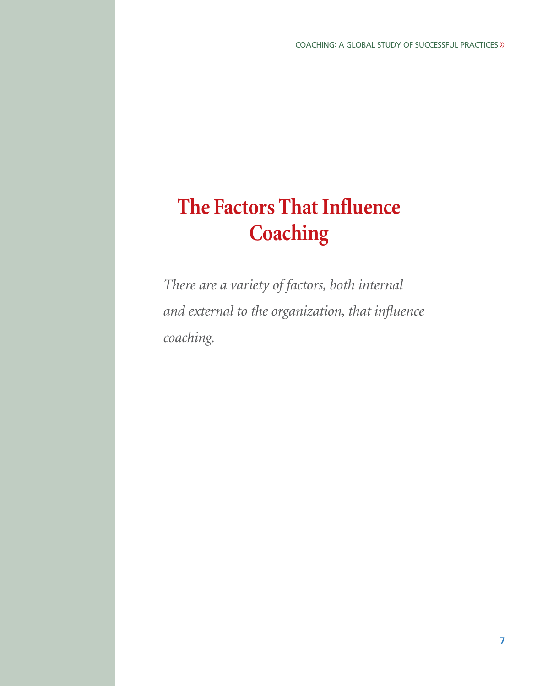# **The Factors That Influence Coaching**

*There are a variety of factors, both internal and external to the organization, that influence coaching.*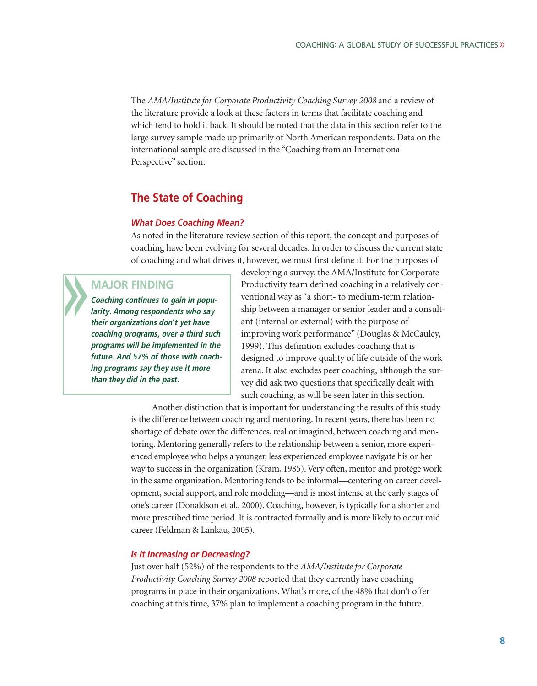The *AMA/Institute for Corporate Productivity Coaching Survey 2008* and a review of the literature provide a look at these factors in terms that facilitate coaching and which tend to hold it back. It should be noted that the data in this section refer to the large survey sample made up primarily of North American respondents. Data on the international sample are discussed in the "Coaching from an International Perspective" section.

## **The State of Coaching**

#### *What Does Coaching Mean?*

As noted in the literature review section of this report, the concept and purposes of coaching have been evolving for several decades. In order to discuss the current state of coaching and what drives it, however, we must first define it. For the purposes of

## **MAJOR FINDING**

**Coaching continues to gain in popularity. Among respondents who say their organizations don't yet have coaching programs, over a third such programs will be implemented in the future. And 57% of those with coaching programs say they use it more than they did in the past.**

developing a survey, the AMA/Institute for Corporate Productivity team defined coaching in a relatively conventional way as "a short- to medium-term relationship between a manager or senior leader and a consultant (internal or external) with the purpose of improving work performance" (Douglas & McCauley, 1999). This definition excludes coaching that is designed to improve quality of life outside of the work arena. It also excludes peer coaching, although the survey did ask two questions that specifically dealt with such coaching, as will be seen later in this section.

Another distinction that is important for understanding the results of this study is the difference between coaching and mentoring. In recent years, there has been no shortage of debate over the differences, real or imagined, between coaching and mentoring. Mentoring generally refers to the relationship between a senior, more experienced employee who helps a younger, less experienced employee navigate his or her way to success in the organization (Kram, 1985). Very often, mentor and protégé work in the same organization. Mentoring tends to be informal—centering on career development, social support, and role modeling—and is most intense at the early stages of one's career (Donaldson et al., 2000). Coaching, however, is typically for a shorter and more prescribed time period. It is contracted formally and is more likely to occur mid career (Feldman & Lankau, 2005).

### *Is It Increasing or Decreasing?*

Just over half (52%) of the respondents to the *AMA/Institute for Corporate Productivity Coaching Survey 2008* reported that they currently have coaching programs in place in their organizations. What's more, of the 48% that don't offer coaching at this time, 37% plan to implement a coaching program in the future.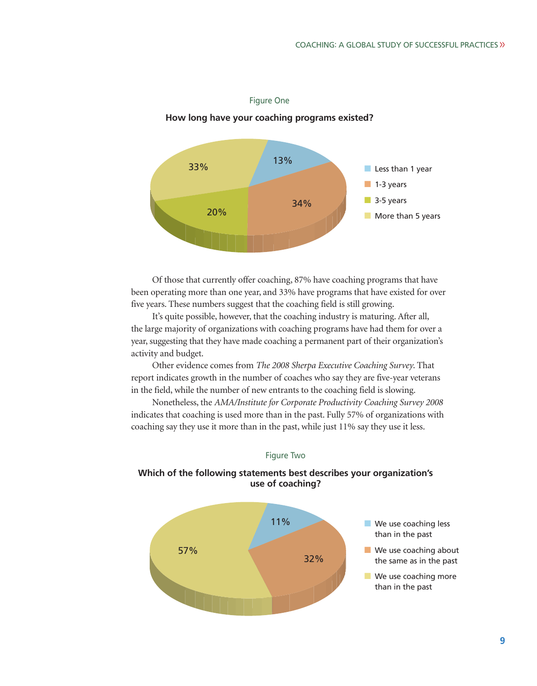## **How long have your coaching programs existed?** ■ Less than 1 year ■ 1-3 years ■ 3-5 years ■ More than 5 years 33% 13% 34% 20%

#### Figure One

Of those that currently offer coaching, 87% have coaching programs that have been operating more than one year, and 33% have programs that have existed for over five years. These numbers suggest that the coaching field is still growing.

It's quite possible, however, that the coaching industry is maturing. After all, the large majority of organizations with coaching programs have had them for over a year, suggesting that they have made coaching a permanent part of their organization's activity and budget.

Other evidence comes from *The 2008 Sherpa Executive Coaching Survey*. That report indicates growth in the number of coaches who say they are five-year veterans in the field, while the number of new entrants to the coaching field is slowing.

Nonetheless, the *AMA/Institute for Corporate Productivity Coaching Survey 2008* indicates that coaching is used more than in the past. Fully 57% of organizations with coaching say they use it more than in the past, while just 11% say they use it less.



## **Which of the following statements best describes your organization's use of coaching?**

Figure Two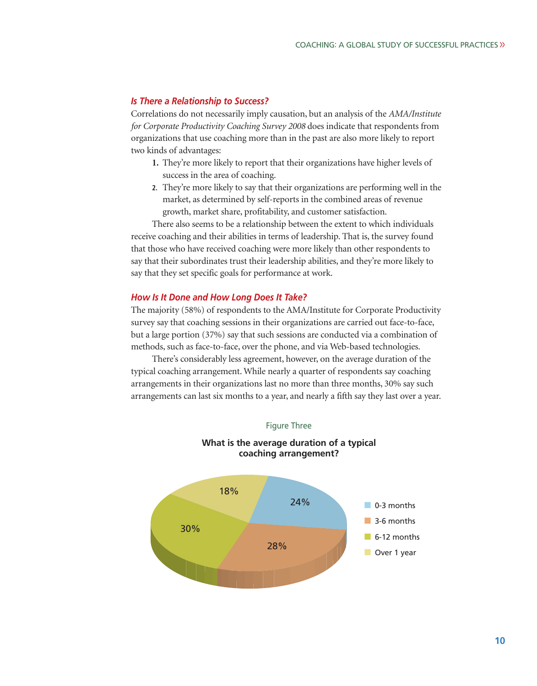### *Is There a Relationship to Success?*

Correlations do not necessarily imply causation, but an analysis of the *AMA/Institute for Corporate Productivity Coaching Survey 2008* does indicate that respondents from organizations that use coaching more than in the past are also more likely to report two kinds of advantages:

- **1.** They're more likely to report that their organizations have higher levels of success in the area of coaching.
- **2.** They're more likely to say that their organizations are performing well in the market, as determined by self-reports in the combined areas of revenue growth, market share, profitability, and customer satisfaction.

There also seems to be a relationship between the extent to which individuals receive coaching and their abilities in terms of leadership. That is, the survey found that those who have received coaching were more likely than other respondents to say that their subordinates trust their leadership abilities, and they're more likely to say that they set specific goals for performance at work.

#### *How Is It Done and How Long Does It Take?*

The majority (58%) of respondents to the AMA/Institute for Corporate Productivity survey say that coaching sessions in their organizations are carried out face-to-face, but a large portion (37%) say that such sessions are conducted via a combination of methods, such as face-to-face, over the phone, and via Web-based technologies.

There's considerably less agreement, however, on the average duration of the typical coaching arrangement. While nearly a quarter of respondents say coaching arrangements in their organizations last no more than three months, 30% say such arrangements can last six months to a year, and nearly a fifth say they last over a year.



# **What is the average duration of a typical**

Figure Three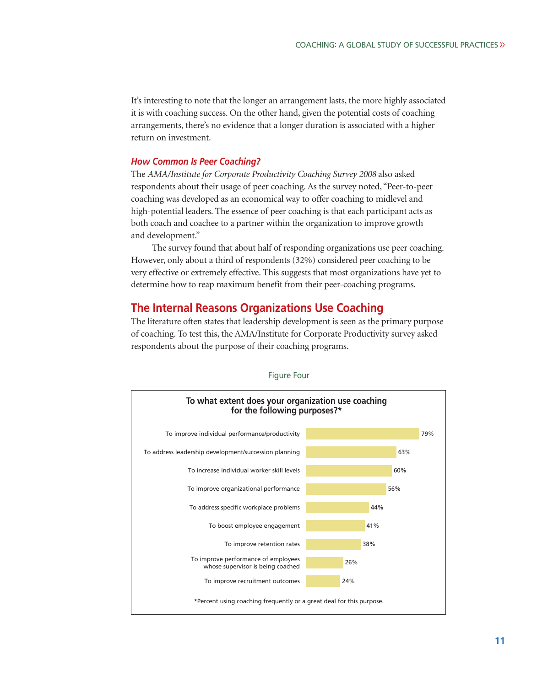It's interesting to note that the longer an arrangement lasts, the more highly associated it is with coaching success. On the other hand, given the potential costs of coaching arrangements, there's no evidence that a longer duration is associated with a higher return on investment.

#### *How Common Is Peer Coaching?*

The *AMA/Institute for Corporate Productivity Coaching Survey 2008* also asked respondents about their usage of peer coaching. As the survey noted, "Peer-to-peer coaching was developed as an economical way to offer coaching to midlevel and high-potential leaders. The essence of peer coaching is that each participant acts as both coach and coachee to a partner within the organization to improve growth and development."

The survey found that about half of responding organizations use peer coaching. However, only about a third of respondents (32%) considered peer coaching to be very effective or extremely effective. This suggests that most organizations have yet to determine how to reap maximum benefit from their peer-coaching programs.

## **The Internal Reasons Organizations Use Coaching**

The literature often states that leadership development is seen as the primary purpose of coaching. To test this, the AMA/Institute for Corporate Productivity survey asked respondents about the purpose of their coaching programs.



Figure Four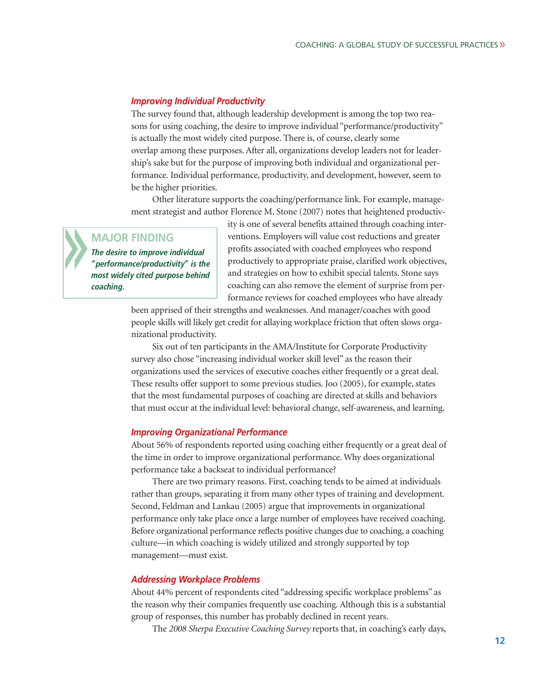### *Improving Individual Productivity*

The survey found that, although leadership development is among the top two reasons for using coaching, the desire to improve individual "performance/productivity" is actually the most widely cited purpose. There is, of course, clearly some overlap among these purposes. After all, organizations develop leaders not for leadership's sake but for the purpose of improving both individual and organizational performance. Individual performance, productivity, and development, however, seem to be the higher priorities.

Other literature supports the coaching/performance link. For example, management strategist and author Florence M. Stone (2007) notes that heightened productiv-

## **MAJOR FINDING**

**The desire to improve individual "performance/productivity" is the most widely cited purpose behind coaching.**

ity is one of several benefits attained through coaching interventions. Employers will value cost reductions and greater profits associated with coached employees who respond productively to appropriate praise, clarified work objectives, and strategies on how to exhibit special talents. Stone says coaching can also remove the element of surprise from performance reviews for coached employees who have already

been apprised of their strengths and weaknesses. And manager/coaches with good people skills will likely get credit for allaying workplace friction that often slows organizational productivity.

Six out of ten participants in the AMA/Institute for Corporate Productivity survey also chose "increasing individual worker skill level" as the reason their organizations used the services of executive coaches either frequently or a great deal. These results offer support to some previous studies. Joo (2005), for example, states that the most fundamental purposes of coaching are directed at skills and behaviors that must occur at the individual level: behavioral change, self-awareness, and learning.

#### *Improving Organizational Performance*

About 56% of respondents reported using coaching either frequently or a great deal of the time in order to improve organizational performance. Why does organizational performance take a backseat to individual performance?

There are two primary reasons. First, coaching tends to be aimed at individuals rather than groups, separating it from many other types of training and development. Second, Feldman and Lankau (2005) argue that improvements in organizational performance only take place once a large number of employees have received coaching. Before organizational performance reflects positive changes due to coaching, a coaching culture—in which coaching is widely utilized and strongly supported by top management—must exist.

#### *Addressing Workplace Problems*

About 44% percent of respondents cited "addressing specific workplace problems" as the reason why their companies frequently use coaching. Although this is a substantial group of responses, this number has probably declined in recent years.

The *2008 Sherpa Executive Coaching Survey* reports that, in coaching's early days,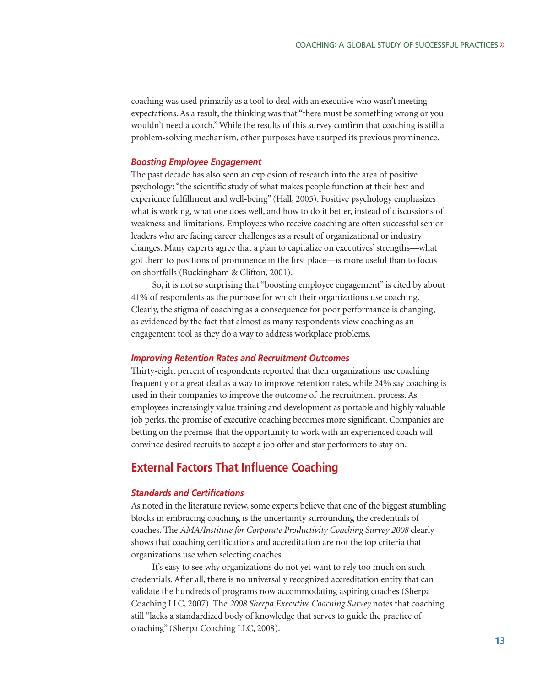coaching was used primarily as a tool to deal with an executive who wasn't meeting expectations. As a result, the thinking was that "there must be something wrong or you wouldn't need a coach." While the results of this survey confirm that coaching is still a problem-solving mechanism, other purposes have usurped its previous prominence.

#### *Boosting Employee Engagement*

The past decade has also seen an explosion of research into the area of positive psychology: "the scientific study of what makes people function at their best and experience fulfillment and well-being" (Hall, 2005). Positive psychology emphasizes what is working, what one does well, and how to do it better, instead of discussions of weakness and limitations. Employees who receive coaching are often successful senior leaders who are facing career challenges as a result of organizational or industry changes. Many experts agree that a plan to capitalize on executives' strengths—what got them to positions of prominence in the first place—is more useful than to focus on shortfalls (Buckingham & Clifton, 2001).

So, it is not so surprising that "boosting employee engagement" is cited by about 41% of respondents as the purpose for which their organizations use coaching. Clearly, the stigma of coaching as a consequence for poor performance is changing, as evidenced by the fact that almost as many respondents view coaching as an engagement tool as they do a way to address workplace problems.

### *Improving Retention Rates and Recruitment Outcomes*

Thirty-eight percent of respondents reported that their organizations use coaching frequently or a great deal as a way to improve retention rates, while 24% say coaching is used in their companies to improve the outcome of the recruitment process. As employees increasingly value training and development as portable and highly valuable job perks, the promise of executive coaching becomes more significant. Companies are betting on the premise that the opportunity to work with an experienced coach will convince desired recruits to accept a job offer and star performers to stay on.

## **External Factors That Influence Coaching**

### *Standards and Certifications*

As noted in the literature review, some experts believe that one of the biggest stumbling blocks in embracing coaching is the uncertainty surrounding the credentials of coaches. The *AMA/Institute for Corporate Productivity Coaching Survey 2008* clearly shows that coaching certifications and accreditation are not the top criteria that organizations use when selecting coaches.

It's easy to see why organizations do not yet want to rely too much on such credentials. After all, there is no universally recognized accreditation entity that can validate the hundreds of programs now accommodating aspiring coaches (Sherpa Coaching LLC, 2007). The *2008 Sherpa Executive Coaching Survey* notes that coaching still "lacks a standardized body of knowledge that serves to guide the practice of coaching" (Sherpa Coaching LLC, 2008).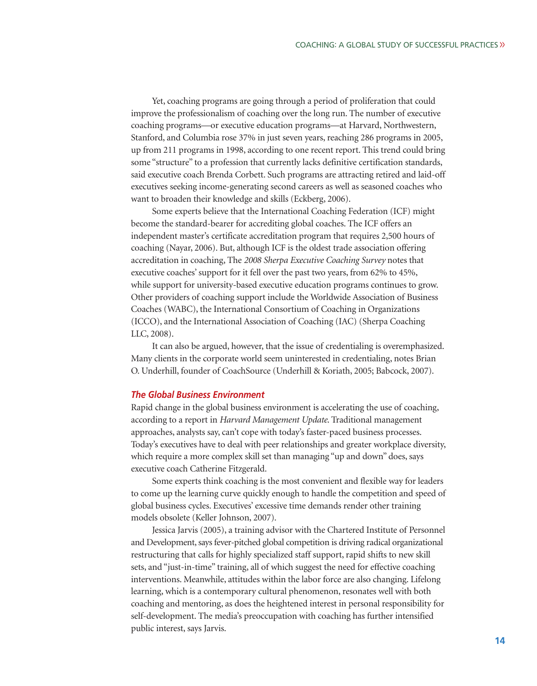Yet, coaching programs are going through a period of proliferation that could improve the professionalism of coaching over the long run. The number of executive coaching programs—or executive education programs—at Harvard, Northwestern, Stanford, and Columbia rose 37% in just seven years, reaching 286 programs in 2005, up from 211 programs in 1998, according to one recent report. This trend could bring some "structure" to a profession that currently lacks definitive certification standards, said executive coach Brenda Corbett. Such programs are attracting retired and laid-off executives seeking income-generating second careers as well as seasoned coaches who want to broaden their knowledge and skills (Eckberg, 2006).

Some experts believe that the International Coaching Federation (ICF) might become the standard-bearer for accrediting global coaches. The ICF offers an independent master's certificate accreditation program that requires 2,500 hours of coaching (Nayar, 2006). But, although ICF is the oldest trade association offering accreditation in coaching, The *2008 Sherpa Executive Coaching Survey* notes that executive coaches' support for it fell over the past two years, from 62% to 45%, while support for university-based executive education programs continues to grow. Other providers of coaching support include the Worldwide Association of Business Coaches (WABC), the International Consortium of Coaching in Organizations (ICCO), and the International Association of Coaching (IAC) (Sherpa Coaching LLC, 2008).

It can also be argued, however, that the issue of credentialing is overemphasized. Many clients in the corporate world seem uninterested in credentialing, notes Brian O. Underhill, founder of CoachSource (Underhill & Koriath, 2005; Babcock, 2007).

#### *The Global Business Environment*

Rapid change in the global business environment is accelerating the use of coaching, according to a report in *Harvard Management Update*. Traditional management approaches, analysts say, can't cope with today's faster-paced business processes. Today's executives have to deal with peer relationships and greater workplace diversity, which require a more complex skill set than managing "up and down" does, says executive coach Catherine Fitzgerald.

Some experts think coaching is the most convenient and flexible way for leaders to come up the learning curve quickly enough to handle the competition and speed of global business cycles. Executives' excessive time demands render other training models obsolete (Keller Johnson, 2007).

Jessica Jarvis (2005), a training advisor with the Chartered Institute of Personnel and Development, says fever-pitched global competition is driving radical organizational restructuring that calls for highly specialized staff support, rapid shifts to new skill sets, and "just-in-time" training, all of which suggest the need for effective coaching interventions. Meanwhile, attitudes within the labor force are also changing. Lifelong learning, which is a contemporary cultural phenomenon, resonates well with both coaching and mentoring, as does the heightened interest in personal responsibility for self-development. The media's preoccupation with coaching has further intensified public interest, says Jarvis.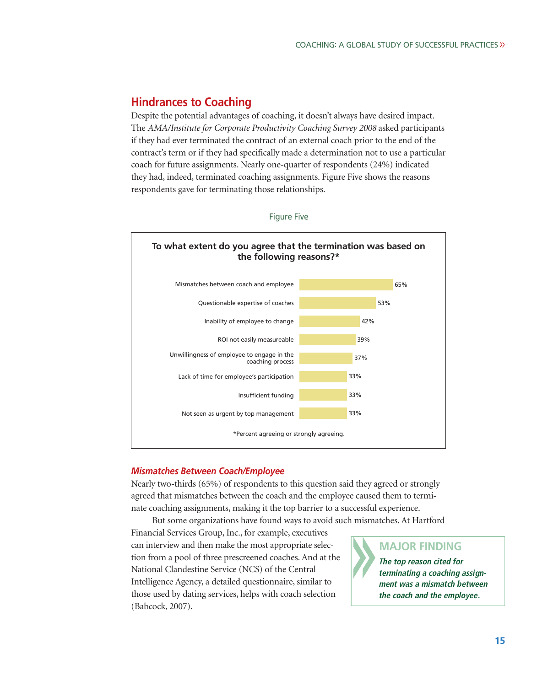## **Hindrances to Coaching**

Despite the potential advantages of coaching, it doesn't always have desired impact. The *AMA/Institute for Corporate Productivity Coaching Survey 2008* asked participants if they had ever terminated the contract of an external coach prior to the end of the contract's term or if they had specifically made a determination not to use a particular coach for future assignments. Nearly one-quarter of respondents (24%) indicated they had, indeed, terminated coaching assignments. Figure Five shows the reasons respondents gave for terminating those relationships.



Figure Five

## *Mismatches Between Coach/Employee*

Nearly two-thirds (65%) of respondents to this question said they agreed or strongly agreed that mismatches between the coach and the employee caused them to terminate coaching assignments, making it the top barrier to a successful experience.

But some organizations have found ways to avoid such mismatches. At Hartford

Financial Services Group, Inc., for example, executives can interview and then make the most appropriate selection from a pool of three prescreened coaches. And at the National Clandestine Service (NCS) of the Central Intelligence Agency, a detailed questionnaire, similar to those used by dating services, helps with coach selection (Babcock, 2007).

## **MAJOR FINDING**

**The top reason cited for terminating a coaching assignment was a mismatch between the coach and the employee.**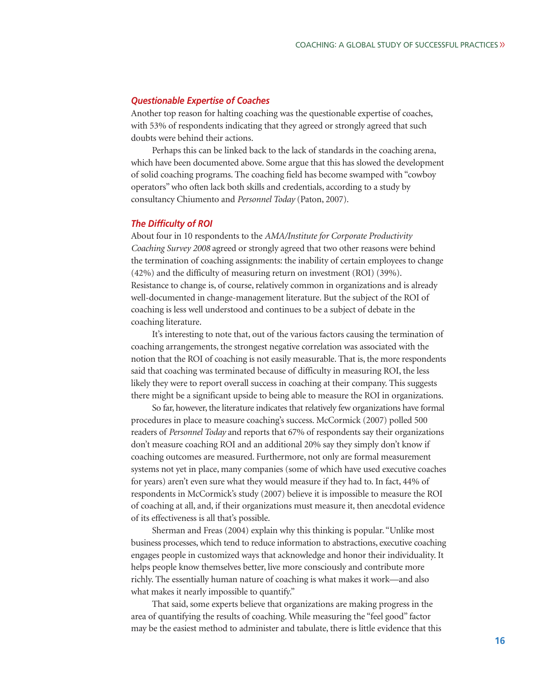### *Questionable Expertise of Coaches*

Another top reason for halting coaching was the questionable expertise of coaches, with 53% of respondents indicating that they agreed or strongly agreed that such doubts were behind their actions.

Perhaps this can be linked back to the lack of standards in the coaching arena, which have been documented above. Some argue that this has slowed the development of solid coaching programs. The coaching field has become swamped with "cowboy operators" who often lack both skills and credentials, according to a study by consultancy Chiumento and *Personnel Today* (Paton, 2007).

#### *The Difficulty of ROI*

About four in 10 respondents to the *AMA/Institute for Corporate Productivity Coaching Survey 2008* agreed or strongly agreed that two other reasons were behind the termination of coaching assignments: the inability of certain employees to change (42%) and the difficulty of measuring return on investment (ROI) (39%). Resistance to change is, of course, relatively common in organizations and is already well-documented in change-management literature. But the subject of the ROI of coaching is less well understood and continues to be a subject of debate in the coaching literature.

It's interesting to note that, out of the various factors causing the termination of coaching arrangements, the strongest negative correlation was associated with the notion that the ROI of coaching is not easily measurable. That is, the more respondents said that coaching was terminated because of difficulty in measuring ROI, the less likely they were to report overall success in coaching at their company. This suggests there might be a significant upside to being able to measure the ROI in organizations.

So far, however, the literature indicates that relatively few organizations have formal procedures in place to measure coaching's success. McCormick (2007) polled 500 readers of *Personnel Today* and reports that 67% of respondents say their organizations don't measure coaching ROI and an additional 20% say they simply don't know if coaching outcomes are measured. Furthermore, not only are formal measurement systems not yet in place, many companies (some of which have used executive coaches for years) aren't even sure what they would measure if they had to. In fact, 44% of respondents in McCormick's study (2007) believe it is impossible to measure the ROI of coaching at all, and, if their organizations must measure it, then anecdotal evidence of its effectiveness is all that's possible.

Sherman and Freas (2004) explain why this thinking is popular. "Unlike most business processes, which tend to reduce information to abstractions, executive coaching engages people in customized ways that acknowledge and honor their individuality. It helps people know themselves better, live more consciously and contribute more richly. The essentially human nature of coaching is what makes it work—and also what makes it nearly impossible to quantify."

That said, some experts believe that organizations are making progress in the area of quantifying the results of coaching. While measuring the "feel good" factor may be the easiest method to administer and tabulate, there is little evidence that this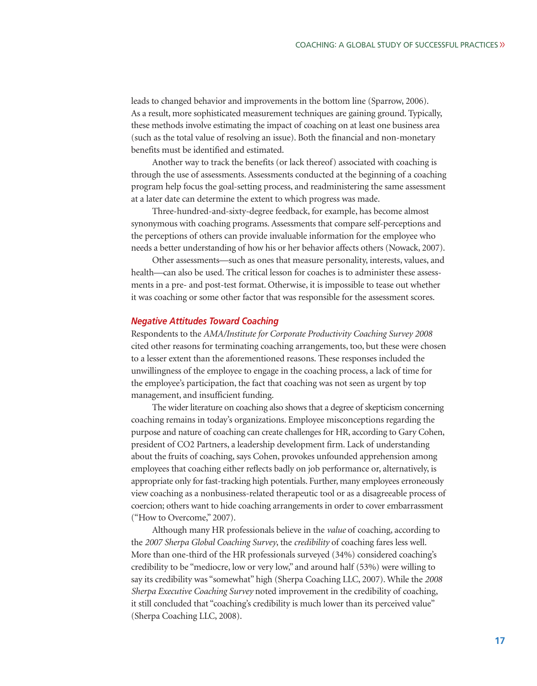leads to changed behavior and improvements in the bottom line (Sparrow, 2006). As a result, more sophisticated measurement techniques are gaining ground. Typically, these methods involve estimating the impact of coaching on at least one business area (such as the total value of resolving an issue). Both the financial and non-monetary benefits must be identified and estimated.

Another way to track the benefits (or lack thereof) associated with coaching is through the use of assessments. Assessments conducted at the beginning of a coaching program help focus the goal-setting process, and readministering the same assessment at a later date can determine the extent to which progress was made.

Three-hundred-and-sixty-degree feedback, for example, has become almost synonymous with coaching programs. Assessments that compare self-perceptions and the perceptions of others can provide invaluable information for the employee who needs a better understanding of how his or her behavior affects others (Nowack, 2007).

Other assessments—such as ones that measure personality, interests, values, and health—can also be used. The critical lesson for coaches is to administer these assessments in a pre- and post-test format. Otherwise, it is impossible to tease out whether it was coaching or some other factor that was responsible for the assessment scores.

### *Negative Attitudes Toward Coaching*

Respondents to the *AMA/Institute for Corporate Productivity Coaching Survey 2008* cited other reasons for terminating coaching arrangements, too, but these were chosen to a lesser extent than the aforementioned reasons. These responses included the unwillingness of the employee to engage in the coaching process, a lack of time for the employee's participation, the fact that coaching was not seen as urgent by top management, and insufficient funding.

The wider literature on coaching also shows that a degree of skepticism concerning coaching remains in today's organizations. Employee misconceptions regarding the purpose and nature of coaching can create challenges for HR, according to Gary Cohen, president of CO2 Partners, a leadership development firm. Lack of understanding about the fruits of coaching, says Cohen, provokes unfounded apprehension among employees that coaching either reflects badly on job performance or, alternatively, is appropriate only for fast-tracking high potentials. Further, many employees erroneously view coaching as a nonbusiness-related therapeutic tool or as a disagreeable process of coercion; others want to hide coaching arrangements in order to cover embarrassment ("How to Overcome," 2007).

Although many HR professionals believe in the *value* of coaching, according to the *2007 Sherpa Global Coaching Survey*, the *credibility* of coaching fares less well. More than one-third of the HR professionals surveyed (34%) considered coaching's credibility to be "mediocre, low or very low," and around half (53%) were willing to say its credibility was "somewhat" high (Sherpa Coaching LLC, 2007). While the *2008 Sherpa Executive Coaching Survey* noted improvement in the credibility of coaching, it still concluded that "coaching's credibility is much lower than its perceived value" (Sherpa Coaching LLC, 2008).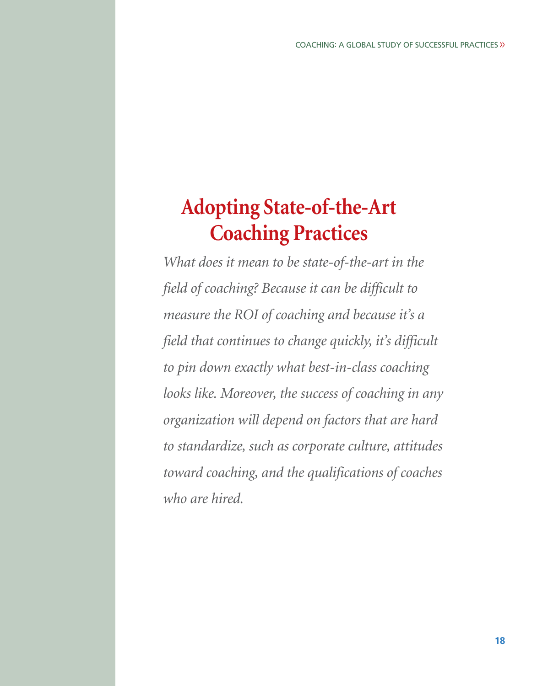# **Adopting State-of-the-Art Coaching Practices**

*What does it mean to be state-of-the-art in the field of coaching? Because it can be difficult to measure the ROI of coaching and because it's a field that continues to change quickly, it's difficult to pin down exactly what best-in-class coaching looks like. Moreover, the success of coaching in any organization will depend on factors that are hard to standardize, such as corporate culture, attitudes toward coaching, and the qualifications of coaches who are hired.*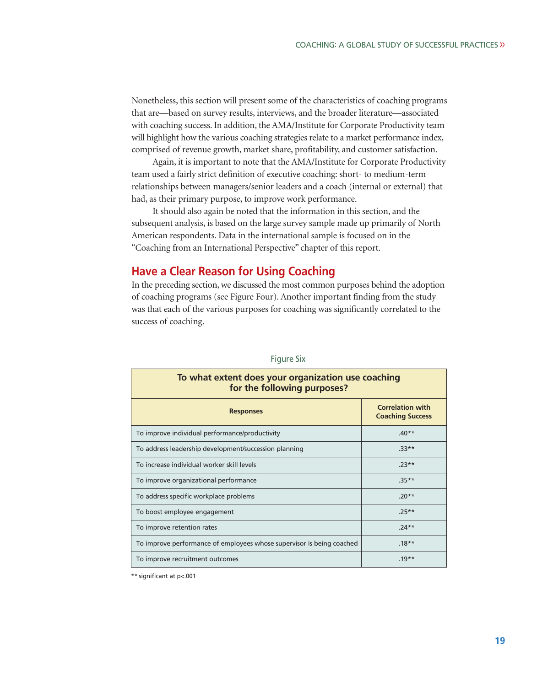Nonetheless, this section will present some of the characteristics of coaching programs that are—based on survey results, interviews, and the broader literature—associated with coaching success. In addition, the AMA/Institute for Corporate Productivity team will highlight how the various coaching strategies relate to a market performance index, comprised of revenue growth, market share, profitability, and customer satisfaction.

Again, it is important to note that the AMA/Institute for Corporate Productivity team used a fairly strict definition of executive coaching: short- to medium-term relationships between managers/senior leaders and a coach (internal or external) that had, as their primary purpose, to improve work performance.

It should also again be noted that the information in this section, and the subsequent analysis, is based on the large survey sample made up primarily of North American respondents. Data in the international sample is focused on in the "Coaching from an International Perspective" chapter of this report.

## **Have a Clear Reason for Using Coaching**

In the preceding section, we discussed the most common purposes behind the adoption of coaching programs (see Figure Four). Another important finding from the study was that each of the various purposes for coaching was significantly correlated to the success of coaching.

| To what extent does your organization use coaching<br>for the following purposes? |                                                    |  |  |
|-----------------------------------------------------------------------------------|----------------------------------------------------|--|--|
| <b>Responses</b>                                                                  | <b>Correlation with</b><br><b>Coaching Success</b> |  |  |
| To improve individual performance/productivity                                    | $.40**$                                            |  |  |
| To address leadership development/succession planning                             | $33**$                                             |  |  |
| To increase individual worker skill levels                                        | $.23**$                                            |  |  |
| To improve organizational performance                                             | $.35**$                                            |  |  |
| To address specific workplace problems                                            | $.20**$                                            |  |  |
| To boost employee engagement                                                      | $.25**$                                            |  |  |
| To improve retention rates                                                        | $.24**$                                            |  |  |
| To improve performance of employees whose supervisor is being coached             | $.18***$                                           |  |  |
| To improve recruitment outcomes                                                   | $.19**$                                            |  |  |

Figure Six

\*\* significant at p<.001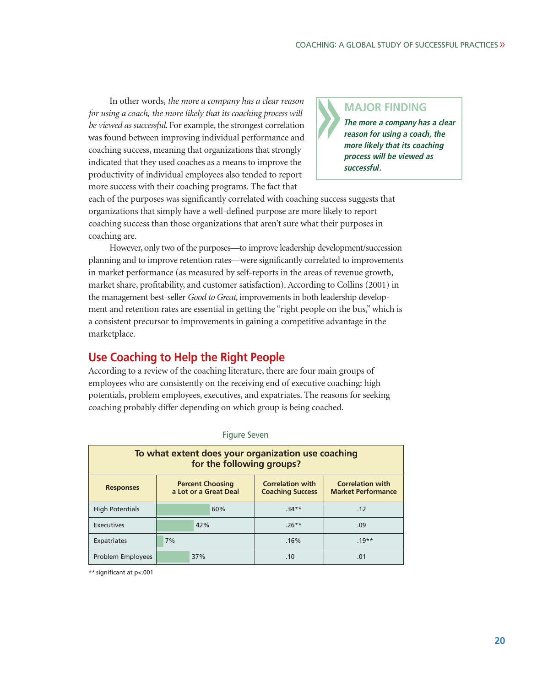In other words, *the more a company has a clear reason for using a coach, the more likely that its coaching process will be viewed as successful*. For example, the strongest correlation was found between improving individual performance and coaching success, meaning that organizations that strongly indicated that they used coaches as a means to improve the productivity of individual employees also tended to report more success with their coaching programs. The fact that

## **MAJOR FINDING**

**The more a company has a clear reason for using a coach, the more likely that its coaching process will be viewed as successful.**

each of the purposes was significantly correlated with coaching success suggests that organizations that simply have a well-defined purpose are more likely to report coaching success than those organizations that aren't sure what their purposes in coaching are.

However, only two of the purposes—to improve leadership development/succession planning and to improve retention rates—were significantly correlated to improvements in market performance (as measured by self-reports in the areas of revenue growth, market share, profitability, and customer satisfaction). According to Collins (2001) in the management best-seller *Good to Great*, improvements in both leadership development and retention rates are essential in getting the "right people on the bus," which is a consistent precursor to improvements in gaining a competitive advantage in the marketplace.

## **Use Coaching to Help the Right People**

According to a review of the coaching literature, there are four main groups of employees who are consistently on the receiving end of executive coaching: high potentials, problem employees, executives, and expatriates. The reasons for seeking coaching probably differ depending on which group is being coached.

| To what extent does your organization use coaching<br>for the following groups? |                                                  |                                                    |                                                      |  |  |
|---------------------------------------------------------------------------------|--------------------------------------------------|----------------------------------------------------|------------------------------------------------------|--|--|
| <b>Responses</b>                                                                | <b>Percent Choosing</b><br>a Lot or a Great Deal | <b>Correlation with</b><br><b>Coaching Success</b> | <b>Correlation with</b><br><b>Market Performance</b> |  |  |
| <b>High Potentials</b>                                                          | 60%                                              | $.34**$                                            | .12                                                  |  |  |
| <b>Executives</b>                                                               | 42%                                              | $.26**$                                            | .09                                                  |  |  |
| Expatriates                                                                     | 7%                                               | .16%                                               | $19**$                                               |  |  |
| Problem Employees                                                               | 37%                                              | .10                                                | .01                                                  |  |  |

#### Figure Seven

\*\* significant at p<.001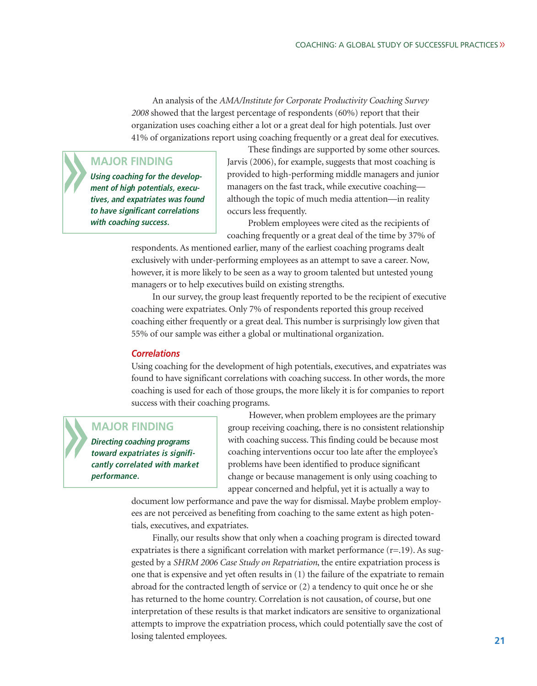An analysis of the *AMA/Institute for Corporate Productivity Coaching Survey 2008* showed that the largest percentage of respondents (60%) report that their organization uses coaching either a lot or a great deal for high potentials. Just over 41% of organizations report using coaching frequently or a great deal for executives.

### **MAJOR FINDING**

**Using coaching for the development of high potentials, executives, and expatriates was found to have significant correlations with coaching success.**

These findings are supported by some other sources. Jarvis (2006), for example, suggests that most coaching is provided to high-performing middle managers and junior managers on the fast track, while executive coaching although the topic of much media attention—in reality occurs less frequently.

Problem employees were cited as the recipients of coaching frequently or a great deal of the time by 37% of

respondents. As mentioned earlier, many of the earliest coaching programs dealt exclusively with under-performing employees as an attempt to save a career. Now, however, it is more likely to be seen as a way to groom talented but untested young managers or to help executives build on existing strengths.

In our survey, the group least frequently reported to be the recipient of executive coaching were expatriates. Only 7% of respondents reported this group received coaching either frequently or a great deal. This number is surprisingly low given that 55% of our sample was either a global or multinational organization.

#### *Correlations*

Using coaching for the development of high potentials, executives, and expatriates was found to have significant correlations with coaching success. In other words, the more coaching is used for each of those groups, the more likely it is for companies to report success with their coaching programs.

## **MAJOR FINDING**

**Directing coaching programs toward expatriates is significantly correlated with market performance.**

However, when problem employees are the primary group receiving coaching, there is no consistent relationship with coaching success. This finding could be because most coaching interventions occur too late after the employee's problems have been identified to produce significant change or because management is only using coaching to appear concerned and helpful, yet it is actually a way to

document low performance and pave the way for dismissal. Maybe problem employees are not perceived as benefiting from coaching to the same extent as high potentials, executives, and expatriates.

Finally, our results show that only when a coaching program is directed toward expatriates is there a significant correlation with market performance  $(r=19)$ . As suggested by a *SHRM 2006 Case Study on Repatriation*, the entire expatriation process is one that is expensive and yet often results in (1) the failure of the expatriate to remain abroad for the contracted length of service or (2) a tendency to quit once he or she has returned to the home country. Correlation is not causation, of course, but one interpretation of these results is that market indicators are sensitive to organizational attempts to improve the expatriation process, which could potentially save the cost of losing talented employees.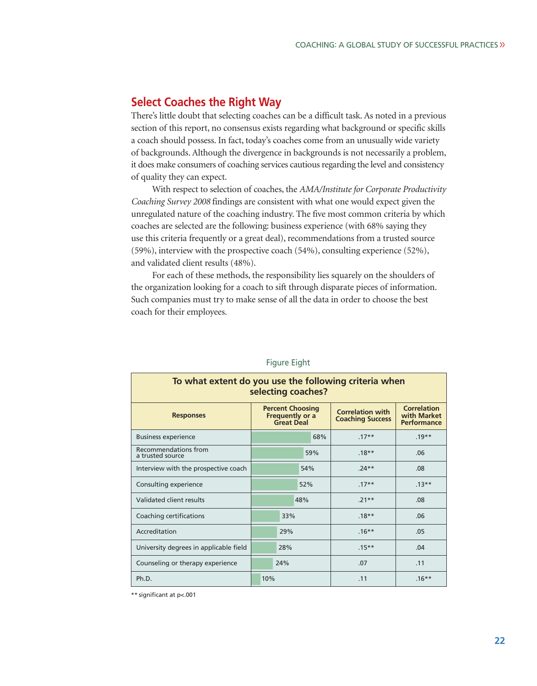## **Select Coaches the Right Way**

There's little doubt that selecting coaches can be a difficult task. As noted in a previous section of this report, no consensus exists regarding what background or specific skills a coach should possess. In fact, today's coaches come from an unusually wide variety of backgrounds. Although the divergence in backgrounds is not necessarily a problem, it does make consumers of coaching services cautious regarding the level and consistency of quality they can expect.

With respect to selection of coaches, the *AMA/Institute for Corporate Productivity Coaching Survey 2008* findings are consistent with what one would expect given the unregulated nature of the coaching industry. The five most common criteria by which coaches are selected are the following: business experience (with 68% saying they use this criteria frequently or a great deal), recommendations from a trusted source (59%), interview with the prospective coach (54%), consulting experience (52%), and validated client results (48%).

For each of these methods, the responsibility lies squarely on the shoulders of the organization looking for a coach to sift through disparate pieces of information. Such companies must try to make sense of all the data in order to choose the best coach for their employees.

| To what extent do you use the following criteria when<br>selecting coaches? |                                                                        |     |                                                    |                                                         |
|-----------------------------------------------------------------------------|------------------------------------------------------------------------|-----|----------------------------------------------------|---------------------------------------------------------|
| <b>Responses</b>                                                            | <b>Percent Choosing</b><br><b>Frequently or a</b><br><b>Great Deal</b> |     | <b>Correlation with</b><br><b>Coaching Success</b> | <b>Correlation</b><br>with Market<br><b>Performance</b> |
| <b>Business experience</b>                                                  |                                                                        | 68% | $.17**$                                            | $.19**$                                                 |
| Recommendations from<br>a trusted source                                    |                                                                        | 59% | $.18**$                                            | .06                                                     |
| Interview with the prospective coach                                        |                                                                        | 54% | $.24**$                                            | .08                                                     |
| Consulting experience                                                       |                                                                        | 52% | $.17**$                                            | $.13***$                                                |
| Validated client results                                                    |                                                                        | 48% | $.21**$                                            | .08                                                     |
| Coaching certifications                                                     | 33%                                                                    |     | $.18**$                                            | .06                                                     |
| Accreditation                                                               | 29%                                                                    |     | $.16***$                                           | .05                                                     |
| University degrees in applicable field                                      | 28%                                                                    |     | $.15***$                                           | .04                                                     |
| Counseling or therapy experience                                            | 24%                                                                    |     | .07                                                | .11                                                     |
| Ph.D.                                                                       | 10%                                                                    |     | .11                                                | $.16***$                                                |

#### Figure Eight

\*\* significant at p<.001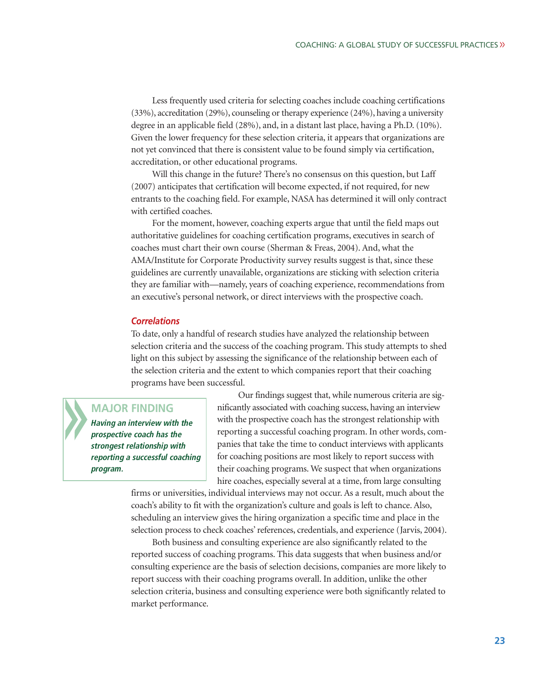Less frequently used criteria for selecting coaches include coaching certifications (33%), accreditation (29%), counseling or therapy experience (24%), having a university degree in an applicable field (28%), and, in a distant last place, having a Ph.D. (10%). Given the lower frequency for these selection criteria, it appears that organizations are not yet convinced that there is consistent value to be found simply via certification, accreditation, or other educational programs.

Will this change in the future? There's no consensus on this question, but Laff (2007) anticipates that certification will become expected, if not required, for new entrants to the coaching field. For example, NASA has determined it will only contract with certified coaches.

For the moment, however, coaching experts argue that until the field maps out authoritative guidelines for coaching certification programs, executives in search of coaches must chart their own course (Sherman & Freas, 2004). And, what the AMA/Institute for Corporate Productivity survey results suggest is that, since these guidelines are currently unavailable, organizations are sticking with selection criteria they are familiar with—namely, years of coaching experience, recommendations from an executive's personal network, or direct interviews with the prospective coach.

#### *Correlations*

To date, only a handful of research studies have analyzed the relationship between selection criteria and the success of the coaching program. This study attempts to shed light on this subject by assessing the significance of the relationship between each of the selection criteria and the extent to which companies report that their coaching programs have been successful.

## **MAJOR FINDING**

**Having an interview with the prospective coach has the strongest relationship with reporting a successful coaching program.**

Our findings suggest that, while numerous criteria are significantly associated with coaching success, having an interview with the prospective coach has the strongest relationship with reporting a successful coaching program. In other words, companies that take the time to conduct interviews with applicants for coaching positions are most likely to report success with their coaching programs. We suspect that when organizations hire coaches, especially several at a time, from large consulting

firms or universities, individual interviews may not occur. As a result, much about the coach's ability to fit with the organization's culture and goals is left to chance. Also, scheduling an interview gives the hiring organization a specific time and place in the selection process to check coaches' references, credentials, and experience (Jarvis, 2004).

Both business and consulting experience are also significantly related to the reported success of coaching programs. This data suggests that when business and/or consulting experience are the basis of selection decisions, companies are more likely to report success with their coaching programs overall. In addition, unlike the other selection criteria, business and consulting experience were both significantly related to market performance.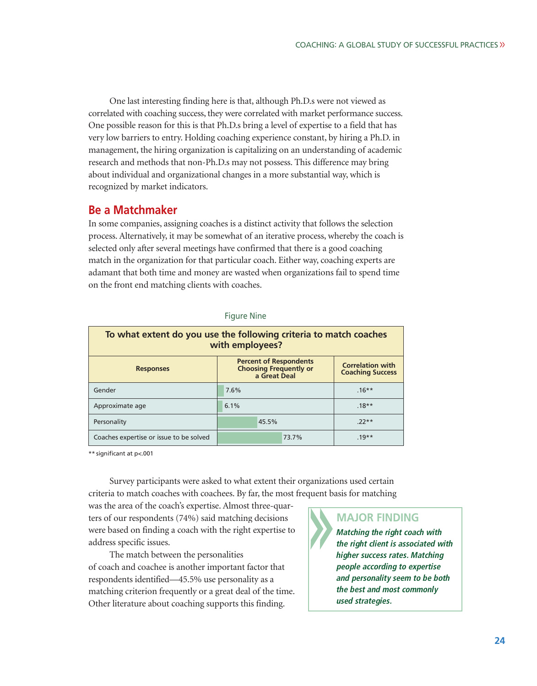One last interesting finding here is that, although Ph.D.s were not viewed as correlated with coaching success, they were correlated with market performance success. One possible reason for this is that Ph.D.s bring a level of expertise to a field that has very low barriers to entry. Holding coaching experience constant, by hiring a Ph.D. in management, the hiring organization is capitalizing on an understanding of academic research and methods that non-Ph.D.s may not possess. This difference may bring about individual and organizational changes in a more substantial way, which is recognized by market indicators.

## **Be a Matchmaker**

In some companies, assigning coaches is a distinct activity that follows the selection process. Alternatively, it may be somewhat of an iterative process, whereby the coach is selected only after several meetings have confirmed that there is a good coaching match in the organization for that particular coach. Either way, coaching experts are adamant that both time and money are wasted when organizations fail to spend time on the front end matching clients with coaches.

| To what extent do you use the following criteria to match coaches<br>with employees? |                                                                                                                                      |          |  |
|--------------------------------------------------------------------------------------|--------------------------------------------------------------------------------------------------------------------------------------|----------|--|
| <b>Responses</b>                                                                     | <b>Percent of Respondents</b><br><b>Correlation with</b><br><b>Choosing Frequently or</b><br><b>Coaching Success</b><br>a Great Deal |          |  |
| Gender                                                                               | 7.6%                                                                                                                                 | $.16***$ |  |
| Approximate age                                                                      | 6.1%                                                                                                                                 | $.18**$  |  |
| Personality                                                                          | 45.5%                                                                                                                                | $72**$   |  |
| Coaches expertise or issue to be solved                                              | 73.7%                                                                                                                                | $.19**$  |  |

#### Figure Nine

\*\* significant at p<.001

Survey participants were asked to what extent their organizations used certain criteria to match coaches with coachees. By far, the most frequent basis for matching

was the area of the coach's expertise. Almost three-quarters of our respondents (74%) said matching decisions were based on finding a coach with the right expertise to address specific issues.

The match between the personalities of coach and coachee is another important factor that respondents identified—45.5% use personality as a matching criterion frequently or a great deal of the time. Other literature about coaching supports this finding.

## **MAJOR FINDING**

**Matching the right coach with the right client is associated with higher success rates. Matching people according to expertise and personality seem to be both the best and most commonly used strategies.**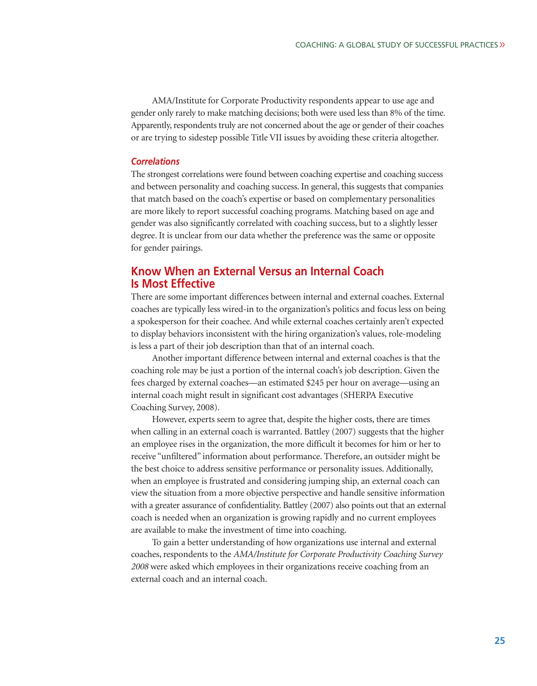AMA/Institute for Corporate Productivity respondents appear to use age and gender only rarely to make matching decisions; both were used less than 8% of the time. Apparently, respondents truly are not concerned about the age or gender of their coaches or are trying to sidestep possible Title VII issues by avoiding these criteria altogether.

#### *Correlations*

The strongest correlations were found between coaching expertise and coaching success and between personality and coaching success. In general, this suggests that companies that match based on the coach's expertise or based on complementary personalities are more likely to report successful coaching programs. Matching based on age and gender was also significantly correlated with coaching success, but to a slightly lesser degree. It is unclear from our data whether the preference was the same or opposite for gender pairings.

## **Know When an External Versus an Internal Coach Is Most Effective**

There are some important differences between internal and external coaches. External coaches are typically less wired-in to the organization's politics and focus less on being a spokesperson for their coachee. And while external coaches certainly aren't expected to display behaviors inconsistent with the hiring organization's values, role-modeling is less a part of their job description than that of an internal coach.

Another important difference between internal and external coaches is that the coaching role may be just a portion of the internal coach's job description. Given the fees charged by external coaches—an estimated \$245 per hour on average—using an internal coach might result in significant cost advantages (SHERPA Executive Coaching Survey, 2008).

However, experts seem to agree that, despite the higher costs, there are times when calling in an external coach is warranted. Battley (2007) suggests that the higher an employee rises in the organization, the more difficult it becomes for him or her to receive "unfiltered" information about performance. Therefore, an outsider might be the best choice to address sensitive performance or personality issues. Additionally, when an employee is frustrated and considering jumping ship, an external coach can view the situation from a more objective perspective and handle sensitive information with a greater assurance of confidentiality. Battley (2007) also points out that an external coach is needed when an organization is growing rapidly and no current employees are available to make the investment of time into coaching.

To gain a better understanding of how organizations use internal and external coaches, respondents to the *AMA/Institute for Corporate Productivity Coaching Survey 2008* were asked which employees in their organizations receive coaching from an external coach and an internal coach.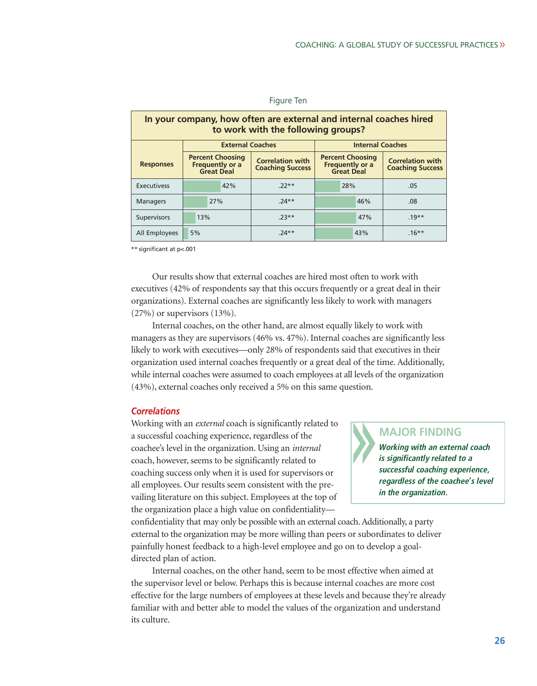| In your company, how often are external and internal coaches hired<br>to work with the following groups? |                                                                 |                                                    |                                                                 |                                                    |
|----------------------------------------------------------------------------------------------------------|-----------------------------------------------------------------|----------------------------------------------------|-----------------------------------------------------------------|----------------------------------------------------|
|                                                                                                          | <b>External Coaches</b><br><b>Internal Coaches</b>              |                                                    |                                                                 |                                                    |
| <b>Responses</b>                                                                                         | <b>Percent Choosing</b><br>Frequently or a<br><b>Great Deal</b> | <b>Correlation with</b><br><b>Coaching Success</b> | <b>Percent Choosing</b><br><b>Frequently or a</b><br>Great Deal | <b>Correlation with</b><br><b>Coaching Success</b> |
| <b>Executivess</b>                                                                                       | 42%                                                             | $22**$                                             | 28%                                                             | .05                                                |
| <b>Managers</b>                                                                                          | 27%                                                             | $24**$                                             | 46%                                                             | .08                                                |
| <b>Supervisors</b>                                                                                       | 13%                                                             | $73**$                                             | 47%                                                             | $.19**$                                            |
| All Employees                                                                                            | 5%                                                              | $.74**$                                            | 43%                                                             | $.16***$                                           |

### Figure Ten

\*\* significant at p<.001

Our results show that external coaches are hired most often to work with executives (42% of respondents say that this occurs frequently or a great deal in their organizations). External coaches are significantly less likely to work with managers (27%) or supervisors (13%).

Internal coaches, on the other hand, are almost equally likely to work with managers as they are supervisors (46% vs. 47%). Internal coaches are significantly less likely to work with executives—only 28% of respondents said that executives in their organization used internal coaches frequently or a great deal of the time. Additionally, while internal coaches were assumed to coach employees at all levels of the organization (43%), external coaches only received a 5% on this same question.

#### *Correlations*

Working with an *external* coach is significantly related to a successful coaching experience, regardless of the coachee's level in the organization. Using an *internal* coach, however, seems to be significantly related to coaching success only when it is used for supervisors or all employees. Our results seem consistent with the prevailing literature on this subject. Employees at the top of the organization place a high value on confidentiality—

## **MAJOR FINDING**

**Working with an external coach is significantly related to a successful coaching experience, regardless of the coachee's level in the organization.**

confidentiality that may only be possible with an external coach. Additionally, a party external to the organization may be more willing than peers or subordinates to deliver painfully honest feedback to a high-level employee and go on to develop a goaldirected plan of action.

Internal coaches, on the other hand, seem to be most effective when aimed at the supervisor level or below. Perhaps this is because internal coaches are more cost effective for the large numbers of employees at these levels and because they're already familiar with and better able to model the values of the organization and understand its culture.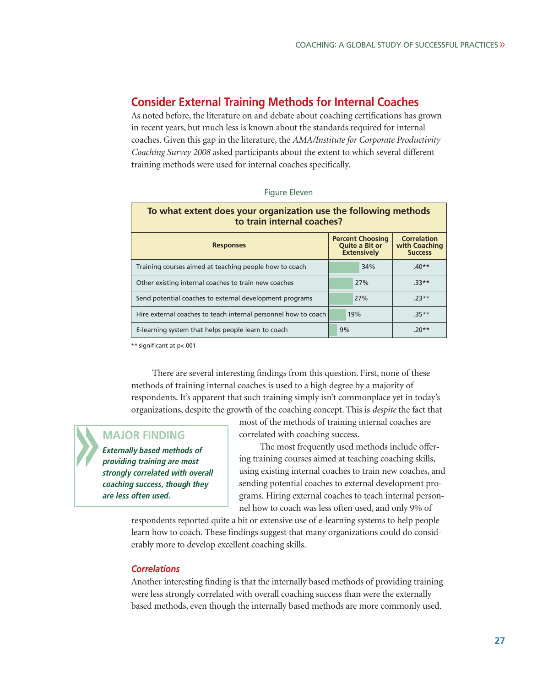## **Consider External Training Methods for Internal Coaches**

As noted before, the literature on and debate about coaching certifications has grown in recent years, but much less is known about the standards required for internal coaches. Given this gap in the literature, the *AMA/Institute for Corporate Productivity Coaching Survey 2008* asked participants about the extent to which several different training methods were used for internal coaches specifically.

| To what extent does your organization use the following methods<br>to train internal coaches? |                                                                        |                                                       |  |
|-----------------------------------------------------------------------------------------------|------------------------------------------------------------------------|-------------------------------------------------------|--|
| <b>Responses</b>                                                                              | <b>Percent Choosing</b><br><b>Quite a Bit or</b><br><b>Extensively</b> | <b>Correlation</b><br>with Coaching<br><b>Success</b> |  |
| Training courses aimed at teaching people how to coach                                        | 34%                                                                    | $40**$                                                |  |
| Other existing internal coaches to train new coaches                                          | 27%                                                                    | $33**$                                                |  |
| Send potential coaches to external development programs                                       | 27%                                                                    | $.23**$                                               |  |
| Hire external coaches to teach internal personnel how to coach                                | 19%                                                                    | $35**$                                                |  |
| E-learning system that helps people learn to coach                                            | 9%                                                                     | $.20**$                                               |  |

| Figure Eleven |  |  |
|---------------|--|--|
|---------------|--|--|

\*\* significant at p<.001

There are several interesting findings from this question. First, none of these methods of training internal coaches is used to a high degree by a majority of respondents. It's apparent that such training simply isn't commonplace yet in today's organizations, despite the growth of the coaching concept. This is *despite* the fact that

## **MAJOR FINDING**

**Externally based methods of providing training are most strongly correlated with overall coaching success, though they are less often used.**

most of the methods of training internal coaches are correlated with coaching success.

The most frequently used methods include offering training courses aimed at teaching coaching skills, using existing internal coaches to train new coaches, and sending potential coaches to external development programs. Hiring external coaches to teach internal personnel how to coach was less often used, and only 9% of

respondents reported quite a bit or extensive use of e-learning systems to help people learn how to coach. These findings suggest that many organizations could do considerably more to develop excellent coaching skills.

## *Correlations*

Another interesting finding is that the internally based methods of providing training were less strongly correlated with overall coaching success than were the externally based methods, even though the internally based methods are more commonly used.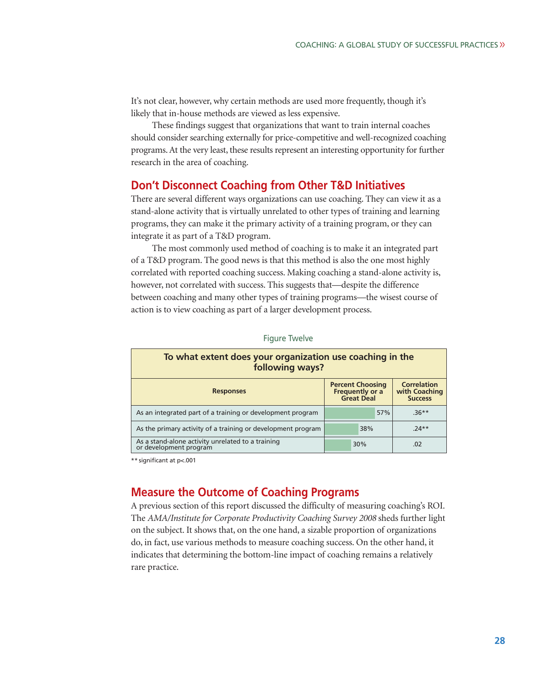It's not clear, however, why certain methods are used more frequently, though it's likely that in-house methods are viewed as less expensive.

These findings suggest that organizations that want to train internal coaches should consider searching externally for price-competitive and well-recognized coaching programs. At the very least, these results represent an interesting opportunity for further research in the area of coaching.

## **Don't Disconnect Coaching from Other T&D Initiatives**

There are several different ways organizations can use coaching. They can view it as a stand-alone activity that is virtually unrelated to other types of training and learning programs, they can make it the primary activity of a training program, or they can integrate it as part of a T&D program.

The most commonly used method of coaching is to make it an integrated part of a T&D program. The good news is that this method is also the one most highly correlated with reported coaching success. Making coaching a stand-alone activity is, however, not correlated with success. This suggests that—despite the difference between coaching and many other types of training programs—the wisest course of action is to view coaching as part of a larger development process.

| To what extent does your organization use coaching in the<br>following ways? |                                                                                                                          |     |         |
|------------------------------------------------------------------------------|--------------------------------------------------------------------------------------------------------------------------|-----|---------|
| <b>Responses</b>                                                             | <b>Correlation</b><br><b>Percent Choosing</b><br>Frequently or a<br>with Coaching<br><b>Great Deal</b><br><b>Success</b> |     |         |
| As an integrated part of a training or development program                   |                                                                                                                          | 57% | $.36**$ |
| As the primary activity of a training or development program                 | 38%                                                                                                                      |     | $74**$  |
| As a stand-alone activity unrelated to a training<br>or development program  | 30%                                                                                                                      |     | .02     |

Figure Twelve

\*\* significant at p<.001

## **Measure the Outcome of Coaching Programs**

A previous section of this report discussed the difficulty of measuring coaching's ROI. The *AMA/Institute for Corporate Productivity Coaching Survey 2008* sheds further light on the subject. It shows that, on the one hand, a sizable proportion of organizations do, in fact, use various methods to measure coaching success. On the other hand, it indicates that determining the bottom-line impact of coaching remains a relatively rare practice.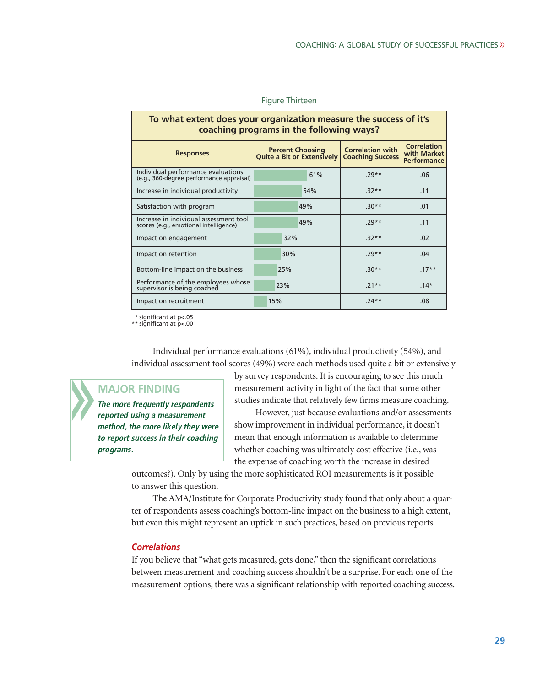| To what extent does your organization measure the success of it's<br>coaching programs in the following ways? |                                                              |                                                    |         |  |
|---------------------------------------------------------------------------------------------------------------|--------------------------------------------------------------|----------------------------------------------------|---------|--|
| <b>Responses</b>                                                                                              | <b>Percent Choosing</b><br><b>Quite a Bit or Extensively</b> | <b>Correlation with</b><br><b>Coaching Success</b> |         |  |
| Individual performance evaluations<br>(e.g., 360-degree performance appraisal)                                | 61%                                                          | $.29**$                                            | .06     |  |
| Increase in individual productivity                                                                           | 54%                                                          | $.32**$                                            | .11     |  |
| Satisfaction with program                                                                                     | 49%                                                          | $.30**$                                            | .01     |  |
| Increase in individual assessment tool<br>scores (e.g., emotional intelligence)                               | 49%                                                          | $.29**$                                            | .11     |  |
| Impact on engagement                                                                                          | 32%                                                          | $.32**$                                            | .02     |  |
| Impact on retention                                                                                           | 30%                                                          | $.29**$                                            | .04     |  |
| Bottom-line impact on the business                                                                            | 25%                                                          | $.30**$                                            | $.17**$ |  |
| Performance of the employees whose<br>supervisor is being coached                                             | 23%                                                          | $.21**$                                            | $.14*$  |  |
| Impact on recruitment                                                                                         | 15%                                                          | $.24**$                                            | .08     |  |

#### Figure Thirteen

\* significant at p<.05 \*\* significant at p<.001

Individual performance evaluations (61%), individual productivity (54%), and individual assessment tool scores (49%) were each methods used quite a bit or extensively

# **MAJOR FINDING**

**The more frequently respondents reported using a measurement method, the more likely they were to report success in their coaching programs.**

by survey respondents. It is encouraging to see this much measurement activity in light of the fact that some other studies indicate that relatively few firms measure coaching. However, just because evaluations and/or assessments

show improvement in individual performance, it doesn't mean that enough information is available to determine whether coaching was ultimately cost effective (i.e., was the expense of coaching worth the increase in desired

outcomes?). Only by using the more sophisticated ROI measurements is it possible to answer this question.

The AMA/Institute for Corporate Productivity study found that only about a quarter of respondents assess coaching's bottom-line impact on the business to a high extent, but even this might represent an uptick in such practices, based on previous reports.

#### *Correlations*

If you believe that "what gets measured, gets done," then the significant correlations between measurement and coaching success shouldn't be a surprise. For each one of the measurement options, there was a significant relationship with reported coaching success.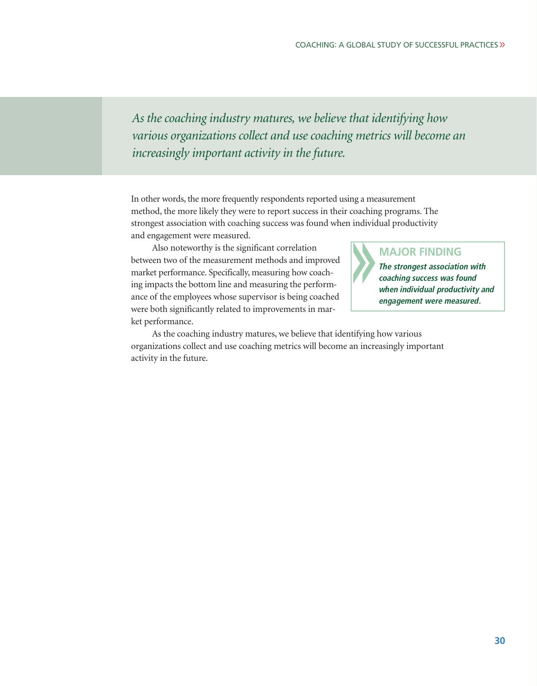*As the coaching industry matures, we believe that identifying how various organizations collect and use coaching metrics will become an increasingly important activity in the future.*

In other words, the more frequently respondents reported using a measurement method, the more likely they were to report success in their coaching programs. The strongest association with coaching success was found when individual productivity and engagement were measured.

Also noteworthy is the significant correlation between two of the measurement methods and improved market performance. Specifically, measuring how coaching impacts the bottom line and measuring the performance of the employees whose supervisor is being coached were both significantly related to improvements in market performance.

## **MAJOR FINDING**

**The strongest association with coaching success was found when individual productivity and engagement were measured.**

As the coaching industry matures, we believe that identifying how various organizations collect and use coaching metrics will become an increasingly important activity in the future.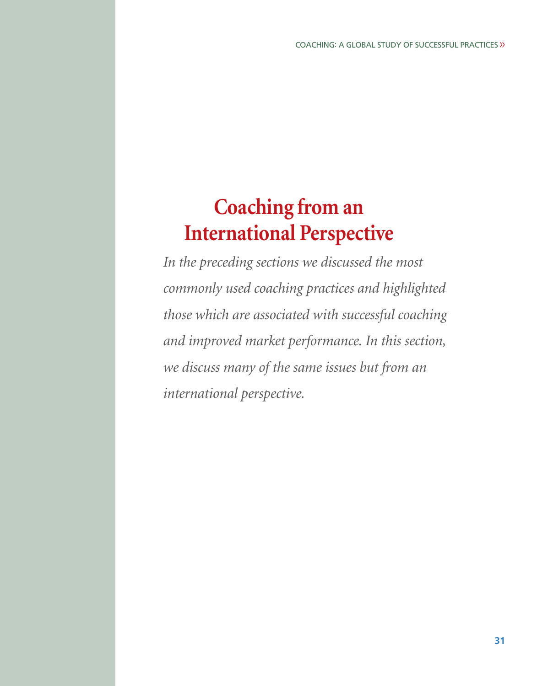# **Coaching from an International Perspective**

*In the preceding sections we discussed the most commonly used coaching practices and highlighted those which are associated with successful coaching and improved market performance. In this section, we discuss many of the same issues but from an international perspective.*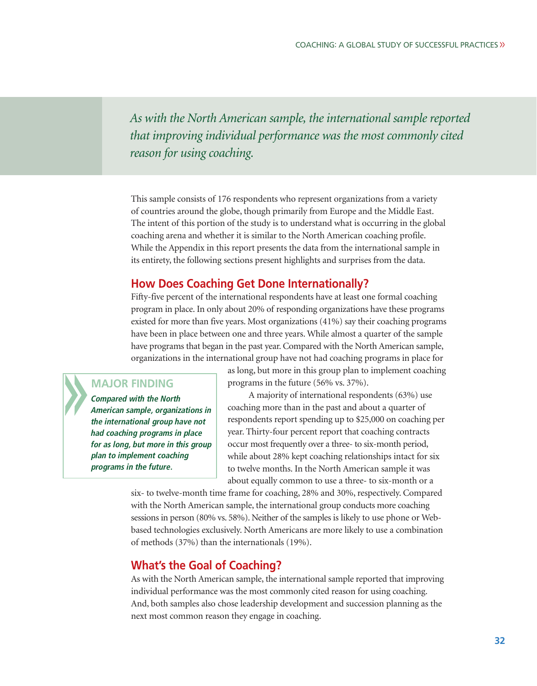*As with the North American sample, the international sample reported that improving individual performance was the most commonly cited reason for using coaching.* 

This sample consists of 176 respondents who represent organizations from a variety of countries around the globe, though primarily from Europe and the Middle East. The intent of this portion of the study is to understand what is occurring in the global coaching arena and whether it is similar to the North American coaching profile. While the Appendix in this report presents the data from the international sample in its entirety, the following sections present highlights and surprises from the data.

## **How Does Coaching Get Done Internationally?**

Fifty-five percent of the international respondents have at least one formal coaching program in place. In only about 20% of responding organizations have these programs existed for more than five years. Most organizations (41%) say their coaching programs have been in place between one and three years. While almost a quarter of the sample have programs that began in the past year. Compared with the North American sample, organizations in the international group have not had coaching programs in place for

## **MAJOR FINDING**

**Compared with the North American sample, organizations in the international group have not had coaching programs in place for as long, but more in this group plan to implement coaching programs in the future.**

as long, but more in this group plan to implement coaching programs in the future (56% vs. 37%).

A majority of international respondents (63%) use coaching more than in the past and about a quarter of respondents report spending up to \$25,000 on coaching per year. Thirty-four percent report that coaching contracts occur most frequently over a three- to six-month period, while about 28% kept coaching relationships intact for six to twelve months. In the North American sample it was about equally common to use a three- to six-month or a

six- to twelve-month time frame for coaching, 28% and 30%, respectively. Compared with the North American sample, the international group conducts more coaching sessions in person (80% vs. 58%). Neither of the samples is likely to use phone or Webbased technologies exclusively. North Americans are more likely to use a combination of methods (37%) than the internationals (19%).

# **What's the Goal of Coaching?**

As with the North American sample, the international sample reported that improving individual performance was the most commonly cited reason for using coaching. And, both samples also chose leadership development and succession planning as the next most common reason they engage in coaching.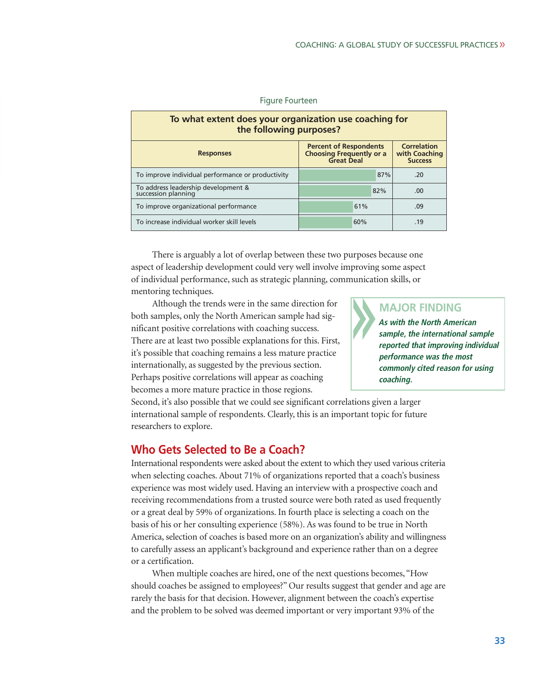| To what extent does your organization use coaching for<br>the following purposes?                                                                           |     |            |  |  |
|-------------------------------------------------------------------------------------------------------------------------------------------------------------|-----|------------|--|--|
| <b>Correlation</b><br><b>Percent of Respondents</b><br><b>Choosing Frequently or a</b><br>with Coaching<br><b>Responses</b><br>Great Deal<br><b>Success</b> |     |            |  |  |
| To improve individual performance or productivity                                                                                                           |     | 87%<br>.20 |  |  |
| To address leadership development &<br>succession planning                                                                                                  | 82% | .00        |  |  |
| To improve organizational performance                                                                                                                       | 61% | .09        |  |  |
| To increase individual worker skill levels                                                                                                                  | 60% | .19        |  |  |

#### Figure Fourteen

There is arguably a lot of overlap between these two purposes because one aspect of leadership development could very well involve improving some aspect of individual performance, such as strategic planning, communication skills, or mentoring techniques.

Although the trends were in the same direction for both samples, only the North American sample had significant positive correlations with coaching success. There are at least two possible explanations for this. First, it's possible that coaching remains a less mature practice internationally, as suggested by the previous section. Perhaps positive correlations will appear as coaching becomes a more mature practice in those regions.

# **MAJOR FINDING**

**As with the North American sample, the international sample reported that improving individual performance was the most commonly cited reason for using coaching.**

Second, it's also possible that we could see significant correlations given a larger international sample of respondents. Clearly, this is an important topic for future researchers to explore.

# **Who Gets Selected to Be a Coach?**

International respondents were asked about the extent to which they used various criteria when selecting coaches. About 71% of organizations reported that a coach's business experience was most widely used. Having an interview with a prospective coach and receiving recommendations from a trusted source were both rated as used frequently or a great deal by 59% of organizations. In fourth place is selecting a coach on the basis of his or her consulting experience (58%). As was found to be true in North America, selection of coaches is based more on an organization's ability and willingness to carefully assess an applicant's background and experience rather than on a degree or a certification.

When multiple coaches are hired, one of the next questions becomes, "How should coaches be assigned to employees?" Our results suggest that gender and age are rarely the basis for that decision. However, alignment between the coach's expertise and the problem to be solved was deemed important or very important 93% of the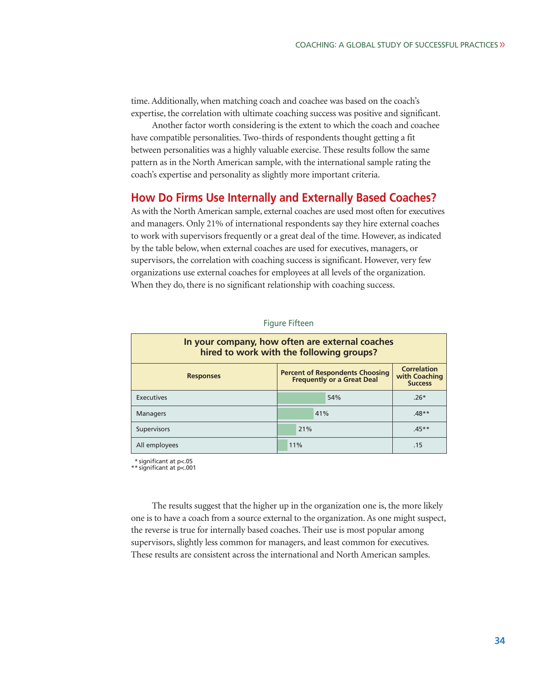time. Additionally, when matching coach and coachee was based on the coach's expertise, the correlation with ultimate coaching success was positive and significant.

Another factor worth considering is the extent to which the coach and coachee have compatible personalities. Two-thirds of respondents thought getting a fit between personalities was a highly valuable exercise. These results follow the same pattern as in the North American sample, with the international sample rating the coach's expertise and personality as slightly more important criteria.

## **How Do Firms Use Internally and Externally Based Coaches?**

As with the North American sample, external coaches are used most often for executives and managers. Only 21% of international respondents say they hire external coaches to work with supervisors frequently or a great deal of the time. However, as indicated by the table below, when external coaches are used for executives, managers, or supervisors, the correlation with coaching success is significant. However, very few organizations use external coaches for employees at all levels of the organization. When they do, there is no significant relationship with coaching success.

| In your company, how often are external coaches<br>hired to work with the following groups?                                                              |     |         |  |
|----------------------------------------------------------------------------------------------------------------------------------------------------------|-----|---------|--|
| <b>Correlation</b><br><b>Percent of Respondents Choosing</b><br>with Coaching<br><b>Responses</b><br><b>Frequently or a Great Deal</b><br><b>Success</b> |     |         |  |
| Executives                                                                                                                                               | 54% | $.26*$  |  |
| <b>Managers</b>                                                                                                                                          | 41% | $48**$  |  |
| Supervisors                                                                                                                                              | 21% | $.45**$ |  |
| All employees                                                                                                                                            | 11% | .15     |  |

#### Figure Fifteen

\* significant at p<.05 \*\* significant at p<.001

The results suggest that the higher up in the organization one is, the more likely one is to have a coach from a source external to the organization. As one might suspect, the reverse is true for internally based coaches. Their use is most popular among supervisors, slightly less common for managers, and least common for executives. These results are consistent across the international and North American samples.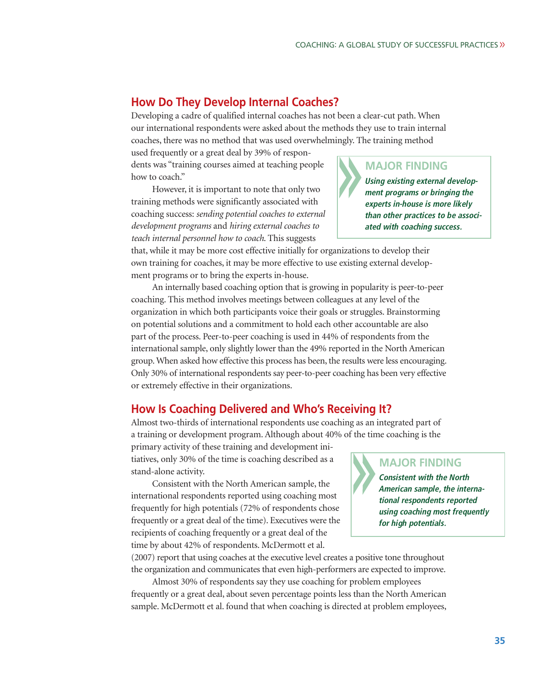# **How Do They Develop Internal Coaches?**

Developing a cadre of qualified internal coaches has not been a clear-cut path. When our international respondents were asked about the methods they use to train internal coaches, there was no method that was used overwhelmingly. The training method

used frequently or a great deal by 39% of respondents was "training courses aimed at teaching people how to coach."

However, it is important to note that only two training methods were significantly associated with coaching success: *sending potential coaches to external development programs* and *hiring external coaches to teach internal personnel how to coach*. This suggests

that, while it may be more cost effective initially for organizations to develop their own training for coaches, it may be more effective to use existing external development programs or to bring the experts in-house.

An internally based coaching option that is growing in popularity is peer-to-peer coaching. This method involves meetings between colleagues at any level of the organization in which both participants voice their goals or struggles. Brainstorming on potential solutions and a commitment to hold each other accountable are also part of the process. Peer-to-peer coaching is used in 44% of respondents from the international sample, only slightly lower than the 49% reported in the North American group. When asked how effective this process has been, the results were less encouraging. Only 30% of international respondents say peer-to-peer coaching has been very effective or extremely effective in their organizations.

# **How Is Coaching Delivered and Who's Receiving It?**

Almost two-thirds of international respondents use coaching as an integrated part of a training or development program. Although about 40% of the time coaching is the

primary activity of these training and development initiatives, only 30% of the time is coaching described as a stand-alone activity.

Consistent with the North American sample, the international respondents reported using coaching most frequently for high potentials (72% of respondents chose frequently or a great deal of the time). Executives were the recipients of coaching frequently or a great deal of the time by about 42% of respondents. McDermott et al.

(2007) report that using coaches at the executive level creates a positive tone throughout the organization and communicates that even high-performers are expected to improve.

Almost 30% of respondents say they use coaching for problem employees frequently or a great deal, about seven percentage points less than the North American sample. McDermott et al. found that when coaching is directed at problem employees,

# **MAJOR FINDING**

**Using existing external development programs or bringing the experts in-house is more likely than other practices to be associated with coaching success.**

# **MAJOR FINDING**

**Consistent with the North American sample, the international respondents reported using coaching most frequently for high potentials.**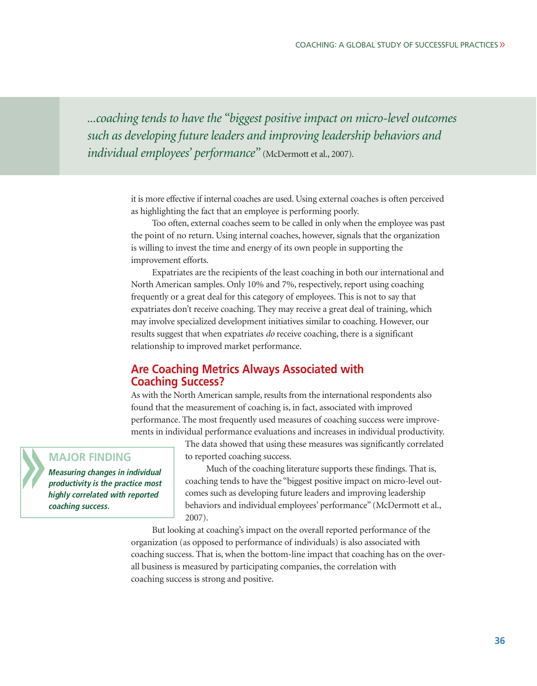*...coaching tends to have the "biggest positive impact on micro-level outcomes such as developing future leaders and improving leadership behaviors and individual employees' performance"* (McDermott et al., 2007).

> it is more effective if internal coaches are used. Using external coaches is often perceived as highlighting the fact that an employee is performing poorly.

> Too often, external coaches seem to be called in only when the employee was past the point of no return. Using internal coaches, however, signals that the organization is willing to invest the time and energy of its own people in supporting the improvement efforts.

> Expatriates are the recipients of the least coaching in both our international and North American samples. Only 10% and 7%, respectively, report using coaching frequently or a great deal for this category of employees. This is not to say that expatriates don't receive coaching. They may receive a great deal of training, which may involve specialized development initiatives similar to coaching. However, our results suggest that when expatriates *do* receive coaching, there is a significant relationship to improved market performance.

# **Are Coaching Metrics Always Associated with Coaching Success?**

As with the North American sample, results from the international respondents also found that the measurement of coaching is, in fact, associated with improved performance. The most frequently used measures of coaching success were improvements in individual performance evaluations and increases in individual productivity.

## **MAJOR FINDING**

**Measuring changes in individual productivity is the practice most highly correlated with reported coaching success.**

The data showed that using these measures was significantly correlated to reported coaching success.

Much of the coaching literature supports these findings. That is, coaching tends to have the "biggest positive impact on micro-level outcomes such as developing future leaders and improving leadership behaviors and individual employees' performance" (McDermott et al., 2007).

But looking at coaching's impact on the overall reported performance of the organization (as opposed to performance of individuals) is also associated with coaching success. That is, when the bottom-line impact that coaching has on the overall business is measured by participating companies, the correlation with coaching success is strong and positive.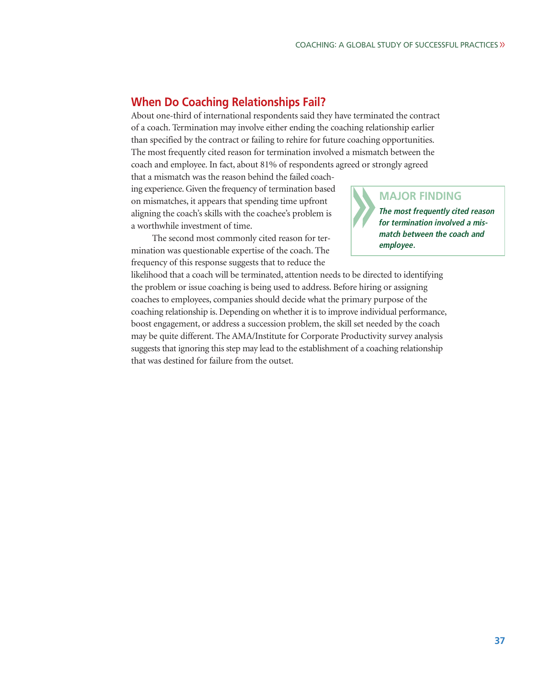# **When Do Coaching Relationships Fail?**

About one-third of international respondents said they have terminated the contract of a coach. Termination may involve either ending the coaching relationship earlier than specified by the contract or failing to rehire for future coaching opportunities. The most frequently cited reason for termination involved a mismatch between the coach and employee. In fact, about 81% of respondents agreed or strongly agreed

that a mismatch was the reason behind the failed coaching experience. Given the frequency of termination based on mismatches, it appears that spending time upfront aligning the coach's skills with the coachee's problem is a worthwhile investment of time.

The second most commonly cited reason for termination was questionable expertise of the coach. The frequency of this response suggests that to reduce the



likelihood that a coach will be terminated, attention needs to be directed to identifying the problem or issue coaching is being used to address. Before hiring or assigning coaches to employees, companies should decide what the primary purpose of the coaching relationship is. Depending on whether it is to improve individual performance, boost engagement, or address a succession problem, the skill set needed by the coach may be quite different. The AMA/Institute for Corporate Productivity survey analysis suggests that ignoring this step may lead to the establishment of a coaching relationship that was destined for failure from the outset.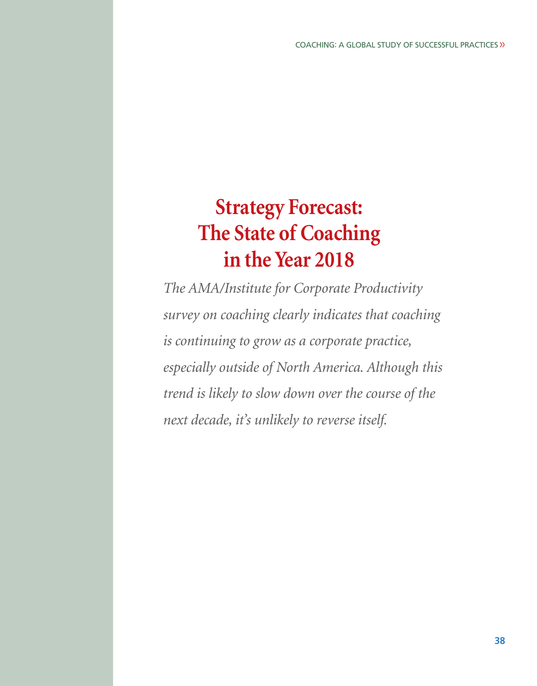# **Strategy Forecast: The State of Coaching in the Year 2018**

*The AMA/Institute for Corporate Productivity survey on coaching clearly indicates that coaching is continuing to grow as a corporate practice, especially outside of North America. Although this trend is likely to slow down over the course of the next decade, it's unlikely to reverse itself.*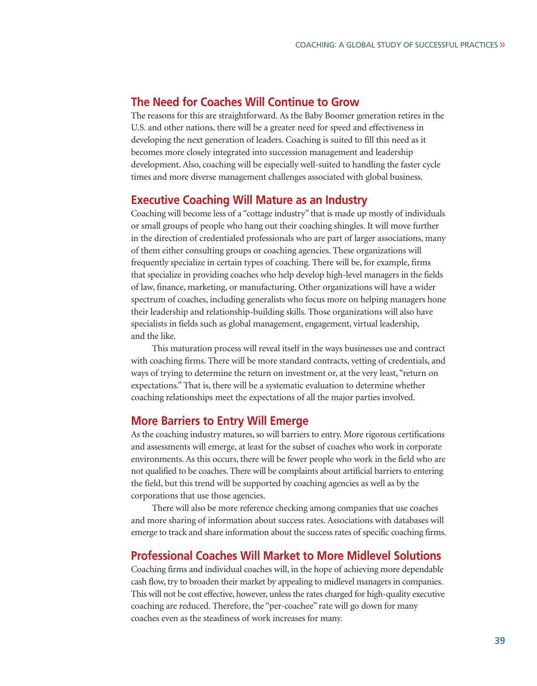# **The Need for Coaches Will Continue to Grow**

The reasons for this are straightforward. As the Baby Boomer generation retires in the U.S. and other nations, there will be a greater need for speed and effectiveness in developing the next generation of leaders. Coaching is suited to fill this need as it becomes more closely integrated into succession management and leadership development. Also, coaching will be especially well-suited to handling the faster cycle times and more diverse management challenges associated with global business.

## **Executive Coaching Will Mature as an Industry**

Coaching will become less of a "cottage industry" that is made up mostly of individuals or small groups of people who hang out their coaching shingles. It will move further in the direction of credentialed professionals who are part of larger associations, many of them either consulting groups or coaching agencies. These organizations will frequently specialize in certain types of coaching. There will be, for example, firms that specialize in providing coaches who help develop high-level managers in the fields of law, finance, marketing, or manufacturing. Other organizations will have a wider spectrum of coaches, including generalists who focus more on helping managers hone their leadership and relationship-building skills. Those organizations will also have specialists in fields such as global management, engagement, virtual leadership, and the like.

This maturation process will reveal itself in the ways businesses use and contract with coaching firms. There will be more standard contracts, vetting of credentials, and ways of trying to determine the return on investment or, at the very least, "return on expectations." That is, there will be a systematic evaluation to determine whether coaching relationships meet the expectations of all the major parties involved.

# **More Barriers to Entry Will Emerge**

As the coaching industry matures, so will barriers to entry. More rigorous certifications and assessments will emerge, at least for the subset of coaches who work in corporate environments. As this occurs, there will be fewer people who work in the field who are not qualified to be coaches. There will be complaints about artificial barriers to entering the field, but this trend will be supported by coaching agencies as well as by the corporations that use those agencies.

There will also be more reference checking among companies that use coaches and more sharing of information about success rates. Associations with databases will emerge to track and share information about the success rates of specific coaching firms.

# **Professional Coaches Will Market to More Midlevel Solutions**

Coaching firms and individual coaches will, in the hope of achieving more dependable cash flow, try to broaden their market by appealing to midlevel managers in companies. This will not be cost effective, however, unless the rates charged for high-quality executive coaching are reduced. Therefore, the "per-coachee" rate will go down for many coaches even as the steadiness of work increases for many.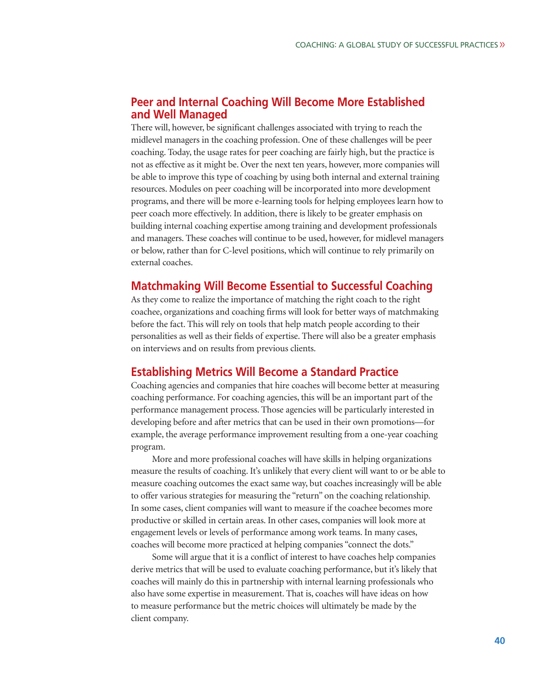# **Peer and Internal Coaching Will Become More Established and Well Managed**

There will, however, be significant challenges associated with trying to reach the midlevel managers in the coaching profession. One of these challenges will be peer coaching. Today, the usage rates for peer coaching are fairly high, but the practice is not as effective as it might be. Over the next ten years, however, more companies will be able to improve this type of coaching by using both internal and external training resources. Modules on peer coaching will be incorporated into more development programs, and there will be more e-learning tools for helping employees learn how to peer coach more effectively. In addition, there is likely to be greater emphasis on building internal coaching expertise among training and development professionals and managers. These coaches will continue to be used, however, for midlevel managers or below, rather than for C-level positions, which will continue to rely primarily on external coaches.

# **Matchmaking Will Become Essential to Successful Coaching**

As they come to realize the importance of matching the right coach to the right coachee, organizations and coaching firms will look for better ways of matchmaking before the fact. This will rely on tools that help match people according to their personalities as well as their fields of expertise. There will also be a greater emphasis on interviews and on results from previous clients.

## **Establishing Metrics Will Become a Standard Practice**

Coaching agencies and companies that hire coaches will become better at measuring coaching performance. For coaching agencies, this will be an important part of the performance management process. Those agencies will be particularly interested in developing before and after metrics that can be used in their own promotions—for example, the average performance improvement resulting from a one-year coaching program.

More and more professional coaches will have skills in helping organizations measure the results of coaching. It's unlikely that every client will want to or be able to measure coaching outcomes the exact same way, but coaches increasingly will be able to offer various strategies for measuring the "return" on the coaching relationship. In some cases, client companies will want to measure if the coachee becomes more productive or skilled in certain areas. In other cases, companies will look more at engagement levels or levels of performance among work teams. In many cases, coaches will become more practiced at helping companies "connect the dots."

Some will argue that it is a conflict of interest to have coaches help companies derive metrics that will be used to evaluate coaching performance, but it's likely that coaches will mainly do this in partnership with internal learning professionals who also have some expertise in measurement. That is, coaches will have ideas on how to measure performance but the metric choices will ultimately be made by the client company.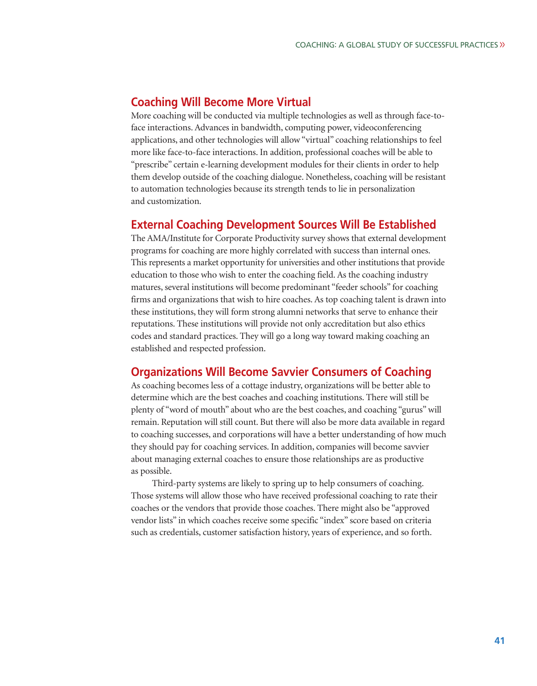# **Coaching Will Become More Virtual**

More coaching will be conducted via multiple technologies as well as through face-toface interactions. Advances in bandwidth, computing power, videoconferencing applications, and other technologies will allow "virtual" coaching relationships to feel more like face-to-face interactions. In addition, professional coaches will be able to "prescribe" certain e-learning development modules for their clients in order to help them develop outside of the coaching dialogue. Nonetheless, coaching will be resistant to automation technologies because its strength tends to lie in personalization and customization.

# **External Coaching Development Sources Will Be Established**

The AMA/Institute for Corporate Productivity survey shows that external development programs for coaching are more highly correlated with success than internal ones. This represents a market opportunity for universities and other institutions that provide education to those who wish to enter the coaching field. As the coaching industry matures, several institutions will become predominant "feeder schools" for coaching firms and organizations that wish to hire coaches. As top coaching talent is drawn into these institutions, they will form strong alumni networks that serve to enhance their reputations. These institutions will provide not only accreditation but also ethics codes and standard practices. They will go a long way toward making coaching an established and respected profession.

# **Organizations Will Become Savvier Consumers of Coaching**

As coaching becomes less of a cottage industry, organizations will be better able to determine which are the best coaches and coaching institutions. There will still be plenty of "word of mouth" about who are the best coaches, and coaching "gurus" will remain. Reputation will still count. But there will also be more data available in regard to coaching successes, and corporations will have a better understanding of how much they should pay for coaching services. In addition, companies will become savvier about managing external coaches to ensure those relationships are as productive as possible.

Third-party systems are likely to spring up to help consumers of coaching. Those systems will allow those who have received professional coaching to rate their coaches or the vendors that provide those coaches. There might also be "approved vendor lists" in which coaches receive some specific "index" score based on criteria such as credentials, customer satisfaction history, years of experience, and so forth.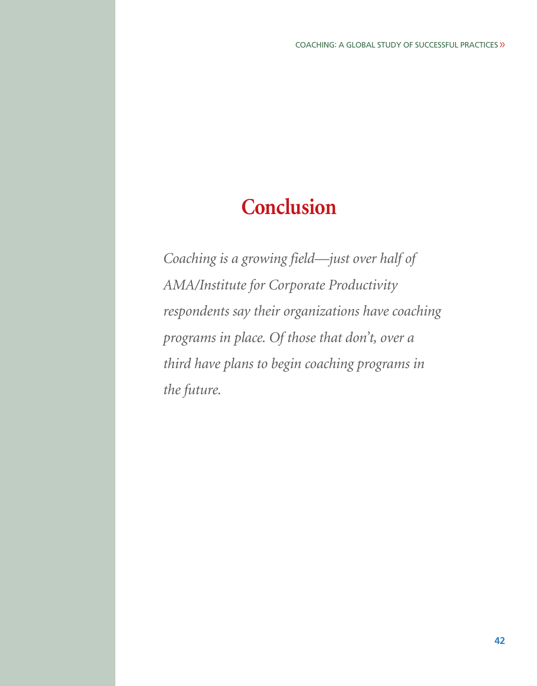# **Conclusion**

*Coaching is a growing field—just over half of AMA/Institute for Corporate Productivity respondents say their organizations have coaching programs in place. Of those that don't, over a third have plans to begin coaching programs in the future.*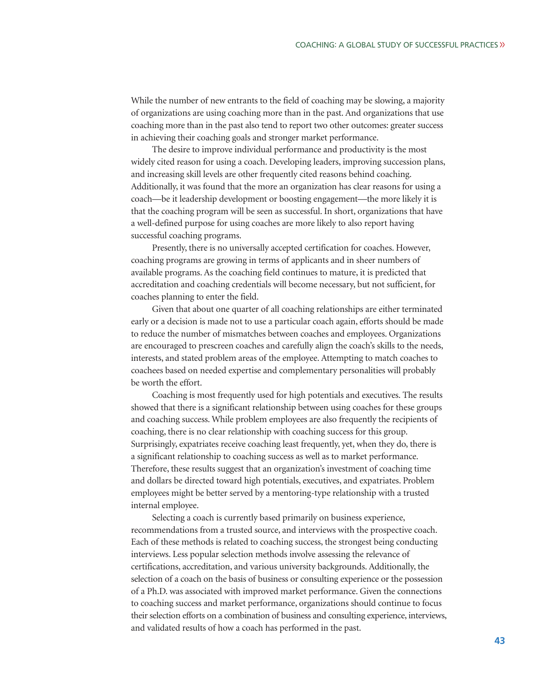While the number of new entrants to the field of coaching may be slowing, a majority of organizations are using coaching more than in the past. And organizations that use coaching more than in the past also tend to report two other outcomes: greater success in achieving their coaching goals and stronger market performance.

The desire to improve individual performance and productivity is the most widely cited reason for using a coach. Developing leaders, improving succession plans, and increasing skill levels are other frequently cited reasons behind coaching. Additionally, it was found that the more an organization has clear reasons for using a coach—be it leadership development or boosting engagement—the more likely it is that the coaching program will be seen as successful. In short, organizations that have a well-defined purpose for using coaches are more likely to also report having successful coaching programs.

Presently, there is no universally accepted certification for coaches. However, coaching programs are growing in terms of applicants and in sheer numbers of available programs. As the coaching field continues to mature, it is predicted that accreditation and coaching credentials will become necessary, but not sufficient, for coaches planning to enter the field.

Given that about one quarter of all coaching relationships are either terminated early or a decision is made not to use a particular coach again, efforts should be made to reduce the number of mismatches between coaches and employees. Organizations are encouraged to prescreen coaches and carefully align the coach's skills to the needs, interests, and stated problem areas of the employee. Attempting to match coaches to coachees based on needed expertise and complementary personalities will probably be worth the effort.

Coaching is most frequently used for high potentials and executives. The results showed that there is a significant relationship between using coaches for these groups and coaching success. While problem employees are also frequently the recipients of coaching, there is no clear relationship with coaching success for this group. Surprisingly, expatriates receive coaching least frequently, yet, when they do, there is a significant relationship to coaching success as well as to market performance. Therefore, these results suggest that an organization's investment of coaching time and dollars be directed toward high potentials, executives, and expatriates. Problem employees might be better served by a mentoring-type relationship with a trusted internal employee.

Selecting a coach is currently based primarily on business experience, recommendations from a trusted source, and interviews with the prospective coach. Each of these methods is related to coaching success, the strongest being conducting interviews. Less popular selection methods involve assessing the relevance of certifications, accreditation, and various university backgrounds. Additionally, the selection of a coach on the basis of business or consulting experience or the possession of a Ph.D. was associated with improved market performance. Given the connections to coaching success and market performance, organizations should continue to focus their selection efforts on a combination of business and consulting experience, interviews, and validated results of how a coach has performed in the past.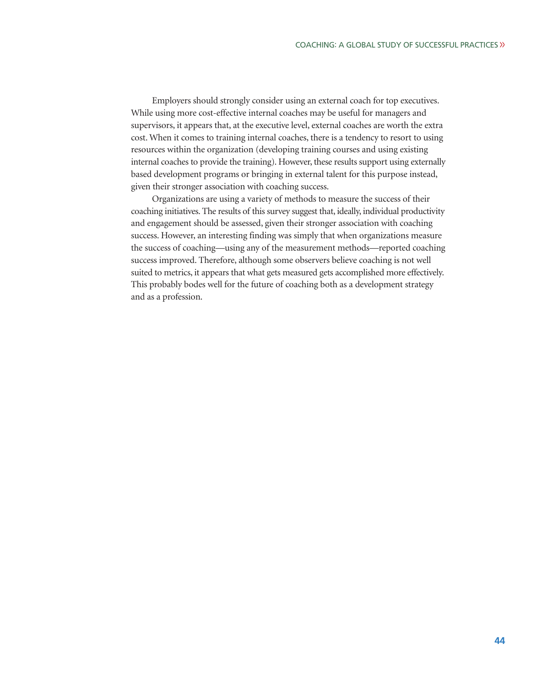Employers should strongly consider using an external coach for top executives. While using more cost-effective internal coaches may be useful for managers and supervisors, it appears that, at the executive level, external coaches are worth the extra cost. When it comes to training internal coaches, there is a tendency to resort to using resources within the organization (developing training courses and using existing internal coaches to provide the training). However, these results support using externally based development programs or bringing in external talent for this purpose instead, given their stronger association with coaching success.

Organizations are using a variety of methods to measure the success of their coaching initiatives. The results of this survey suggest that, ideally, individual productivity and engagement should be assessed, given their stronger association with coaching success. However, an interesting finding was simply that when organizations measure the success of coaching—using any of the measurement methods—reported coaching success improved. Therefore, although some observers believe coaching is not well suited to metrics, it appears that what gets measured gets accomplished more effectively. This probably bodes well for the future of coaching both as a development strategy and as a profession.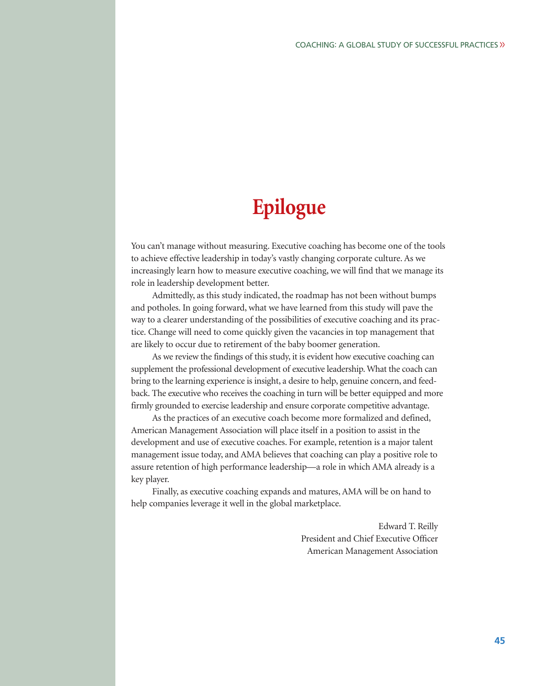# **Epilogue**

You can't manage without measuring. Executive coaching has become one of the tools to achieve effective leadership in today's vastly changing corporate culture. As we increasingly learn how to measure executive coaching, we will find that we manage its role in leadership development better.

Admittedly, as this study indicated, the roadmap has not been without bumps and potholes. In going forward, what we have learned from this study will pave the way to a clearer understanding of the possibilities of executive coaching and its practice. Change will need to come quickly given the vacancies in top management that are likely to occur due to retirement of the baby boomer generation.

As we review the findings of this study, it is evident how executive coaching can supplement the professional development of executive leadership. What the coach can bring to the learning experience is insight, a desire to help, genuine concern, and feedback. The executive who receives the coaching in turn will be better equipped and more firmly grounded to exercise leadership and ensure corporate competitive advantage.

As the practices of an executive coach become more formalized and defined, American Management Association will place itself in a position to assist in the development and use of executive coaches. For example, retention is a major talent management issue today, and AMA believes that coaching can play a positive role to assure retention of high performance leadership—a role in which AMA already is a key player.

Finally, as executive coaching expands and matures, AMA will be on hand to help companies leverage it well in the global marketplace.

> Edward T. Reilly President and Chief Executive Officer American Management Association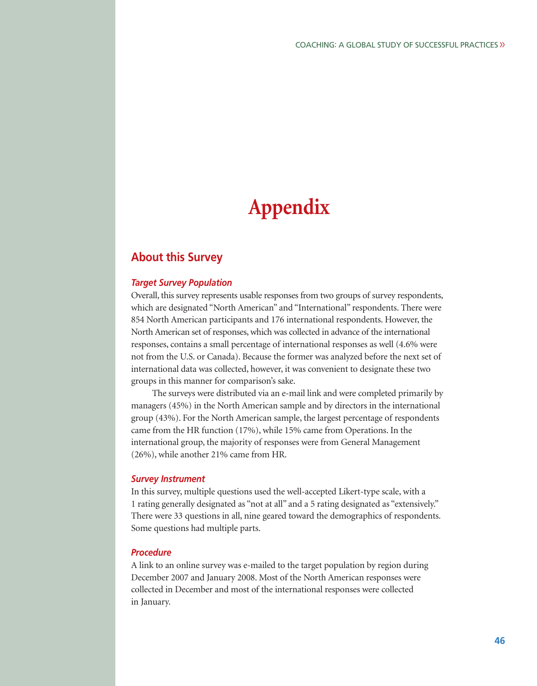# **Appendix**

# **About this Survey**

### *Target Survey Population*

Overall, this survey represents usable responses from two groups of survey respondents, which are designated "North American" and "International" respondents. There were 854 North American participants and 176 international respondents. However, the North American set of responses, which was collected in advance of the international responses, contains a small percentage of international responses as well (4.6% were not from the U.S. or Canada). Because the former was analyzed before the next set of international data was collected, however, it was convenient to designate these two groups in this manner for comparison's sake.

The surveys were distributed via an e-mail link and were completed primarily by managers (45%) in the North American sample and by directors in the international group (43%). For the North American sample, the largest percentage of respondents came from the HR function (17%), while 15% came from Operations. In the international group, the majority of responses were from General Management (26%), while another 21% came from HR.

#### *Survey Instrument*

In this survey, multiple questions used the well-accepted Likert-type scale, with a 1 rating generally designated as "not at all" and a 5 rating designated as "extensively." There were 33 questions in all, nine geared toward the demographics of respondents. Some questions had multiple parts.

### *Procedure*

A link to an online survey was e-mailed to the target population by region during December 2007 and January 2008. Most of the North American responses were collected in December and most of the international responses were collected in January.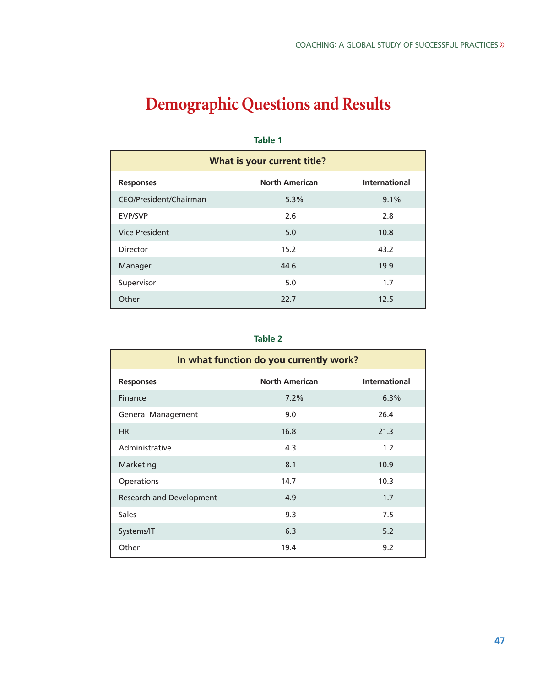# **Demographic Questions and Results**

| What is your current title? |                       |                      |  |  |
|-----------------------------|-----------------------|----------------------|--|--|
| <b>Responses</b>            | <b>North American</b> | <b>International</b> |  |  |
| CEO/President/Chairman      | 5.3%                  | 9.1%                 |  |  |
| <b>EVP/SVP</b>              | 2.6                   | 2.8                  |  |  |
| <b>Vice President</b>       | 5.0                   | 10.8                 |  |  |
| Director                    | 15.2                  | 43.2                 |  |  |
| Manager                     | 44.6                  | 19.9                 |  |  |
| Supervisor                  | 5.0                   | 1.7                  |  |  |
| Other                       | 22.7                  | 12.5                 |  |  |

#### **Table 1**

| In what function do you currently work? |                       |                      |  |  |
|-----------------------------------------|-----------------------|----------------------|--|--|
| <b>Responses</b>                        | <b>North American</b> | <b>International</b> |  |  |
| Finance                                 | 7.2%                  | 6.3%                 |  |  |
| <b>General Management</b>               | 9.0                   | 26.4                 |  |  |
| <b>HR</b>                               | 16.8                  | 21.3                 |  |  |
| Administrative                          | 4.3                   | 1.2                  |  |  |
| Marketing                               | 8.1                   | 10.9                 |  |  |
| Operations                              | 14.7                  | 10.3                 |  |  |
| Research and Development                | 4.9                   | 1.7                  |  |  |
| <b>Sales</b>                            | 9.3                   | 7.5                  |  |  |
| Systems/IT                              | 6.3                   | 5.2                  |  |  |
| Other                                   | 19.4                  | 9.2                  |  |  |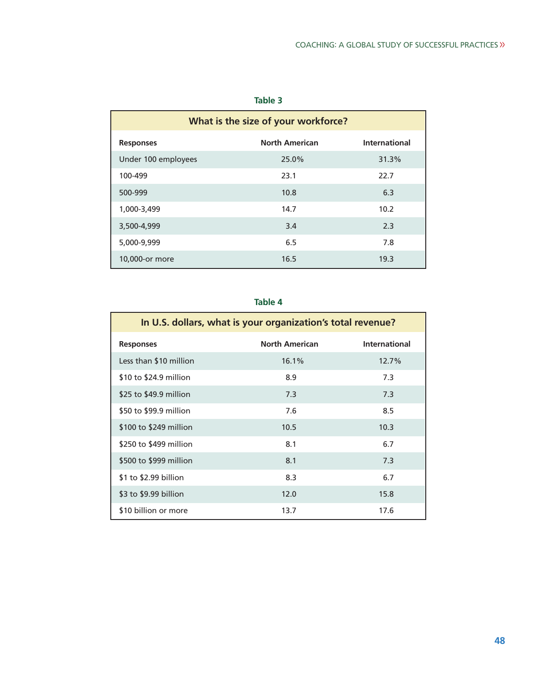| What is the size of your workforce? |                       |                      |  |  |
|-------------------------------------|-----------------------|----------------------|--|--|
| <b>Responses</b>                    | <b>North American</b> | <b>International</b> |  |  |
| Under 100 employees                 | 25.0%                 | 31.3%                |  |  |
| 100-499                             | 23.1                  | 22.7                 |  |  |
| 500-999                             | 10.8                  | 6.3                  |  |  |
| 1,000-3,499                         | 14.7                  | 10.2                 |  |  |
| 3,500-4,999                         | 3.4                   | 2.3                  |  |  |
| 5,000-9,999                         | 6.5                   | 7.8                  |  |  |
| 10,000-or more                      | 16.5                  | 19.3                 |  |  |

| In U.S. dollars, what is your organization's total revenue? |                       |                      |  |
|-------------------------------------------------------------|-----------------------|----------------------|--|
| <b>Responses</b>                                            | <b>North American</b> | <b>International</b> |  |
| Less than \$10 million                                      | 16.1%                 | 12.7%                |  |
| \$10 to \$24.9 million                                      | 8.9                   | 7.3                  |  |
| \$25 to \$49.9 million                                      | 7.3                   | 7.3                  |  |
| \$50 to \$99.9 million                                      | 7.6                   | 8.5                  |  |
| \$100 to \$249 million                                      | 10.5                  | 10.3                 |  |
| \$250 to \$499 million                                      | 8.1                   | 6.7                  |  |
| \$500 to \$999 million                                      | 8.1                   | 7.3                  |  |
| \$1 to \$2.99 billion                                       | 8.3                   | 6.7                  |  |
| \$3 to \$9.99 billion                                       | 12.0                  | 15.8                 |  |
| \$10 billion or more                                        | 13.7                  | 17.6                 |  |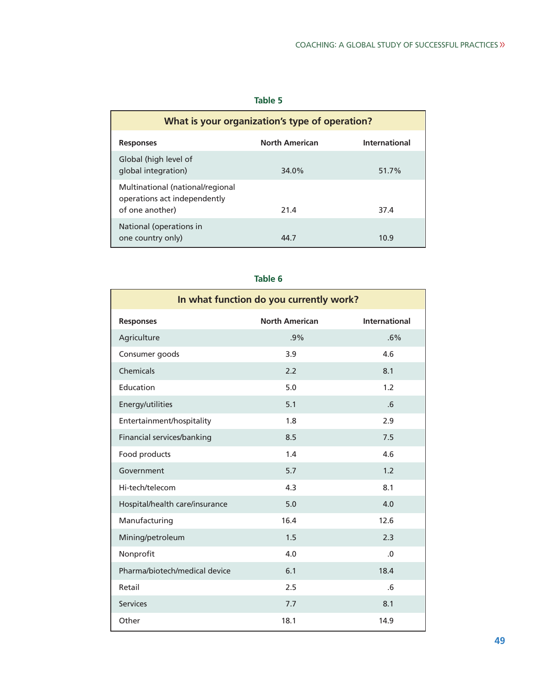| What is your organization's type of operation?                                      |                       |                      |  |
|-------------------------------------------------------------------------------------|-----------------------|----------------------|--|
| <b>Responses</b>                                                                    | <b>North American</b> | <b>International</b> |  |
| Global (high level of<br>global integration)                                        | 34.0%                 | 51.7%                |  |
| Multinational (national/regional<br>operations act independently<br>of one another) | 21.4                  | 37.4                 |  |
| National (operations in<br>one country only)                                        | 44 7                  | 10.9                 |  |

| In what function do you currently work? |                       |                      |  |  |  |
|-----------------------------------------|-----------------------|----------------------|--|--|--|
| <b>Responses</b>                        | <b>North American</b> | <b>International</b> |  |  |  |
| Agriculture                             | .9%                   | .6%                  |  |  |  |
| Consumer goods                          | 3.9                   | 4.6                  |  |  |  |
| Chemicals                               | 2.2                   | 8.1                  |  |  |  |
| Education                               | 5.0                   | 1.2                  |  |  |  |
| Energy/utilities                        | 5.1                   | .6                   |  |  |  |
| Entertainment/hospitality               | 1.8                   | 2.9                  |  |  |  |
| Financial services/banking              | 8.5                   | 7.5                  |  |  |  |
| Food products                           | 1.4                   | 4.6                  |  |  |  |
| Government                              | 5.7                   | 1.2                  |  |  |  |
| Hi-tech/telecom                         | 4.3                   | 8.1                  |  |  |  |
| Hospital/health care/insurance          | 5.0                   | 4.0                  |  |  |  |
| Manufacturing                           | 16.4                  | 12.6                 |  |  |  |
| Mining/petroleum                        | 1.5                   | 2.3                  |  |  |  |
| Nonprofit                               | 4.0                   | .0                   |  |  |  |
| Pharma/biotech/medical device           | 6.1                   | 18.4                 |  |  |  |
| Retail                                  | 2.5                   | .6                   |  |  |  |
| <b>Services</b>                         | 7.7                   | 8.1                  |  |  |  |
| Other                                   | 18.1                  | 14.9                 |  |  |  |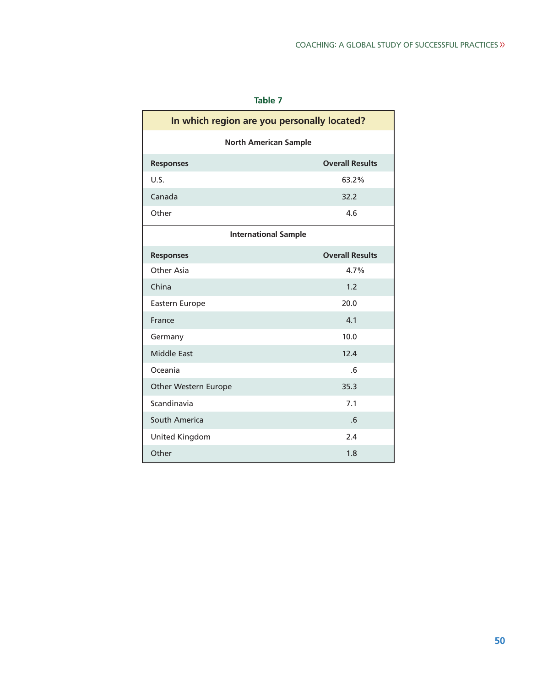| In which region are you personally located? |                        |  |  |
|---------------------------------------------|------------------------|--|--|
| <b>North American Sample</b>                |                        |  |  |
| <b>Responses</b>                            | <b>Overall Results</b> |  |  |
| U.S.                                        | 63.2%                  |  |  |
| Canada                                      | 32.2                   |  |  |
| Other                                       | 4.6                    |  |  |
| <b>International Sample</b>                 |                        |  |  |
| <b>Responses</b>                            | <b>Overall Results</b> |  |  |
| Other Asia                                  | 4.7%                   |  |  |
| China                                       | 1.2                    |  |  |
| Eastern Europe                              | 20.0                   |  |  |
| France                                      | 4.1                    |  |  |
| Germany                                     | 10.0                   |  |  |
| <b>Middle East</b>                          | 12.4                   |  |  |
| Oceania                                     | $6 \sigma$             |  |  |
| Other Western Europe                        | 35.3                   |  |  |
| Scandinavia                                 | 7.1                    |  |  |
| South America<br>.6                         |                        |  |  |
| United Kingdom                              | 2.4                    |  |  |
| Other                                       | 1.8                    |  |  |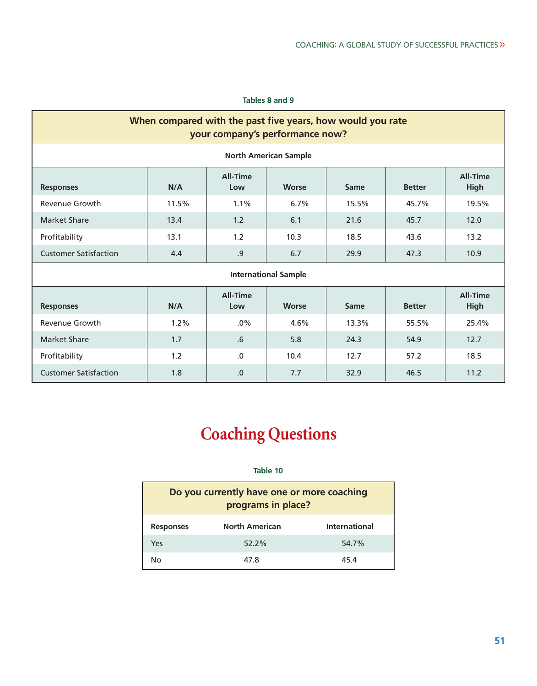## **Tables 8 and 9**

| When compared with the past five years, how would you rate<br>your company's performance now? |       |                        |                              |       |               |                                |
|-----------------------------------------------------------------------------------------------|-------|------------------------|------------------------------|-------|---------------|--------------------------------|
|                                                                                               |       |                        | <b>North American Sample</b> |       |               |                                |
| <b>Responses</b>                                                                              | N/A   | <b>All-Time</b><br>Low | <b>Worse</b>                 | Same  | <b>Better</b> | <b>All-Time</b><br><b>High</b> |
| Revenue Growth                                                                                | 11.5% | $1.1\%$                | 6.7%                         | 15.5% | 45.7%         | 19.5%                          |
| Market Share                                                                                  | 13.4  | 1.2                    | 6.1                          | 21.6  | 45.7          | 12.0                           |
| Profitability                                                                                 | 13.1  | 1.2                    | 10.3                         | 18.5  | 43.6          | 13.2                           |
| <b>Customer Satisfaction</b>                                                                  | 4.4   | .9                     | 6.7                          | 29.9  | 47.3          | 10.9                           |
| <b>International Sample</b>                                                                   |       |                        |                              |       |               |                                |
| <b>Responses</b>                                                                              | N/A   | <b>All-Time</b><br>Low | <b>Worse</b>                 | Same  | <b>Better</b> | <b>All-Time</b><br><b>High</b> |
| Revenue Growth                                                                                | 1.2%  | $.0\%$                 | 4.6%                         | 13.3% | 55.5%         | 25.4%                          |
| <b>Market Share</b>                                                                           | 1.7   | .6                     | 5.8                          | 24.3  | 54.9          | 12.7                           |
| Profitability                                                                                 | 1.2   | $\Omega$               | 10.4                         | 12.7  | 57.2          | 18.5                           |
| <b>Customer Satisfaction</b>                                                                  | 1.8   | .0                     | 7.7                          | 32.9  | 46.5          | 11.2                           |

# **Coaching Questions**

| Do you currently have one or more coaching<br>programs in place? |          |       |  |  |
|------------------------------------------------------------------|----------|-------|--|--|
| <b>North American</b><br>International<br><b>Responses</b>       |          |       |  |  |
| Yes                                                              | $52.2\%$ | 54.7% |  |  |
| 47 8<br>45 4<br>Nο                                               |          |       |  |  |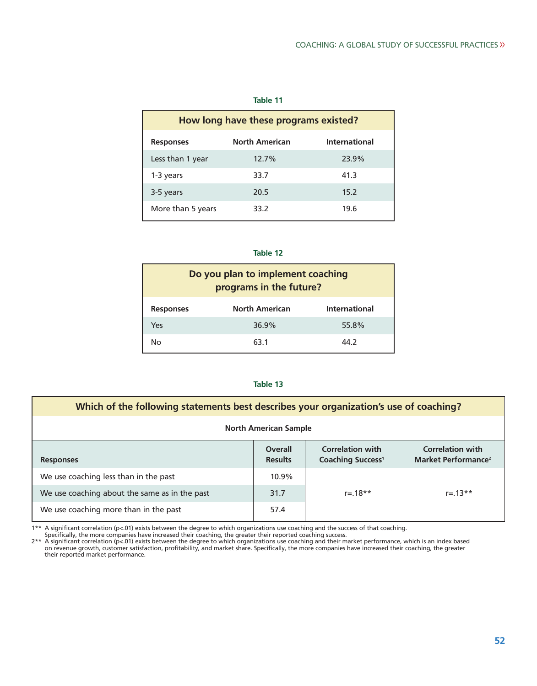| How long have these programs existed?                             |       |       |  |  |  |  |
|-------------------------------------------------------------------|-------|-------|--|--|--|--|
| <b>North American</b><br><b>International</b><br><b>Responses</b> |       |       |  |  |  |  |
| Less than 1 year                                                  | 12.7% | 23.9% |  |  |  |  |
| 1-3 years                                                         | 33.7  | 41.3  |  |  |  |  |
| 3-5 years                                                         | 20.5  | 15.2  |  |  |  |  |
| More than 5 years                                                 | 33.2  | 19.6  |  |  |  |  |

## **Table 12**

| Do you plan to implement coaching<br>programs in the future?      |       |       |  |  |  |  |
|-------------------------------------------------------------------|-------|-------|--|--|--|--|
| <b>North American</b><br><b>International</b><br><b>Responses</b> |       |       |  |  |  |  |
| Yes                                                               | 36.9% | 55.8% |  |  |  |  |
| 44.2<br>63.1<br>No                                                |       |       |  |  |  |  |

### **Table 13**

| Which of the following statements best describes your organization's use of coaching? |                           |                                                                |                                                            |  |
|---------------------------------------------------------------------------------------|---------------------------|----------------------------------------------------------------|------------------------------------------------------------|--|
| <b>North American Sample</b>                                                          |                           |                                                                |                                                            |  |
| <b>Responses</b>                                                                      | Overall<br><b>Results</b> | <b>Correlation with</b><br><b>Coaching Success<sup>1</sup></b> | <b>Correlation with</b><br>Market Performance <sup>2</sup> |  |
| We use coaching less than in the past                                                 | 10.9%                     |                                                                |                                                            |  |
| We use coaching about the same as in the past                                         | 31.7                      | $r = 18**$                                                     | $r = 13**$                                                 |  |
| We use coaching more than in the past                                                 | 57.4                      |                                                                |                                                            |  |

<sup>1\*\*</sup> A significant correlation (p<.01) exists between the degree to which organizations use coaching and the success of that coaching.<br>
Specifically, the more companies have increased their coaching, the greater their rep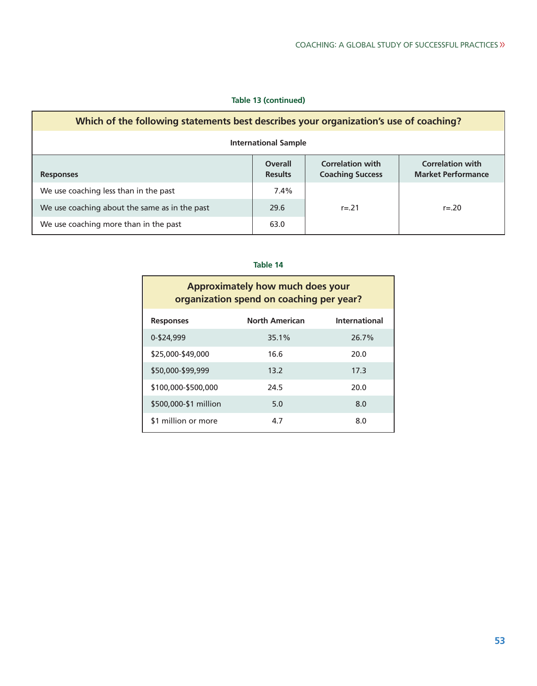## **Table 13 (continued)**

| Which of the following statements best describes your organization's use of coaching? |                                  |                                                    |                                                      |  |
|---------------------------------------------------------------------------------------|----------------------------------|----------------------------------------------------|------------------------------------------------------|--|
| <b>International Sample</b>                                                           |                                  |                                                    |                                                      |  |
| <b>Responses</b>                                                                      | <b>Overall</b><br><b>Results</b> | <b>Correlation with</b><br><b>Coaching Success</b> | <b>Correlation with</b><br><b>Market Performance</b> |  |
| We use coaching less than in the past                                                 | 7.4%                             |                                                    |                                                      |  |
| We use coaching about the same as in the past                                         | 29.6                             | $r = 21$                                           | $r = 20$                                             |  |
| We use coaching more than in the past                                                 | 63.0                             |                                                    |                                                      |  |

| Approximately how much does your<br>organization spend on coaching per year? |                       |               |  |  |
|------------------------------------------------------------------------------|-----------------------|---------------|--|--|
| <b>Responses</b>                                                             | <b>North American</b> | International |  |  |
| 0-\$24,999                                                                   | 35.1%                 | 26.7%         |  |  |
| \$25,000-\$49,000                                                            | 16.6                  | 20.0          |  |  |
| \$50,000-\$99,999                                                            | 13.2                  | 17.3          |  |  |
| \$100.000-\$500.000                                                          | 24.5                  | 20.0          |  |  |
| \$500,000-\$1 million                                                        | 5.0                   | 8.0           |  |  |
| \$1 million or more                                                          | 4.7                   | 8.0           |  |  |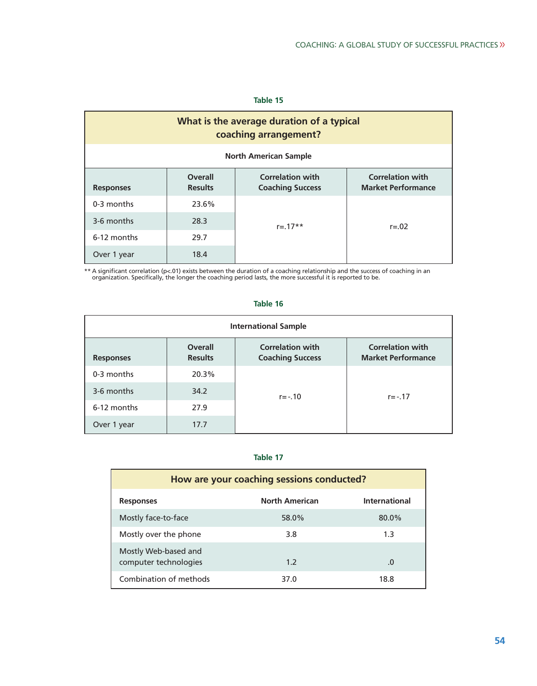| What is the average duration of a typical<br>coaching arrangement?                                                                                                 |       |            |            |  |  |
|--------------------------------------------------------------------------------------------------------------------------------------------------------------------|-------|------------|------------|--|--|
| <b>North American Sample</b>                                                                                                                                       |       |            |            |  |  |
| <b>Correlation with</b><br><b>Correlation with</b><br><b>Overall</b><br><b>Market Performance</b><br><b>Results</b><br><b>Coaching Success</b><br><b>Responses</b> |       |            |            |  |  |
| 0-3 months                                                                                                                                                         | 23.6% |            |            |  |  |
| 3-6 months                                                                                                                                                         | 28.3  | $r = 17**$ | $r = 0.02$ |  |  |
| 6-12 months                                                                                                                                                        | 29.7  |            |            |  |  |
| Over 1 year                                                                                                                                                        | 18.4  |            |            |  |  |

\*\* A significant correlation (p<.01) exists between the duration of a coaching relationship and the success of coaching in an<br>organization. Specifically, the longer the coaching period lasts, the more successful it is repo

| <b>International Sample</b> |                                  |                                                    |                                                      |  |  |
|-----------------------------|----------------------------------|----------------------------------------------------|------------------------------------------------------|--|--|
| <b>Responses</b>            | <b>Overall</b><br><b>Results</b> | <b>Correlation with</b><br><b>Coaching Success</b> | <b>Correlation with</b><br><b>Market Performance</b> |  |  |
| 0-3 months                  | 20.3%                            |                                                    |                                                      |  |  |
| 3-6 months                  | 34.2                             | $r = -0.10$                                        | $r = -0.17$                                          |  |  |
| 6-12 months                 | 27.9                             |                                                    |                                                      |  |  |
| Over 1 year                 | 17.7                             |                                                    |                                                      |  |  |

# **Table 16**

| How are your coaching sessions conducted?     |                       |               |  |
|-----------------------------------------------|-----------------------|---------------|--|
| <b>Responses</b>                              | <b>North American</b> | International |  |
| Mostly face-to-face                           | 58.0%                 | 80.0%         |  |
| Mostly over the phone                         | 3.8                   | 1.3           |  |
| Mostly Web-based and<br>computer technologies | 1.2                   | .0            |  |
| Combination of methods                        | 37.0                  | 18.8          |  |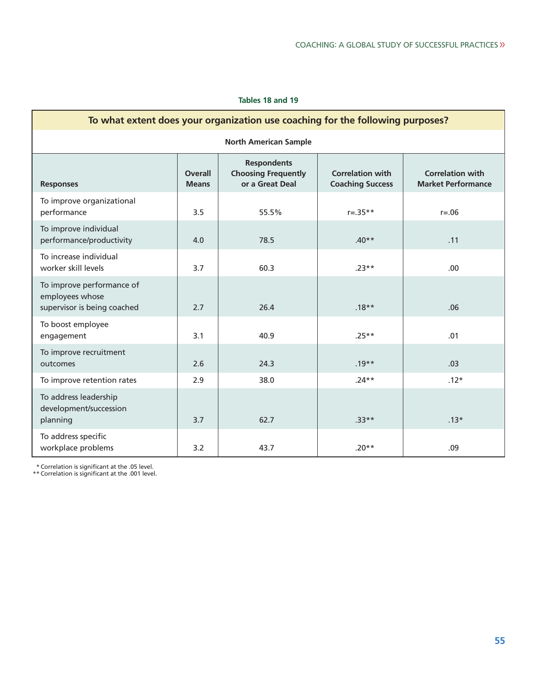### **Tables 18 and 19**

| To what extent does your organization use coaching for the following purposes? |                                |                                                                     |                                                    |                                                      |  |
|--------------------------------------------------------------------------------|--------------------------------|---------------------------------------------------------------------|----------------------------------------------------|------------------------------------------------------|--|
| <b>North American Sample</b>                                                   |                                |                                                                     |                                                    |                                                      |  |
| <b>Responses</b>                                                               | <b>Overall</b><br><b>Means</b> | <b>Respondents</b><br><b>Choosing Frequently</b><br>or a Great Deal | <b>Correlation with</b><br><b>Coaching Success</b> | <b>Correlation with</b><br><b>Market Performance</b> |  |
| To improve organizational<br>performance                                       | 3.5                            | 55.5%                                                               | $r = .35**$                                        | $r = .06$                                            |  |
| To improve individual<br>performance/productivity                              | 4.0                            | 78.5                                                                | $.40**$                                            | .11                                                  |  |
| To increase individual<br>worker skill levels                                  | 3.7                            | 60.3                                                                | $.23**$                                            | .00                                                  |  |
| To improve performance of<br>employees whose<br>supervisor is being coached    | 2.7                            | 26.4                                                                | $.18**$                                            | .06                                                  |  |
| To boost employee<br>engagement                                                | 3.1                            | 40.9                                                                | $.25**$                                            | .01                                                  |  |
| To improve recruitment<br>outcomes                                             | 2.6                            | 24.3                                                                | $.19**$                                            | .03                                                  |  |
| To improve retention rates                                                     | 2.9                            | 38.0                                                                | $.24**$                                            | $.12*$                                               |  |
| To address leadership<br>development/succession<br>planning                    | 3.7                            | 62.7                                                                | $.33**$                                            | $.13*$                                               |  |
| To address specific<br>workplace problems                                      | 3.2                            | 43.7                                                                | $.20**$                                            | .09                                                  |  |

п

\* Correlation is significant at the .05 level. \*\* Correlation is significant at the .001 level.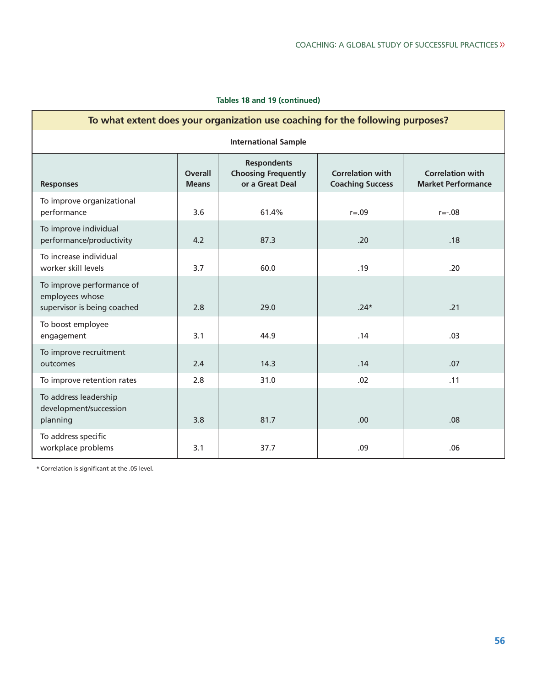| To what extent does your organization use coaching for the following purposes? |                                |                                                                     |                                                    |                                                      |  |
|--------------------------------------------------------------------------------|--------------------------------|---------------------------------------------------------------------|----------------------------------------------------|------------------------------------------------------|--|
| <b>International Sample</b>                                                    |                                |                                                                     |                                                    |                                                      |  |
| <b>Responses</b>                                                               | <b>Overall</b><br><b>Means</b> | <b>Respondents</b><br><b>Choosing Frequently</b><br>or a Great Deal | <b>Correlation with</b><br><b>Coaching Success</b> | <b>Correlation with</b><br><b>Market Performance</b> |  |
| To improve organizational<br>performance                                       | 3.6                            | 61.4%                                                               | $r = .09$                                          | $r = -0.08$                                          |  |
| To improve individual<br>performance/productivity                              | 4.2                            | 87.3                                                                | .20                                                | .18                                                  |  |
| To increase individual<br>worker skill levels                                  | 3.7                            | 60.0                                                                | .19                                                | .20                                                  |  |
| To improve performance of<br>employees whose<br>supervisor is being coached    | 2.8                            | 29.0                                                                | $.24*$                                             | .21                                                  |  |
| To boost employee<br>engagement                                                | 3.1                            | 44.9                                                                | .14                                                | .03                                                  |  |
| To improve recruitment<br>outcomes                                             | 2.4                            | 14.3                                                                | .14                                                | .07                                                  |  |
| To improve retention rates                                                     | 2.8                            | 31.0                                                                | .02                                                | .11                                                  |  |
| To address leadership<br>development/succession<br>planning                    | 3.8                            | 81.7                                                                | .00                                                | .08                                                  |  |
| To address specific<br>workplace problems                                      | 3.1                            | 37.7                                                                | .09                                                | .06                                                  |  |

\* Correlation is significant at the .05 level.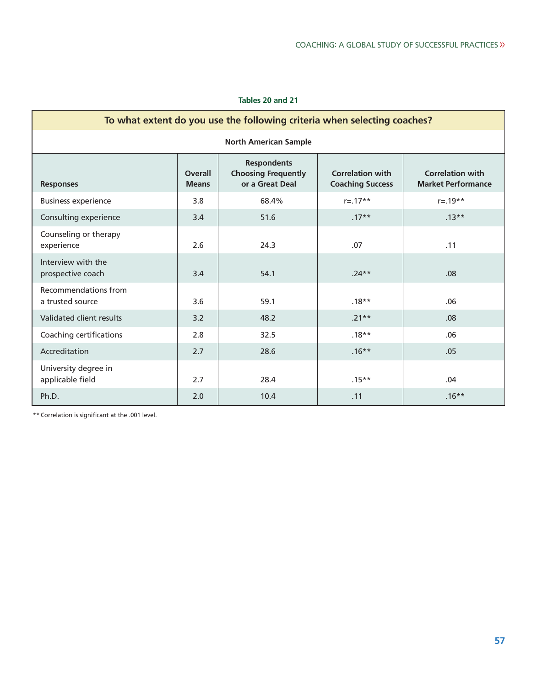## **Tables 20 and 21**

| To what extent do you use the following criteria when selecting coaches? |                                |                                                                     |                                                    |                                                      |  |
|--------------------------------------------------------------------------|--------------------------------|---------------------------------------------------------------------|----------------------------------------------------|------------------------------------------------------|--|
| <b>North American Sample</b>                                             |                                |                                                                     |                                                    |                                                      |  |
| <b>Responses</b>                                                         | <b>Overall</b><br><b>Means</b> | <b>Respondents</b><br><b>Choosing Frequently</b><br>or a Great Deal | <b>Correlation with</b><br><b>Coaching Success</b> | <b>Correlation with</b><br><b>Market Performance</b> |  |
| <b>Business experience</b>                                               | 3.8                            | 68.4%                                                               | $r = .17**$                                        | $r = .19**$                                          |  |
| Consulting experience                                                    | 3.4                            | 51.6                                                                | $.17**$                                            | $.13***$                                             |  |
| Counseling or therapy<br>experience                                      | 2.6                            | 24.3                                                                | .07                                                | .11                                                  |  |
| Interview with the<br>prospective coach                                  | 3.4                            | 54.1                                                                | $.24**$                                            | .08 <sub>0</sub>                                     |  |
| Recommendations from<br>a trusted source                                 | 3.6                            | 59.1                                                                | $.18**$                                            | .06                                                  |  |
| Validated client results                                                 | 3.2                            | 48.2                                                                | $.21**$                                            | .08 <sub>0</sub>                                     |  |
| Coaching certifications                                                  | 2.8                            | 32.5                                                                | $.18**$                                            | .06                                                  |  |
| Accreditation                                                            | 2.7                            | 28.6                                                                | $.16***$                                           | .05                                                  |  |
| University degree in<br>applicable field                                 | 2.7                            | 28.4                                                                | $.15***$                                           | .04                                                  |  |
| Ph.D.                                                                    | 2.0                            | 10.4                                                                | .11                                                | $.16***$                                             |  |

\*\* Correlation is significant at the .001 level.

E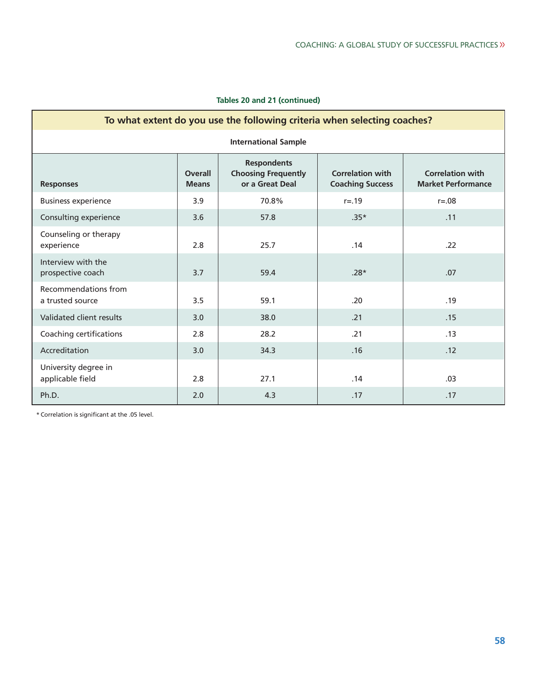|  |  |  |  | Tables 20 and 21 (continued) |
|--|--|--|--|------------------------------|
|--|--|--|--|------------------------------|

| To what extent do you use the following criteria when selecting coaches? |                                |                                                                     |                                                    |                                                      |  |  |  |
|--------------------------------------------------------------------------|--------------------------------|---------------------------------------------------------------------|----------------------------------------------------|------------------------------------------------------|--|--|--|
| <b>International Sample</b>                                              |                                |                                                                     |                                                    |                                                      |  |  |  |
| <b>Responses</b>                                                         | <b>Overall</b><br><b>Means</b> | <b>Respondents</b><br><b>Choosing Frequently</b><br>or a Great Deal | <b>Correlation with</b><br><b>Coaching Success</b> | <b>Correlation with</b><br><b>Market Performance</b> |  |  |  |
| <b>Business experience</b>                                               | 3.9                            | 70.8%                                                               | $r = 0.19$                                         | $r = 0.08$                                           |  |  |  |
| Consulting experience                                                    | 3.6                            | 57.8                                                                | $.35*$                                             | .11                                                  |  |  |  |
| Counseling or therapy<br>experience                                      | 2.8                            | 25.7                                                                | .14                                                | .22                                                  |  |  |  |
| Interview with the<br>prospective coach                                  | 3.7                            | 59.4                                                                | $.28*$                                             | .07                                                  |  |  |  |
| Recommendations from<br>a trusted source                                 | 3.5                            | 59.1                                                                | .20                                                | .19                                                  |  |  |  |
| Validated client results                                                 | 3.0                            | 38.0                                                                | .21                                                | .15                                                  |  |  |  |
| Coaching certifications                                                  | 2.8                            | 28.2                                                                | .21                                                | .13                                                  |  |  |  |
| Accreditation                                                            | 3.0                            | 34.3                                                                | .16                                                | .12                                                  |  |  |  |
| University degree in<br>applicable field                                 | 2.8                            | 27.1                                                                | .14                                                | .03                                                  |  |  |  |
| Ph.D.                                                                    | 2.0                            | 4.3                                                                 | .17                                                | .17                                                  |  |  |  |

\* Correlation is significant at the .05 level.

E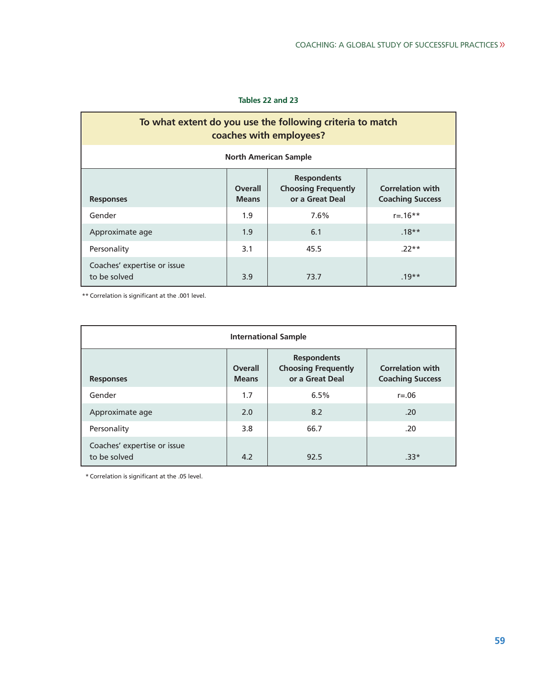## **Tables 22 and 23**

| To what extent do you use the following criteria to match<br>coaches with employees?                                                                                            |                           |      |         |  |  |  |  |
|---------------------------------------------------------------------------------------------------------------------------------------------------------------------------------|---------------------------|------|---------|--|--|--|--|
| <b>North American Sample</b>                                                                                                                                                    |                           |      |         |  |  |  |  |
| <b>Respondents</b><br><b>Overall</b><br><b>Choosing Frequently</b><br><b>Correlation with</b><br>or a Great Deal<br><b>Coaching Success</b><br><b>Means</b><br><b>Responses</b> |                           |      |         |  |  |  |  |
| Gender                                                                                                                                                                          | 1.9<br>7.6%<br>$r = 16**$ |      |         |  |  |  |  |
| Approximate age                                                                                                                                                                 | 1.9<br>$.18**$<br>6.1     |      |         |  |  |  |  |
| Personality                                                                                                                                                                     | 3.1<br>45.5<br>$.22**$    |      |         |  |  |  |  |
| Coaches' expertise or issue<br>to be solved                                                                                                                                     | 3.9                       | 73.7 | $.19**$ |  |  |  |  |

\*\* Correlation is significant at the .001 level.

| <b>International Sample</b>                 |                                                                                                                                                             |      |            |  |  |  |
|---------------------------------------------|-------------------------------------------------------------------------------------------------------------------------------------------------------------|------|------------|--|--|--|
| <b>Responses</b>                            | <b>Respondents</b><br><b>Choosing Frequently</b><br><b>Correlation with</b><br><b>Overall</b><br>or a Great Deal<br><b>Coaching Success</b><br><b>Means</b> |      |            |  |  |  |
| Gender                                      | 1.7                                                                                                                                                         | 6.5% | $r = 0.06$ |  |  |  |
| Approximate age                             | 2.0                                                                                                                                                         | 8.2  | .20        |  |  |  |
| Personality                                 | 3.8                                                                                                                                                         | 66.7 | .20        |  |  |  |
| Coaches' expertise or issue<br>to be solved | 4.2                                                                                                                                                         | 92.5 | $.33*$     |  |  |  |

\* Correlation is significant at the .05 level.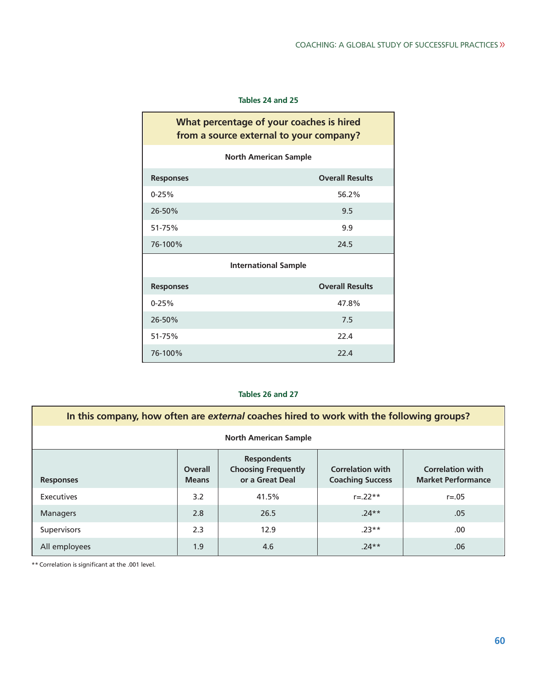Ť.

## **Tables 24 and 25**

F

| What percentage of your coaches is hired<br>from a source external to your company? |                             |  |  |  |  |  |
|-------------------------------------------------------------------------------------|-----------------------------|--|--|--|--|--|
| <b>North American Sample</b>                                                        |                             |  |  |  |  |  |
| <b>Responses</b>                                                                    | <b>Overall Results</b>      |  |  |  |  |  |
| $0 - 25%$                                                                           | 56.2%                       |  |  |  |  |  |
| 26-50%                                                                              | 9.5                         |  |  |  |  |  |
| 51-75%                                                                              | 9.9                         |  |  |  |  |  |
| 76-100%                                                                             | 24.5                        |  |  |  |  |  |
|                                                                                     | <b>International Sample</b> |  |  |  |  |  |
| <b>Responses</b>                                                                    | <b>Overall Results</b>      |  |  |  |  |  |
| $0 - 25%$                                                                           | 47.8%                       |  |  |  |  |  |
| 26-50%                                                                              | 7.5                         |  |  |  |  |  |
| 51-75%                                                                              | 22.4                        |  |  |  |  |  |
| 76-100%                                                                             | 22.4                        |  |  |  |  |  |

## **Tables 26 and 27**

| In this company, how often are external coaches hired to work with the following groups? |                         |                                                                     |                                                    |                                                      |  |  |
|------------------------------------------------------------------------------------------|-------------------------|---------------------------------------------------------------------|----------------------------------------------------|------------------------------------------------------|--|--|
| <b>North American Sample</b>                                                             |                         |                                                                     |                                                    |                                                      |  |  |
| <b>Responses</b>                                                                         | Overall<br><b>Means</b> | <b>Respondents</b><br><b>Choosing Frequently</b><br>or a Great Deal | <b>Correlation with</b><br><b>Coaching Success</b> | <b>Correlation with</b><br><b>Market Performance</b> |  |  |
| Executives                                                                               | 3.2                     | 41.5%                                                               | $r = 22**$                                         | $r = 0.05$                                           |  |  |
| <b>Managers</b>                                                                          | 2.8                     | 26.5                                                                | $.24**$                                            | .05                                                  |  |  |
| <b>Supervisors</b>                                                                       | 2.3                     | 12.9                                                                | $.23**$                                            | .00.                                                 |  |  |
| All employees                                                                            | 1.9                     | 4.6                                                                 | $.24**$                                            | .06                                                  |  |  |

\*\* Correlation is significant at the .001 level.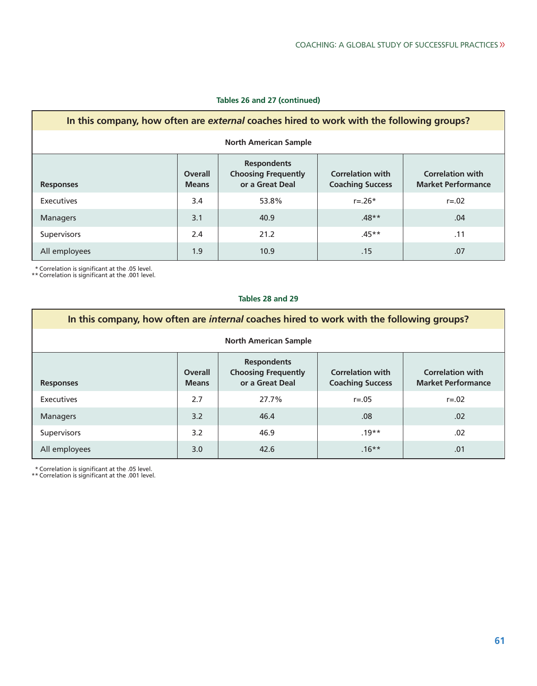| In this company, how often are external coaches hired to work with the following groups?                                                                                                                                                |     |       |             |            |  |  |
|-----------------------------------------------------------------------------------------------------------------------------------------------------------------------------------------------------------------------------------------|-----|-------|-------------|------------|--|--|
| <b>North American Sample</b>                                                                                                                                                                                                            |     |       |             |            |  |  |
| <b>Respondents</b><br><b>Choosing Frequently</b><br><b>Correlation with</b><br><b>Correlation with</b><br><b>Overall</b><br>or a Great Deal<br><b>Market Performance</b><br><b>Coaching Success</b><br><b>Means</b><br><b>Responses</b> |     |       |             |            |  |  |
| Executives                                                                                                                                                                                                                              | 3.4 | 53.8% | $r = 0.26*$ | $r = 0.02$ |  |  |
| <b>Managers</b>                                                                                                                                                                                                                         | 3.1 | 40.9  | $.48**$     | .04        |  |  |
| <b>Supervisors</b>                                                                                                                                                                                                                      | 2.4 | 21.2  | $.45**$     | .11        |  |  |
| All employees                                                                                                                                                                                                                           | 1.9 | 10.9  | .15         | .07        |  |  |

## **Tables 26 and 27 (continued)**

\* Correlation is significant at the .05 level. \*\* Correlation is significant at the .001 level.

### **Tables 28 and 29**

| In this company, how often are <i>internal</i> coaches hired to work with the following groups?                                                                                                                                  |     |       |            |            |  |  |
|----------------------------------------------------------------------------------------------------------------------------------------------------------------------------------------------------------------------------------|-----|-------|------------|------------|--|--|
| <b>North American Sample</b>                                                                                                                                                                                                     |     |       |            |            |  |  |
| <b>Respondents</b><br><b>Choosing Frequently</b><br><b>Correlation with</b><br><b>Correlation with</b><br>Overall<br>or a Great Deal<br><b>Coaching Success</b><br><b>Market Performance</b><br><b>Means</b><br><b>Responses</b> |     |       |            |            |  |  |
| Executives                                                                                                                                                                                                                       | 2.7 | 27.7% | $r = 0.05$ | $r = 0.02$ |  |  |
| <b>Managers</b>                                                                                                                                                                                                                  | 3.2 | 46.4  | .08        | .02        |  |  |
| Supervisors                                                                                                                                                                                                                      | 3.2 | 46.9  | $.19**$    | .02        |  |  |
| All employees                                                                                                                                                                                                                    | 3.0 | 42.6  | $.16***$   | .01        |  |  |

\* Correlation is significant at the .05 level. \*\* Correlation is significant at the .001 level.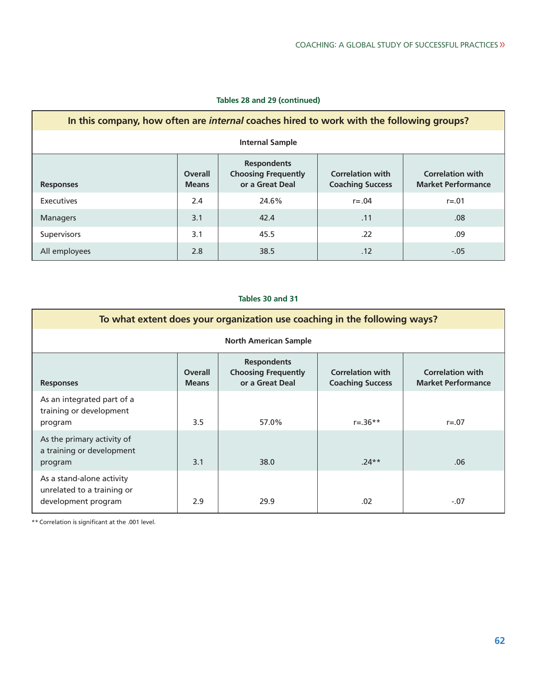| In this company, how often are <i>internal</i> coaches hired to work with the following groups?                                                                                                                                         |     |       |           |           |  |  |
|-----------------------------------------------------------------------------------------------------------------------------------------------------------------------------------------------------------------------------------------|-----|-------|-----------|-----------|--|--|
| <b>Internal Sample</b>                                                                                                                                                                                                                  |     |       |           |           |  |  |
| <b>Respondents</b><br><b>Choosing Frequently</b><br><b>Correlation with</b><br><b>Correlation with</b><br><b>Overall</b><br>or a Great Deal<br><b>Market Performance</b><br><b>Coaching Success</b><br><b>Means</b><br><b>Responses</b> |     |       |           |           |  |  |
| Executives                                                                                                                                                                                                                              | 2.4 | 24.6% | $r = .04$ | $r = .01$ |  |  |
| <b>Managers</b>                                                                                                                                                                                                                         | 3.1 | 42.4  | .11       | .08       |  |  |
| <b>Supervisors</b>                                                                                                                                                                                                                      | 3.1 | 45.5  | .22       | .09       |  |  |
| All employees                                                                                                                                                                                                                           | 2.8 | 38.5  | .12       | $-.05$    |  |  |

## **Tables 28 and 29 (continued)**

## **Tables 30 and 31**

| To what extent does your organization use coaching in the following ways?      |                                |                                                                     |                                                    |                                                      |  |  |
|--------------------------------------------------------------------------------|--------------------------------|---------------------------------------------------------------------|----------------------------------------------------|------------------------------------------------------|--|--|
| <b>North American Sample</b>                                                   |                                |                                                                     |                                                    |                                                      |  |  |
| <b>Responses</b>                                                               | <b>Overall</b><br><b>Means</b> | <b>Respondents</b><br><b>Choosing Frequently</b><br>or a Great Deal | <b>Correlation with</b><br><b>Coaching Success</b> | <b>Correlation with</b><br><b>Market Performance</b> |  |  |
| As an integrated part of a<br>training or development<br>program               | 3.5                            | 57.0%                                                               | $r = .36**$                                        | $r = 0.07$                                           |  |  |
| As the primary activity of<br>a training or development<br>program             | 3.1                            | 38.0                                                                | $.24**$                                            | .06                                                  |  |  |
| As a stand-alone activity<br>unrelated to a training or<br>development program | 2.9                            | 29.9                                                                | .02                                                | $-.07$                                               |  |  |

\*\* Correlation is significant at the .001 level.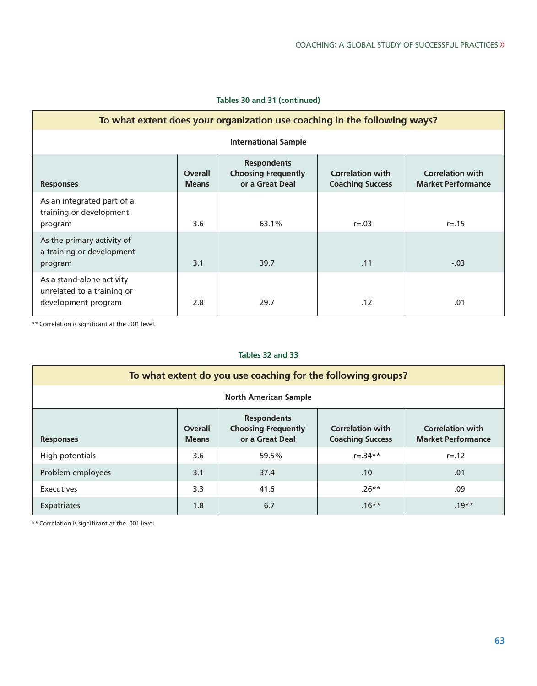|  |  |  |  | Tables 30 and 31 (continued) |
|--|--|--|--|------------------------------|
|--|--|--|--|------------------------------|

| To what extent does your organization use coaching in the following ways?      |                         |                                                                     |                                                    |                                                      |  |  |  |
|--------------------------------------------------------------------------------|-------------------------|---------------------------------------------------------------------|----------------------------------------------------|------------------------------------------------------|--|--|--|
| <b>International Sample</b>                                                    |                         |                                                                     |                                                    |                                                      |  |  |  |
| <b>Responses</b>                                                               | Overall<br><b>Means</b> | <b>Respondents</b><br><b>Choosing Frequently</b><br>or a Great Deal | <b>Correlation with</b><br><b>Coaching Success</b> | <b>Correlation with</b><br><b>Market Performance</b> |  |  |  |
| As an integrated part of a<br>training or development<br>program               | 3.6                     | 63.1%                                                               | $r = 0.03$                                         | $r = .15$                                            |  |  |  |
| As the primary activity of<br>a training or development<br>program             | 3.1                     | 39.7                                                                | .11                                                | $-.03$                                               |  |  |  |
| As a stand-alone activity<br>unrelated to a training or<br>development program | 2.8                     | 29.7                                                                | .12                                                | .01                                                  |  |  |  |

\*\* Correlation is significant at the .001 level.

## **Tables 32 and 33**

| To what extent do you use coaching for the following groups? |                                |                                                                     |                                                    |                                                      |  |  |  |
|--------------------------------------------------------------|--------------------------------|---------------------------------------------------------------------|----------------------------------------------------|------------------------------------------------------|--|--|--|
| <b>North American Sample</b>                                 |                                |                                                                     |                                                    |                                                      |  |  |  |
| <b>Responses</b>                                             | <b>Overall</b><br><b>Means</b> | <b>Respondents</b><br><b>Choosing Frequently</b><br>or a Great Deal | <b>Correlation with</b><br><b>Coaching Success</b> | <b>Correlation with</b><br><b>Market Performance</b> |  |  |  |
| High potentials                                              | 3.6                            | 59.5%                                                               | $r = .34**$                                        | $r = .12$                                            |  |  |  |
| Problem employees                                            | 3.1                            | 37.4                                                                | .10                                                | .01                                                  |  |  |  |
| Executives                                                   | 3.3                            | 41.6                                                                | $.26**$                                            | .09                                                  |  |  |  |
| Expatriates                                                  | 1.8                            | 6.7                                                                 | $.16***$                                           | $.19**$                                              |  |  |  |

\*\* Correlation is significant at the .001 level.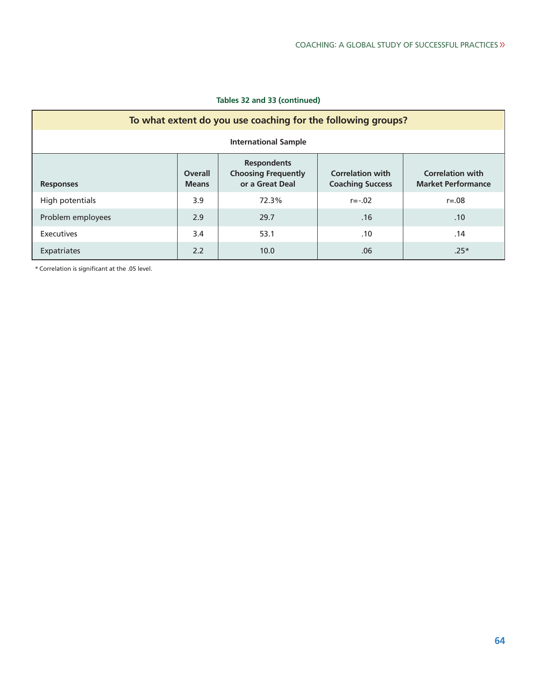| Tables 32 and 33 (continued) |  |  |  |
|------------------------------|--|--|--|
|------------------------------|--|--|--|

| To what extent do you use coaching for the following groups? |                         |                                                                     |                                                    |                                                      |  |  |  |  |
|--------------------------------------------------------------|-------------------------|---------------------------------------------------------------------|----------------------------------------------------|------------------------------------------------------|--|--|--|--|
| <b>International Sample</b>                                  |                         |                                                                     |                                                    |                                                      |  |  |  |  |
| <b>Responses</b>                                             | Overall<br><b>Means</b> | <b>Respondents</b><br><b>Choosing Frequently</b><br>or a Great Deal | <b>Correlation with</b><br><b>Coaching Success</b> | <b>Correlation with</b><br><b>Market Performance</b> |  |  |  |  |
| High potentials                                              | 3.9                     | 72.3%                                                               | $r = -.02$                                         | $r = 0.08$                                           |  |  |  |  |
| Problem employees                                            | 2.9                     | 29.7                                                                | .16                                                | .10                                                  |  |  |  |  |
| Executives                                                   | 3.4                     | 53.1                                                                | .10                                                | .14                                                  |  |  |  |  |
| Expatriates                                                  | 2.2                     | 10.0                                                                | .06                                                | $.25*$                                               |  |  |  |  |

\* Correlation is significant at the .05 level.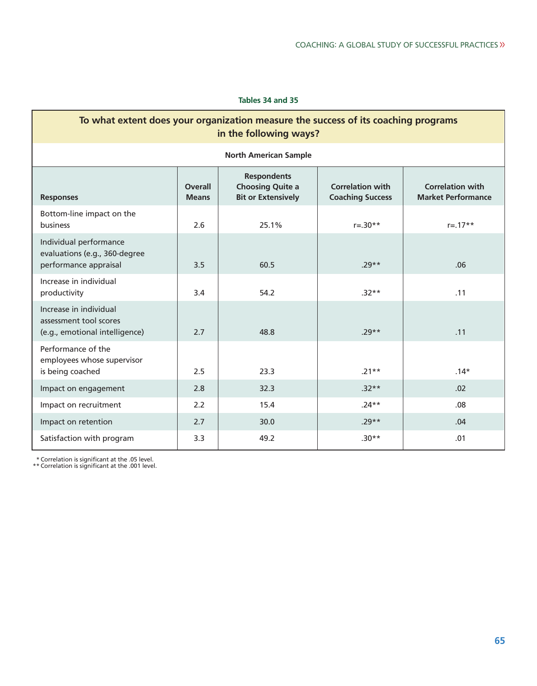#### **Tables 34 and 35**

| To what extent does your organization measure the success of its coaching programs<br>in the following ways? |                                                                                                                                                                                                                            |                              |             |             |  |  |  |
|--------------------------------------------------------------------------------------------------------------|----------------------------------------------------------------------------------------------------------------------------------------------------------------------------------------------------------------------------|------------------------------|-------------|-------------|--|--|--|
|                                                                                                              |                                                                                                                                                                                                                            | <b>North American Sample</b> |             |             |  |  |  |
| <b>Responses</b>                                                                                             | <b>Respondents</b><br><b>Choosing Quite a</b><br><b>Correlation with</b><br><b>Overall</b><br><b>Correlation with</b><br><b>Bit or Extensively</b><br><b>Coaching Success</b><br><b>Market Performance</b><br><b>Means</b> |                              |             |             |  |  |  |
| Bottom-line impact on the<br>business                                                                        | 2.6                                                                                                                                                                                                                        | 25.1%                        | $r = .30**$ | $r = .17**$ |  |  |  |
| Individual performance<br>evaluations (e.g., 360-degree<br>performance appraisal                             | 3.5                                                                                                                                                                                                                        | 60.5                         | $.29**$     | .06         |  |  |  |
| Increase in individual<br>productivity                                                                       | 3.4                                                                                                                                                                                                                        | 54.2                         | $.32**$     | .11         |  |  |  |
| Increase in individual<br>assessment tool scores<br>(e.g., emotional intelligence)                           | 2.7                                                                                                                                                                                                                        | 48.8                         | $.29**$     | .11         |  |  |  |
| Performance of the<br>employees whose supervisor<br>is being coached                                         | 2.5                                                                                                                                                                                                                        | 23.3                         | $.21**$     | $.14*$      |  |  |  |
| Impact on engagement                                                                                         | 2.8                                                                                                                                                                                                                        | 32.3                         | $.32**$     | .02         |  |  |  |
| Impact on recruitment                                                                                        | 2.2                                                                                                                                                                                                                        | 15.4                         | $.24**$     | .08         |  |  |  |
| Impact on retention                                                                                          | 2.7                                                                                                                                                                                                                        | 30.0                         | $.29**$     | .04         |  |  |  |
| Satisfaction with program                                                                                    | 3.3                                                                                                                                                                                                                        | 49.2                         | $.30**$     | .01         |  |  |  |

\* Correlation is significant at the .05 level. \*\* Correlation is significant at the .001 level.

Г

٦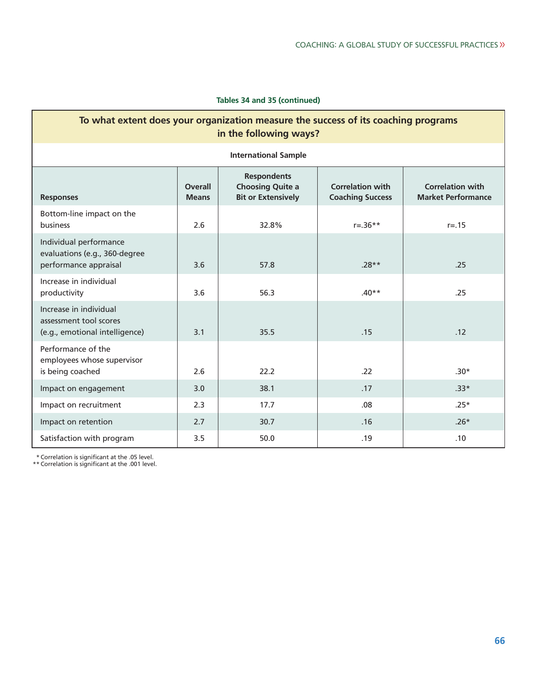#### **Tables 34 and 35 (continued)**

| To what extent does your organization measure the success of its coaching programs<br>in the following ways?                                                                                                                                   |     |                             |             |           |  |  |  |
|------------------------------------------------------------------------------------------------------------------------------------------------------------------------------------------------------------------------------------------------|-----|-----------------------------|-------------|-----------|--|--|--|
|                                                                                                                                                                                                                                                |     | <b>International Sample</b> |             |           |  |  |  |
| <b>Respondents</b><br><b>Choosing Quite a</b><br><b>Correlation with</b><br><b>Correlation with</b><br><b>Overall</b><br><b>Bit or Extensively</b><br><b>Coaching Success</b><br><b>Market Performance</b><br><b>Responses</b><br><b>Means</b> |     |                             |             |           |  |  |  |
| Bottom-line impact on the<br>business                                                                                                                                                                                                          | 2.6 | 32.8%                       | $r = .36**$ | $r = .15$ |  |  |  |
| Individual performance<br>evaluations (e.g., 360-degree<br>performance appraisal                                                                                                                                                               | 3.6 | 57.8                        | $.28**$     | .25       |  |  |  |
| Increase in individual<br>productivity                                                                                                                                                                                                         | 3.6 | 56.3                        | $.40**$     | .25       |  |  |  |
| Increase in individual<br>assessment tool scores<br>(e.g., emotional intelligence)                                                                                                                                                             | 3.1 | 35.5                        | .15         | .12       |  |  |  |
| Performance of the<br>employees whose supervisor<br>is being coached                                                                                                                                                                           | 2.6 | 22.2                        | .22         | $.30*$    |  |  |  |
| Impact on engagement                                                                                                                                                                                                                           | 3.0 | 38.1                        | .17         | $.33*$    |  |  |  |
| Impact on recruitment                                                                                                                                                                                                                          | 2.3 | 17.7                        | .08         | $.25*$    |  |  |  |
| Impact on retention                                                                                                                                                                                                                            | 2.7 | 30.7                        | .16         | $.26*$    |  |  |  |
| Satisfaction with program                                                                                                                                                                                                                      | 3.5 | 50.0                        | .19         | .10       |  |  |  |

\* Correlation is significant at the .05 level. \*\* Correlation is significant at the .001 level.

Г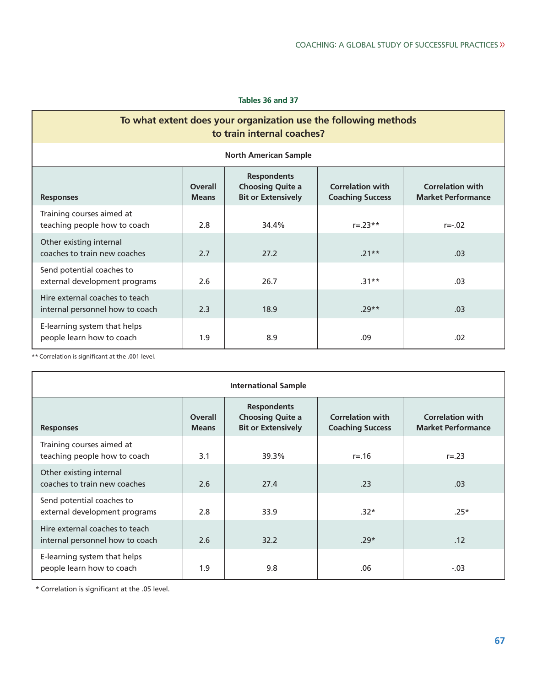#### **Tables 36 and 37**

## **To what extent does your organization use the following methods to train internal coaches?**

| <b>North American Sample</b>                                      |                                                                                                                                                                                                                            |       |             |           |  |  |
|-------------------------------------------------------------------|----------------------------------------------------------------------------------------------------------------------------------------------------------------------------------------------------------------------------|-------|-------------|-----------|--|--|
| <b>Responses</b>                                                  | <b>Respondents</b><br><b>Choosing Quite a</b><br><b>Correlation with</b><br><b>Correlation with</b><br><b>Overall</b><br><b>Bit or Extensively</b><br><b>Coaching Success</b><br><b>Market Performance</b><br><b>Means</b> |       |             |           |  |  |
| Training courses aimed at<br>teaching people how to coach         | 2.8                                                                                                                                                                                                                        | 34.4% | $r = .23**$ | $r = -02$ |  |  |
| Other existing internal<br>coaches to train new coaches           | 2.7                                                                                                                                                                                                                        | 27.2  | $.21**$     | .03       |  |  |
| Send potential coaches to<br>external development programs        | 2.6                                                                                                                                                                                                                        | 26.7  | $.31**$     | .03       |  |  |
| Hire external coaches to teach<br>internal personnel how to coach | 2.3                                                                                                                                                                                                                        | 18.9  | $.29**$     | .03       |  |  |
| E-learning system that helps<br>people learn how to coach         | 1.9                                                                                                                                                                                                                        | 8.9   | .09         | .02       |  |  |

\*\* Correlation is significant at the .001 level.

| <b>International Sample</b>                                       |                                |                                                                            |                                                    |                                                      |  |  |
|-------------------------------------------------------------------|--------------------------------|----------------------------------------------------------------------------|----------------------------------------------------|------------------------------------------------------|--|--|
| <b>Responses</b>                                                  | <b>Overall</b><br><b>Means</b> | <b>Respondents</b><br><b>Choosing Quite a</b><br><b>Bit or Extensively</b> | <b>Correlation with</b><br><b>Coaching Success</b> | <b>Correlation with</b><br><b>Market Performance</b> |  |  |
| Training courses aimed at<br>teaching people how to coach         | 3.1                            | 39.3%                                                                      | $r = 16$                                           | $r = .23$                                            |  |  |
| Other existing internal<br>coaches to train new coaches           | 2.6                            | 27.4                                                                       | .23                                                | .03                                                  |  |  |
| Send potential coaches to<br>external development programs        | 2.8                            | 33.9                                                                       | $.32*$                                             | $.25*$                                               |  |  |
| Hire external coaches to teach<br>internal personnel how to coach | 2.6                            | 32.2                                                                       | $.29*$                                             | .12                                                  |  |  |
| E-learning system that helps<br>people learn how to coach         | 1.9                            | 9.8                                                                        | .06                                                | $-.03$                                               |  |  |

\* Correlation is significant at the .05 level.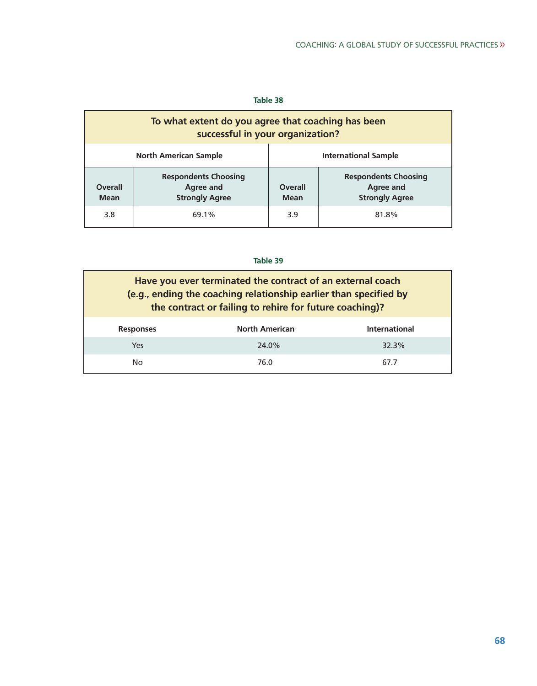#### **Table 38**

| To what extent do you agree that coaching has been<br>successful in your organization?             |       |                               |                                                                   |  |  |
|----------------------------------------------------------------------------------------------------|-------|-------------------------------|-------------------------------------------------------------------|--|--|
| <b>North American Sample</b><br><b>International Sample</b>                                        |       |                               |                                                                   |  |  |
| <b>Respondents Choosing</b><br><b>Overall</b><br>Agree and<br><b>Strongly Agree</b><br><b>Mean</b> |       | <b>Overall</b><br><b>Mean</b> | <b>Respondents Choosing</b><br>Agree and<br><b>Strongly Agree</b> |  |  |
| 3.8                                                                                                | 69.1% | 3.9                           | 81.8%                                                             |  |  |

| Have you ever terminated the contract of an external coach<br>(e.g., ending the coaching relationship earlier than specified by<br>the contract or failing to rehire for future coaching)? |                       |                      |  |  |  |
|--------------------------------------------------------------------------------------------------------------------------------------------------------------------------------------------|-----------------------|----------------------|--|--|--|
| <b>Responses</b>                                                                                                                                                                           | <b>North American</b> | <b>International</b> |  |  |  |
| Yes                                                                                                                                                                                        | 24.0%                 | 32.3%                |  |  |  |
| No                                                                                                                                                                                         | 76.0                  | 67.7                 |  |  |  |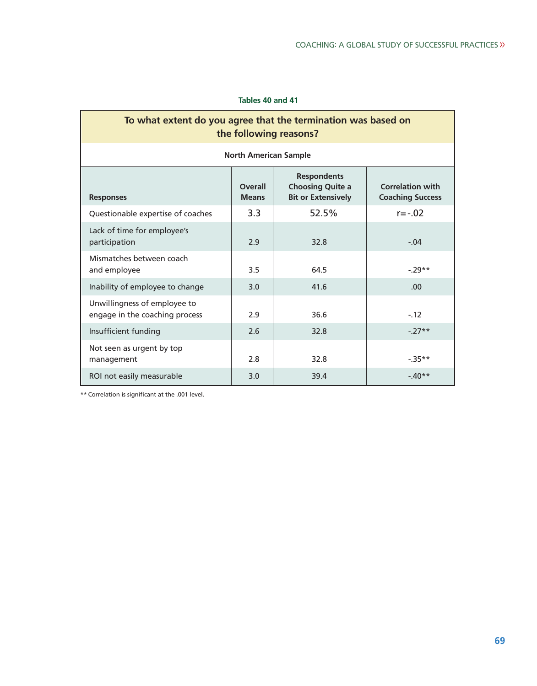#### **Tables 40 and 41**

## **To what extent do you agree that the termination was based on the following reasons?**

| <b>North American Sample</b>                                   |                                |                                                                            |                                                    |  |  |
|----------------------------------------------------------------|--------------------------------|----------------------------------------------------------------------------|----------------------------------------------------|--|--|
| <b>Responses</b>                                               | <b>Overall</b><br><b>Means</b> | <b>Respondents</b><br><b>Choosing Quite a</b><br><b>Bit or Extensively</b> | <b>Correlation with</b><br><b>Coaching Success</b> |  |  |
| Questionable expertise of coaches                              | 3.3                            | 52.5%                                                                      | $r = -.02$                                         |  |  |
| Lack of time for employee's<br>participation                   | 2.9                            | 32.8                                                                       | $-.04$                                             |  |  |
| Mismatches between coach<br>and employee                       | 3.5                            | 64.5                                                                       | $-29**$                                            |  |  |
| Inability of employee to change                                | 3.0                            | 41.6                                                                       | .00 <sub>1</sub>                                   |  |  |
| Unwillingness of employee to<br>engage in the coaching process | 2.9                            | 36.6                                                                       | $-.12$                                             |  |  |
| Insufficient funding                                           | 2.6                            | 32.8                                                                       | $-27**$                                            |  |  |
| Not seen as urgent by top<br>management                        | 2.8                            | 32.8                                                                       | $-35**$                                            |  |  |
| ROI not easily measurable                                      | 3.0                            | 39.4                                                                       | $-40**$                                            |  |  |

\*\* Correlation is significant at the .001 level.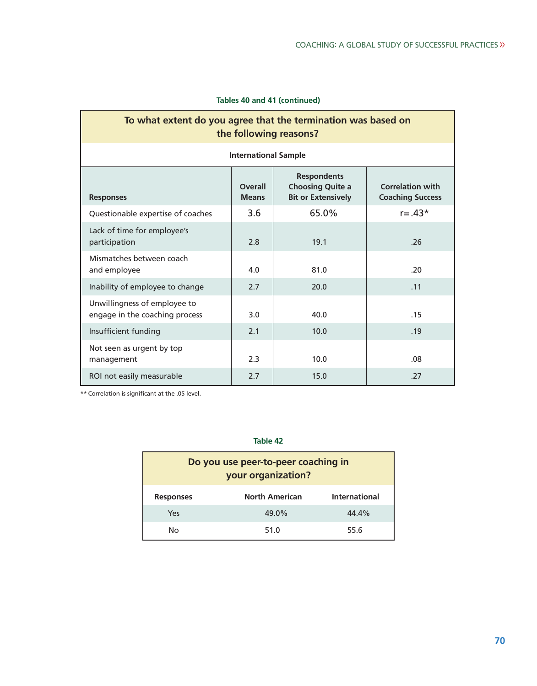|  |  |  |  | Tables 40 and 41 (continued) |
|--|--|--|--|------------------------------|
|--|--|--|--|------------------------------|

## **To what extent do you agree that the termination was based on the following reasons?**

| <b>International Sample</b> |  |
|-----------------------------|--|
|                             |  |

| <b>Responses</b>                                               | <b>Overall</b><br><b>Means</b> | <b>Respondents</b><br><b>Choosing Quite a</b><br><b>Bit or Extensively</b> | <b>Correlation with</b><br><b>Coaching Success</b> |
|----------------------------------------------------------------|--------------------------------|----------------------------------------------------------------------------|----------------------------------------------------|
| Questionable expertise of coaches                              | 3.6                            | 65.0%                                                                      | $r = .43*$                                         |
| Lack of time for employee's<br>participation                   | 2.8                            | 19.1                                                                       | .26                                                |
| Mismatches between coach<br>and employee                       | 4.0                            | 81.0                                                                       | .20                                                |
| Inability of employee to change                                | 2.7                            | 20.0                                                                       | .11                                                |
| Unwillingness of employee to<br>engage in the coaching process | 3.0                            | 40.0                                                                       | .15                                                |
| Insufficient funding                                           | 2.1                            | 10.0                                                                       | .19                                                |
| Not seen as urgent by top<br>management                        | 2.3                            | 10.0                                                                       | .08                                                |
| ROI not easily measurable                                      | 2.7                            | 15.0                                                                       | .27                                                |

\*\* Correlation is significant at the .05 level.

| Do you use peer-to-peer coaching in<br>your organization? |                       |                      |  |  |  |
|-----------------------------------------------------------|-----------------------|----------------------|--|--|--|
| <b>Responses</b>                                          | <b>North American</b> | <b>International</b> |  |  |  |
| Yes                                                       | 49.0%                 | 44.4%                |  |  |  |
| No.                                                       | 51.0                  | 55.6                 |  |  |  |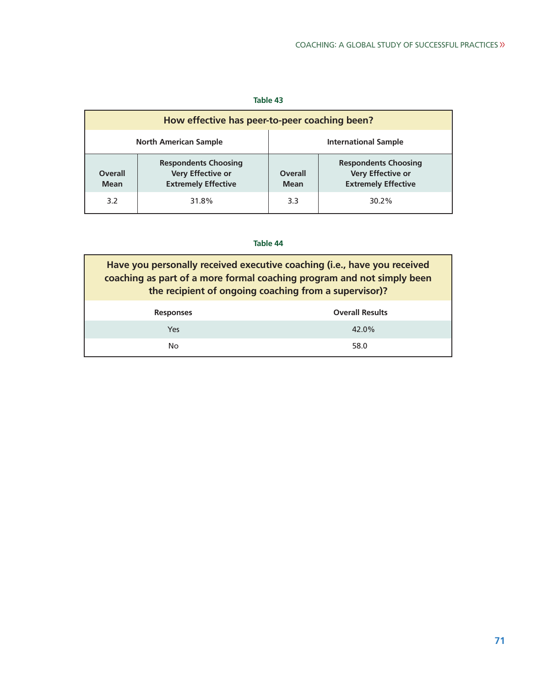#### **Table 43**

| How effective has peer-to-peer coaching been?                                                                   |       |                               |                                                                                |  |  |  |
|-----------------------------------------------------------------------------------------------------------------|-------|-------------------------------|--------------------------------------------------------------------------------|--|--|--|
| <b>North American Sample</b><br><b>International Sample</b>                                                     |       |                               |                                                                                |  |  |  |
| <b>Respondents Choosing</b><br>Very Effective or<br><b>Overall</b><br><b>Extremely Effective</b><br><b>Mean</b> |       | <b>Overall</b><br><b>Mean</b> | <b>Respondents Choosing</b><br>Very Effective or<br><b>Extremely Effective</b> |  |  |  |
| 3.2                                                                                                             | 31.8% | 3.3                           | 30.2%                                                                          |  |  |  |

| Have you personally received executive coaching (i.e., have you received<br>coaching as part of a more formal coaching program and not simply been<br>the recipient of ongoing coaching from a supervisor)? |                        |  |
|-------------------------------------------------------------------------------------------------------------------------------------------------------------------------------------------------------------|------------------------|--|
| <b>Responses</b>                                                                                                                                                                                            | <b>Overall Results</b> |  |
| Yes                                                                                                                                                                                                         | 42.0%                  |  |
| No.                                                                                                                                                                                                         | 58.0                   |  |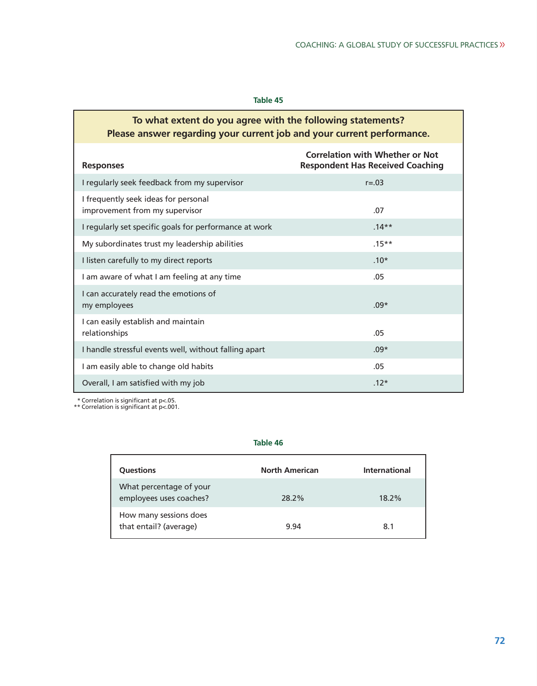#### **Table 45**

## **To what extent do you agree with the following statements? Please answer regarding your current job and your current performance.**

| <b>Responses</b>                                                       | <b>Correlation with Whether or Not</b><br><b>Respondent Has Received Coaching</b> |
|------------------------------------------------------------------------|-----------------------------------------------------------------------------------|
| I regularly seek feedback from my supervisor                           | $r = .03$                                                                         |
| I frequently seek ideas for personal<br>improvement from my supervisor | .07                                                                               |
| I regularly set specific goals for performance at work                 | $.14**$                                                                           |
| My subordinates trust my leadership abilities                          | $.15***$                                                                          |
| I listen carefully to my direct reports                                | $.10*$                                                                            |
| I am aware of what I am feeling at any time                            | .05                                                                               |
| I can accurately read the emotions of<br>my employees                  | $.09*$                                                                            |
| I can easily establish and maintain<br>relationships                   | .05                                                                               |
| I handle stressful events well, without falling apart                  | $.09*$                                                                            |
| I am easily able to change old habits                                  | .05                                                                               |
| Overall, I am satisfied with my job                                    | $.12*$                                                                            |

\* Correlation is significant at p<.05. \*\* Correlation is significant at p<.001.

| <b>Ouestions</b>                                   | <b>North American</b> | International |
|----------------------------------------------------|-----------------------|---------------|
| What percentage of your<br>employees uses coaches? | 28.2%                 | $18.2\%$      |
| How many sessions does<br>that entail? (average)   | 9.94                  | 8.1           |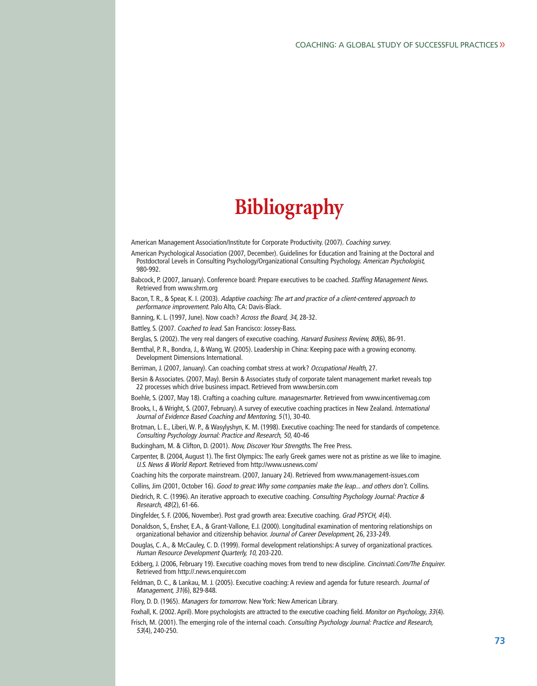# **Bibliography**

American Management Association/Institute for Corporate Productivity. (2007). Coaching survey.

- American Psychological Association (2007, December). Guidelines for Education and Training at the Doctoral and Postdoctoral Levels in Consulting Psychology/Organizational Consulting Psychology. American Psychologist, 980-992.
- Babcock, P. (2007, January). Conference board: Prepare executives to be coached. Staffing Management News. Retrieved from www.shrm.org
- Bacon, T. R., & Spear, K. I. (2003). Adaptive coaching: The art and practice of a client-centered approach to performance improvement. Palo Alto, CA: Davis-Black.

Banning, K. L. (1997, June). Now coach? Across the Board, 34, 28-32.

- Battley, S. (2007. Coached to lead. San Francisco: Jossey-Bass.
- Berglas, S. (2002). The very real dangers of executive coaching. Harvard Business Review, 80(6), 86-91.

Bernthal, P. R., Bondra, J., & Wang, W. (2005). Leadership in China: Keeping pace with a growing economy. Development Dimensions International.

- Berriman, J. (2007, January). Can coaching combat stress at work? Occupational Health, 27.
- Bersin & Associates. (2007, May). Bersin & Associates study of corporate talent management market reveals top 22 processes which drive business impact. Retrieved from www.bersin.com
- Boehle, S. (2007, May 18). Crafting a coaching culture. managesmarter. Retrieved from www.incentivemag.com
- Brooks, I., & Wright, S. (2007, February). A survey of executive coaching practices in New Zealand. International Journal of Evidence Based Coaching and Mentoring, 5 (1), 30-40.
- Brotman, L. E., Liberi, W. P., & Wasylyshyn, K. M. (1998). Executive coaching: The need for standards of competence. Consulting Psychology Journal: Practice and Research, 50, 40-46
- Buckingham, M. & Clifton, D. (2001). Now, Discover Your Strengths. The Free Press.
- Carpenter, B. (2004, August 1). The first Olympics: The early Greek games were not as pristine as we like to imagine. U.S. News & World Report. Retrieved from http://www.usnews.com/
- Coaching hits the corporate mainstream. (2007, January 24). Retrieved from www.management-issues.com
- Collins, Jim (2001, October 16). Good to great: Why some companies make the leap... and others don't. Collins.
- Diedrich, R. C. (1996). An iterative approach to executive coaching. Consulting Psychology Journal: Practice & Research, 48(2), 61-66.
- Dingfelder, S. F. (2006, November). Post grad growth area: Executive coaching. Grad PSYCH, 4(4).
- Donaldson, S., Ensher, E.A., & Grant-Vallone, E.J. (2000). Longitudinal examination of mentoring relationships on organizational behavior and citizenship behavior. Journal of Career Development, 26, 233-249.
- Douglas, C. A., & McCauley, C. D. (1999). Formal development relationships: A survey of organizational practices. Human Resource Development Quarterly, 10, 203-220.
- Eckberg, J. (2006, February 19). Executive coaching moves from trend to new discipline. Cincinnati.Com/The Enquirer. Retrieved from http://.news.enquirer.com
- Feldman, D. C., & Lankau, M. J. (2005). Executive coaching: A review and agenda for future research. Journal of Management, 31(6), 829-848.
- Flory, D. D. (1965). Managers for tomorrow. New York: New American Library.
- Foxhall, K. (2002. April). More psychologists are attracted to the executive coaching field. Monitor on Psychology, 33(4). Frisch, M. (2001). The emerging role of the internal coach. Consulting Psychology Journal: Practice and Research, 53(4), 240-250.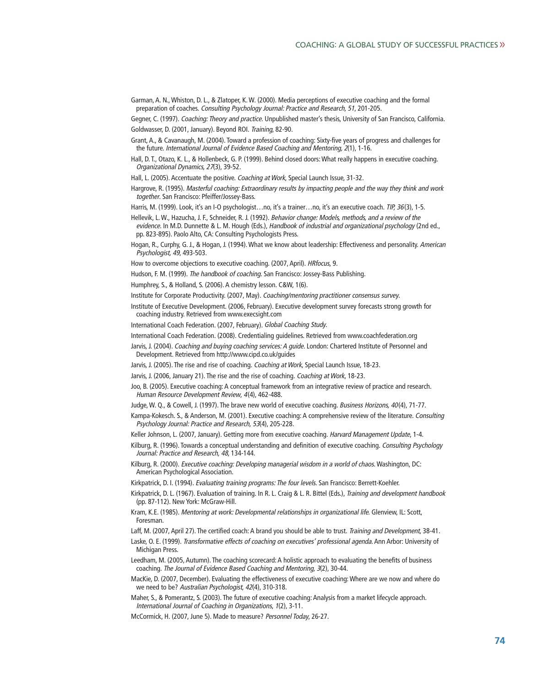- Garman, A. N., Whiston, D. L., & Zlatoper, K. W. (2000). Media perceptions of executive coaching and the formal preparation of coaches. Consulting Psychology Journal: Practice and Research, 51, 201-205.
- Gegner, C. (1997). Coaching: Theory and practice. Unpublished master's thesis, University of San Francisco, California. Goldwasser, D. (2001, January). Beyond ROI. Training, 82-90.
- Grant, A., & Cavanaugh, M. (2004). Toward a profession of coaching: Sixty-five years of progress and challenges for the future. International Journal of Evidence Based Coaching and Mentoring, 2(1), 1-16.
- Hall, D. T., Otazo, K. L., & Hollenbeck, G. P. (1999). Behind closed doors: What really happens in executive coaching. Organizational Dynamics, 27(3), 39-52.
- Hall, L. (2005). Accentuate the positive. Coaching at Work, Special Launch Issue, 31-32.
- Hargrove, R. (1995). Masterful coaching: Extraordinary results by impacting people and the way they think and work together. San Francisco: Pfeiffer/Jossey-Bass.

Harris, M. (1999). Look, it's an I-O psychologist...no, it's a trainer...no, it's an executive coach. TIP, 36(3), 1-5.

- Hellevik, L. W., Hazucha, J. F., Schneider, R. J. (1992). Behavior change: Models, methods, and a review of the evidence. In M.D. Dunnette & L. M. Hough (Eds.), Handbook of industrial and organizational psychology (2nd ed., pp. 823-895). Paolo Alto, CA: Consulting Psychologists Press.
- Hogan, R., Curphy, G. J., & Hogan, J. (1994). What we know about leadership: Effectiveness and personality. American Psychologist, 49, 493-503.
- How to overcome objections to executive coaching. (2007, April). HRfocus, 9.
- Hudson, F. M. (1999). The handbook of coaching. San Francisco: Jossey-Bass Publishing.
- Humphrey, S., & Holland, S. (2006). A chemistry lesson. C&W, 1(6).
- Institute for Corporate Productivity. (2007, May). Coaching/mentoring practitioner consensus survey.
- Institute of Executive Development. (2006, February). Executive development survey forecasts strong growth for coaching industry. Retrieved from www.execsight.com
- International Coach Federation. (2007, February). Global Coaching Study.
- International Coach Federation. (2008). Credentialing guidelines. Retrieved from www.coachfederation.org
- Jarvis, J. (2004). Coaching and buying coaching services: A guide. London: Chartered Institute of Personnel and Development. Retrieved from http://www.cipd.co.uk/guides
- Jarvis, J. (2005). The rise and rise of coaching. Coaching at Work, Special Launch Issue, 18-23.
- Jarvis, J. (2006, January 21). The rise and the rise of coaching. Coaching at Work, 18-23.
- Joo, B. (2005). Executive coaching: A conceptual framework from an integrative review of practice and research. Human Resource Development Review, 4(4), 462-488.
- Judge, W. Q., & Cowell, J. (1997). The brave new world of executive coaching. Business Horizons, 40(4), 71-77.
- Kampa-Kokesch. S., & Anderson, M. (2001). Executive coaching: A comprehensive review of the literature. Consulting Psychology Journal: Practice and Research, 53(4), 205-228.
- Keller Johnson, L. (2007, January). Getting more from executive coaching. Harvard Management Update, 1-4.
- Kilburg, R. (1996). Towards a conceptual understanding and definition of executive coaching. Consulting Psychology Journal: Practice and Research, 48, 134-144.
- Kilburg, R. (2000). Executive coaching: Developing managerial wisdom in a world of chaos. Washington, DC: American Psychological Association.
- Kirkpatrick, D. I. (1994). Evaluating training programs: The four levels. San Francisco: Berrett-Koehler.
- Kirkpatrick, D. L. (1967). Evaluation of training. In R. L. Craig & L. R. Bittel (Eds.), Training and development handbook (pp. 87-112). New York: McGraw-Hill.
- Kram, K.E. (1985). Mentoring at work: Developmental relationships in organizational life. Glenview, IL: Scott, Foresman.
- Laff, M. (2007, April 27). The certified coach: A brand you should be able to trust. Training and Development, 38-41.
- Laske, O. E. (1999). Transformative effects of coaching on executives' professional agenda. Ann Arbor: University of Michigan Press.
- Leedham, M. (2005, Autumn). The coaching scorecard: A holistic approach to evaluating the benefits of business coaching. The Journal of Evidence Based Coaching and Mentoring, 3(2), 30-44.
- MacKie, D. (2007, December). Evaluating the effectiveness of executive coaching: Where are we now and where do we need to be? Australian Psychologist, 42(4), 310-318.
- Maher, S., & Pomerantz, S. (2003). The future of executive coaching: Analysis from a market lifecycle approach. International Journal of Coaching in Organizations, 1(2), 3-11.
- McCormick, H. (2007, June 5). Made to measure? Personnel Today, 26-27.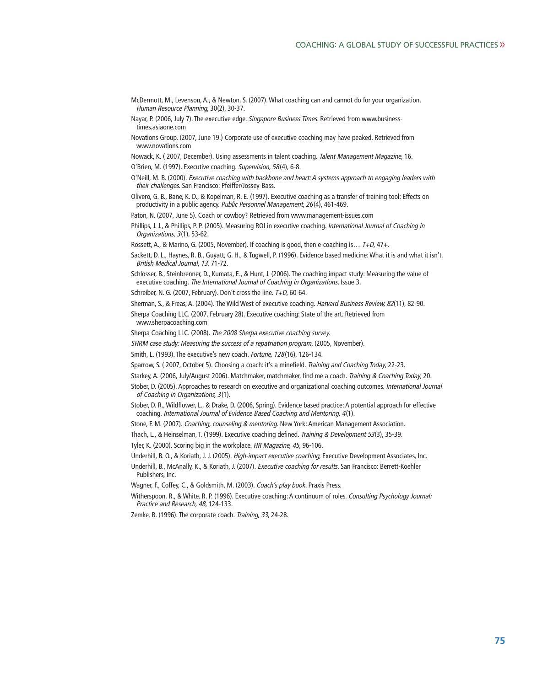- McDermott, M., Levenson, A., & Newton, S. (2007). What coaching can and cannot do for your organization. Human Resource Planning, 30(2), 30-37.
- Nayar, P. (2006, July 7). The executive edge. Singapore Business Times. Retrieved from www.businesstimes.asiaone.com
- Novations Group. (2007, June 19.) Corporate use of executive coaching may have peaked. Retrieved from www.novations.com
- Nowack, K. ( 2007, December). Using assessments in talent coaching. Talent Management Magazine, 16.
- O'Brien, M. (1997). Executive coaching. Supervision, 58(4), 6-8.
- O'Neill, M. B. (2000). Executive coaching with backbone and heart: A systems approach to engaging leaders with their challenges. San Francisco: Pfeiffer/Jossey-Bass.
- Olivero, G. B., Bane, K. D., & Kopelman, R. E. (1997). Executive coaching as a transfer of training tool: Effects on productivity in a public agency. Public Personnel Management, 26(4), 461-469.
- Paton, N. (2007, June 5). Coach or cowboy? Retrieved from www.management-issues.com
- Phillips, J. J., & Phillips, P. P. (2005). Measuring ROI in executive coaching. International Journal of Coaching in Organizations, 3(1), 53-62.
- Rossett, A., & Marino, G. (2005, November). If coaching is good, then e-coaching is...  $T+D$ ,  $47+$ .
- Sackett, D. L., Haynes, R. B., Guyatt, G. H., & Tugwell, P. (1996). Evidence based medicine: What it is and what it isn't. British Medical Journal, 13, 71-72.
- Schlosser, B., Steinbrenner, D., Kumata, E., & Hunt, J. (2006). The coaching impact study: Measuring the value of executive coaching. The International Journal of Coaching in Organizations, Issue 3.
- Schreiber, N. G. (2007, February). Don't cross the line. T+D, 60-64.
- Sherman, S., & Freas, A. (2004). The Wild West of executive coaching. Harvard Business Review, 82(11), 82-90.
- Sherpa Coaching LLC. (2007, February 28). Executive coaching: State of the art. Retrieved from www.sherpacoaching.com
- Sherpa Coaching LLC. (2008). The 2008 Sherpa executive coaching survey.
- SHRM case study: Measuring the success of a repatriation program. (2005, November).
- Smith, L. (1993). The executive's new coach. Fortune, 128(16), 126-134.
- Sparrow, S. ( 2007, October 5). Choosing a coach: it's a minefield. Training and Coaching Today, 22-23.
- Starkey, A. (2006, July/August 2006). Matchmaker, matchmaker, find me a coach. Training & Coaching Today, 20.
- Stober, D. (2005). Approaches to research on executive and organizational coaching outcomes. International Journal of Coaching in Organizations, 3(1).
- Stober, D. R., Wildflower, L., & Drake, D. (2006, Spring). Evidence based practice: A potential approach for effective coaching. International Journal of Evidence Based Coaching and Mentoring, 4(1).
- Stone, F. M. (2007). Coaching, counseling & mentoring. New York: American Management Association.
- Thach, L., & Heinselman, T. (1999). Executive coaching defined. Training & Development 53(3), 35-39.
- Tyler, K. (2000). Scoring big in the workplace. HR Magazine, 45, 96-106.
- Underhill, B. O., & Koriath, J. J. (2005). High-impact executive coaching, Executive Development Associates, Inc.
- Underhill, B., McAnally, K., & Koriath, J. (2007). Executive coaching for results. San Francisco: Berrett-Koehler Publishers, Inc.
- Wagner, F., Coffey, C., & Goldsmith, M. (2003). Coach's play book. Praxis Press.
- Witherspoon, R., & White, R. P. (1996). Executive coaching: A continuum of roles. Consulting Psychology Journal: Practice and Research, 48, 124-133.
- Zemke, R. (1996). The corporate coach. Training, 33, 24-28.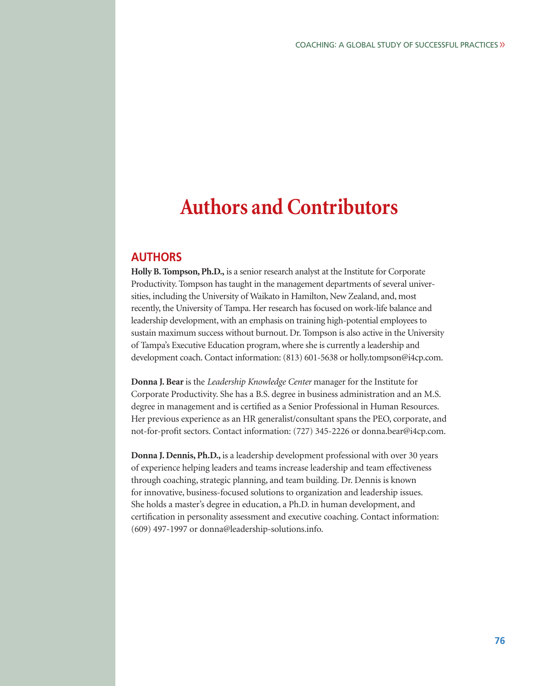## **Authors and Contributors**

## **AUTHORS**

**Holly B. Tompson, Ph.D.,** is a senior research analyst at the Institute for Corporate Productivity. Tompson has taught in the management departments of several universities, including the University of Waikato in Hamilton, New Zealand, and, most recently, the University of Tampa. Her research has focused on work-life balance and leadership development, with an emphasis on training high-potential employees to sustain maximum success without burnout. Dr. Tompson is also active in the University of Tampa's Executive Education program, where she is currently a leadership and development coach. Contact information: (813) 601-5638 or holly.tompson@i4cp.com.

**Donna J. Bear**is the *Leadership Knowledge Center* manager for the Institute for Corporate Productivity. She has a B.S. degree in business administration and an M.S. degree in management and is certified as a Senior Professional in Human Resources. Her previous experience as an HR generalist/consultant spans the PEO, corporate, and not-for-profit sectors. Contact information: (727) 345-2226 or donna.bear@i4cp.com.

**Donna J. Dennis, Ph.D.,** is a leadership development professional with over 30 years of experience helping leaders and teams increase leadership and team effectiveness through coaching, strategic planning, and team building. Dr. Dennis is known for innovative, business-focused solutions to organization and leadership issues. She holds a master's degree in education, a Ph.D. in human development, and certification in personality assessment and executive coaching. Contact information: (609) 497-1997 or donna@leadership-solutions.info.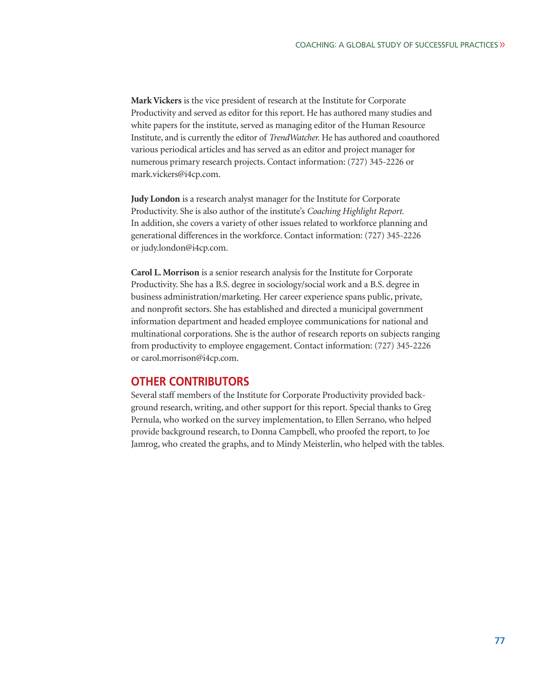**Mark Vickers** is the vice president of research at the Institute for Corporate Productivity and served as editor for this report. He has authored many studies and white papers for the institute, served as managing editor of the Human Resource Institute, and is currently the editor of *TrendWatcher.* He has authored and coauthored various periodical articles and has served as an editor and project manager for numerous primary research projects. Contact information: (727) 345-2226 or mark.vickers@i4cp.com.

**Judy London** is a research analyst manager for the Institute for Corporate Productivity. She is also author of the institute's *Coaching Highlight Report.* In addition, she covers a variety of other issues related to workforce planning and generational differences in the workforce. Contact information: (727) 345-2226 or judy.london@i4cp.com.

**Carol L. Morrison** is a senior research analysis for the Institute for Corporate Productivity. She has a B.S. degree in sociology/social work and a B.S. degree in business administration/marketing. Her career experience spans public, private, and nonprofit sectors. She has established and directed a municipal government information department and headed employee communications for national and multinational corporations. She is the author of research reports on subjects ranging from productivity to employee engagement. Contact information: (727) 345-2226 or carol.morrison@i4cp.com.

### **OTHER CONTRIBUTORS**

Several staff members of the Institute for Corporate Productivity provided background research, writing, and other support for this report. Special thanks to Greg Pernula, who worked on the survey implementation, to Ellen Serrano, who helped provide background research, to Donna Campbell, who proofed the report, to Joe Jamrog, who created the graphs, and to Mindy Meisterlin, who helped with the tables.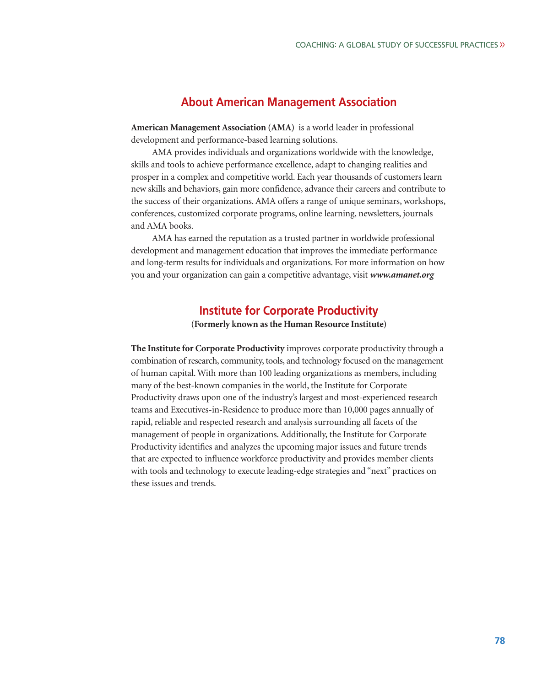## **About American Management Association**

**American Management Association (AMA)** is a world leader in professional development and performance-based learning solutions.

AMA provides individuals and organizations worldwide with the knowledge, skills and tools to achieve performance excellence, adapt to changing realities and prosper in a complex and competitive world. Each year thousands of customers learn new skills and behaviors, gain more confidence, advance their careers and contribute to the success of their organizations. AMA offers a range of unique seminars, workshops, conferences, customized corporate programs, online learning, newsletters, journals and AMA books.

AMA has earned the reputation as a trusted partner in worldwide professional development and management education that improves the immediate performance and long-term results for individuals and organizations. For more information on how you and your organization can gain a competitive advantage, visit *www.amanet.org*

### **Institute for Corporate Productivity**

**(Formerly known as the Human Resource Institute)**

**The Institute for Corporate Productivity** improves corporate productivity through a combination of research, community, tools, and technology focused on the management of human capital. With more than 100 leading organizations as members, including many of the best-known companies in the world, the Institute for Corporate Productivity draws upon one of the industry's largest and most-experienced research teams and Executives-in-Residence to produce more than 10,000 pages annually of rapid, reliable and respected research and analysis surrounding all facets of the management of people in organizations. Additionally, the Institute for Corporate Productivity identifies and analyzes the upcoming major issues and future trends that are expected to influence workforce productivity and provides member clients with tools and technology to execute leading-edge strategies and "next" practices on these issues and trends.